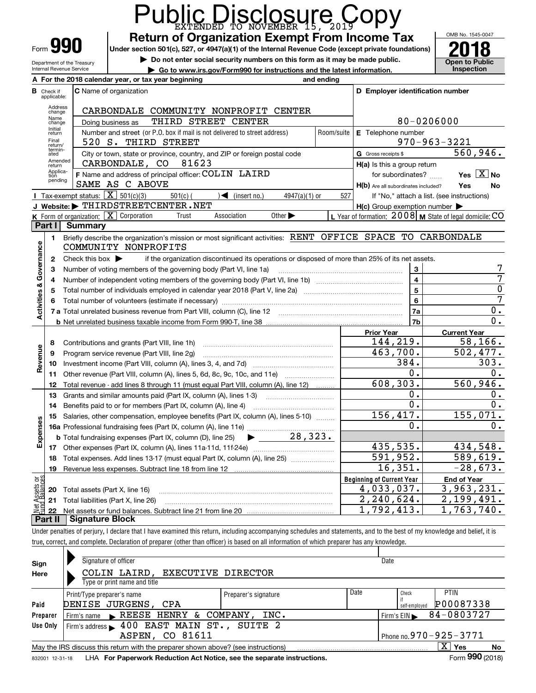|                                |                             | Public Disclosure Copy                                                                                                                                                     |                  |            |                                                     |                                                           |
|--------------------------------|-----------------------------|----------------------------------------------------------------------------------------------------------------------------------------------------------------------------|------------------|------------|-----------------------------------------------------|-----------------------------------------------------------|
|                                |                             | <b>Return of Organization Exempt From Income Tax</b>                                                                                                                       |                  |            |                                                     | OMB No. 1545-0047                                         |
|                                |                             | Form 990<br>Under section 501(c), 527, or 4947(a)(1) of the Internal Revenue Code (except private foundations)                                                             |                  |            |                                                     |                                                           |
|                                |                             | Do not enter social security numbers on this form as it may be made public.<br>Department of the Treasury                                                                  |                  |            |                                                     | <b>Open to Public</b>                                     |
|                                |                             | Internal Revenue Service<br>Go to www.irs.gov/Form990 for instructions and the latest information.                                                                         |                  |            |                                                     | Inspection                                                |
|                                |                             | A For the 2018 calendar year, or tax year beginning                                                                                                                        |                  | and ending |                                                     |                                                           |
| в                              | Check if<br>applicable:     | C Name of organization                                                                                                                                                     |                  |            | D Employer identification number                    |                                                           |
|                                | Address<br>change           | CARBONDALE COMMUNITY NONPROFIT CENTER                                                                                                                                      |                  |            |                                                     |                                                           |
|                                | Name<br>change              | THIRD STREET CENTER<br>Doing business as                                                                                                                                   |                  |            |                                                     | 80-0206000                                                |
|                                | Initial<br>return           | Number and street (or P.O. box if mail is not delivered to street address)                                                                                                 |                  |            | Room/suite E Telephone number                       |                                                           |
|                                | Final<br>return/            | 520 S. THIRD STREET                                                                                                                                                        |                  |            |                                                     | $970 - 963 - 3221$                                        |
|                                | termin-<br>ated             | City or town, state or province, country, and ZIP or foreign postal code                                                                                                   |                  |            | G Gross receipts \$                                 | 560,946.                                                  |
|                                | Amended<br>return           | CARBONDALE, CO 81623                                                                                                                                                       |                  |            | H(a) Is this a group return                         |                                                           |
|                                | Applica-<br>tion<br>pending | F Name and address of principal officer: COLIN LAIRD                                                                                                                       |                  |            | for subordinates?                                   | Yes $X$ No                                                |
|                                |                             | SAME AS C ABOVE                                                                                                                                                            |                  |            | H(b) Are all subordinates included?                 | Yes<br>No                                                 |
|                                |                             | Tax-exempt status: $\boxed{\mathbf{X}}$ 501(c)(3)<br>$\sqrt{\bullet}$ (insert no.)<br>$501(c)$ (                                                                           | $4947(a)(1)$ or  | 527        |                                                     | If "No," attach a list. (see instructions)                |
|                                |                             | J Website: FHIRDSTREETCENTER.NET                                                                                                                                           |                  |            | $H(c)$ Group exemption number $\blacktriangleright$ |                                                           |
|                                | Part I                      | K Form of organization: X Corporation<br>Association<br>Other $\blacktriangleright$<br>Trust<br>Summary                                                                    |                  |            |                                                     | L Year of formation: 2008   M State of legal domicile: CO |
|                                |                             | Briefly describe the organization's mission or most significant activities: RENT OFFICE SPACE TO CARBONDALE                                                                |                  |            |                                                     |                                                           |
|                                | 1.                          | COMMUNITY NONPROFITS                                                                                                                                                       |                  |            |                                                     |                                                           |
|                                | $\mathbf{2}$                | if the organization discontinued its operations or disposed of more than 25% of its net assets.<br>Check this box $\blacktriangleright$                                    |                  |            |                                                     |                                                           |
| Activities & Governance        | з                           | Number of voting members of the governing body (Part VI, line 1a)                                                                                                          |                  |            | 3                                                   |                                                           |
|                                | 4                           |                                                                                                                                                                            |                  |            | $\overline{\mathbf{4}}$                             | 7                                                         |
|                                | 5                           |                                                                                                                                                                            |                  |            | $\overline{5}$                                      | $\overline{0}$                                            |
|                                |                             |                                                                                                                                                                            | $6\phantom{a}$   | 7          |                                                     |                                                           |
|                                |                             |                                                                                                                                                                            |                  | 7a         | 0.                                                  |                                                           |
|                                |                             |                                                                                                                                                                            | $\overline{0}$ . |            |                                                     |                                                           |
|                                |                             |                                                                                                                                                                            |                  |            | <b>Prior Year</b>                                   | <b>Current Year</b>                                       |
|                                | 8                           | Contributions and grants (Part VIII, line 1h)                                                                                                                              |                  |            | 144,219.                                            | 58, 166.                                                  |
| Revenue                        | 9                           | Program service revenue (Part VIII, line 2q)                                                                                                                               |                  |            | 463,700.                                            | $\overline{502}$ , 477.                                   |
|                                | 10                          |                                                                                                                                                                            |                  |            | 384.                                                | 303.                                                      |
|                                | 11                          | Other revenue (Part VIII, column (A), lines 5, 6d, 8c, 9c, 10c, and 11e)                                                                                                   |                  |            | 0.                                                  | 0.                                                        |
|                                |                             | 12 Total revenue - add lines 8 through 11 (must equal Part VIII, column (A), line 12)                                                                                      |                  |            | 608, 303.                                           | 560,946.                                                  |
|                                | 13                          | Grants and similar amounts paid (Part IX, column (A), lines 1-3) <i></i>                                                                                                   |                  |            | $\mathbf 0$ .                                       | 0.                                                        |
|                                | 14                          | Benefits paid to or for members (Part IX, column (A), line 4)<br><u> 1986 - Jan Barbarat, martin a</u>                                                                     |                  |            | $\overline{0}$ .                                    | $\overline{0}$ .                                          |
|                                | 15                          | Salaries, other compensation, employee benefits (Part IX, column (A), lines 5-10)                                                                                          |                  |            | 156,417.                                            | 155,071.                                                  |
|                                |                             |                                                                                                                                                                            |                  |            | 0.                                                  | 0.                                                        |
| Expenses                       |                             | 28, 323.<br><b>b</b> Total fundraising expenses (Part IX, column (D), line 25)                                                                                             |                  |            |                                                     |                                                           |
|                                |                             | 17 Other expenses (Part IX, column (A), lines 11a-11d, 11f-24e)                                                                                                            |                  |            | 435,535.                                            | 434,548.                                                  |
|                                | 18                          | Total expenses. Add lines 13-17 (must equal Part IX, column (A), line 25)                                                                                                  |                  |            | 591,952.<br>16,351.                                 | 589,619.<br>$-28,673.$                                    |
|                                | 19                          | Revenue less expenses. Subtract line 18 from line 12                                                                                                                       |                  |            |                                                     |                                                           |
| Net Assets or<br>Eund Balances |                             |                                                                                                                                                                            |                  |            | <b>Beginning of Current Year</b><br>4,033,037.      | <b>End of Year</b><br>3,963,231.                          |
|                                | 20                          | Total assets (Part X, line 16)<br>Total liabilities (Part X, line 26)                                                                                                      |                  |            | 2,240,624.                                          | 2,199,491.                                                |
|                                | 21<br>22                    |                                                                                                                                                                            |                  |            | 1,792,413.                                          | $\overline{7}63, 740.$<br>1.                              |
|                                | Part II                     | Signature Block                                                                                                                                                            |                  |            |                                                     |                                                           |
|                                |                             | Under penalties of perjury, I declare that I have examined this return, including accompanying schedules and statements, and to the best of my knowledge and belief, it is |                  |            |                                                     |                                                           |

true, correct, and complete. Declaration of preparer (other than officer) is based on all information of which preparer has any knowledge.

| Sign            | Signature of officer                                                              |                      |                            | Date          |                     |    |  |
|-----------------|-----------------------------------------------------------------------------------|----------------------|----------------------------|---------------|---------------------|----|--|
| Here            | COLIN LAIRD, EXECUTIVE DIRECTOR                                                   |                      |                            |               |                     |    |  |
|                 | Type or print name and title                                                      |                      |                            |               |                     |    |  |
|                 | Print/Type preparer's name                                                        | Preparer's signature | Date                       | Check         | <b>PTIN</b>         |    |  |
| Paid            | DENISE JURGENS, CPA                                                               |                      |                            | self-employed | P00087338           |    |  |
| Preparer        | Firm's name REESE HENRY & COMPANY, INC.                                           |                      |                            | Firm's $EIN$  | 84-0803727          |    |  |
| Use Only        | Firm's address 100 EAST MAIN ST., SUITE 2                                         |                      |                            |               |                     |    |  |
|                 | ASPEN, CO 81611                                                                   |                      | Phone no. 970 - 925 - 3771 |               |                     |    |  |
|                 | May the IRS discuss this return with the preparer shown above? (see instructions) |                      |                            |               | $\mathbf{X}$<br>Yes | No |  |
| 832001 12-31-18 | LHA For Paperwork Reduction Act Notice, see the separate instructions.            |                      |                            |               | Form 990 (2018)     |    |  |
|                 |                                                                                   |                      |                            |               |                     |    |  |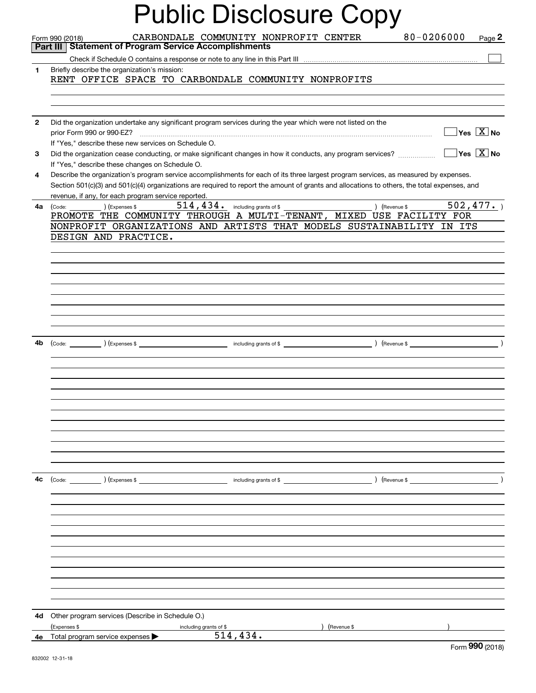|                | <b>Public Disclosure Copy</b>                                                                                                                                                                                                                                                                                   |
|----------------|-----------------------------------------------------------------------------------------------------------------------------------------------------------------------------------------------------------------------------------------------------------------------------------------------------------------|
|                | CARBONDALE COMMUNITY NONPROFIT CENTER<br>80-0206000<br>Page $2$<br>Form 990 (2018)                                                                                                                                                                                                                              |
|                | Part III   Statement of Program Service Accomplishments                                                                                                                                                                                                                                                         |
|                |                                                                                                                                                                                                                                                                                                                 |
| 1              | Briefly describe the organization's mission:<br>RENT OFFICE SPACE TO CARBONDALE COMMUNITY NONPROFITS                                                                                                                                                                                                            |
|                |                                                                                                                                                                                                                                                                                                                 |
| $\overline{2}$ | Did the organization undertake any significant program services during the year which were not listed on the<br>$\overline{\mathsf{Yes}\mathrel{\hspace{0.05cm}\mathbf{X}}$ No<br>If "Yes," describe these new services on Schedule O.                                                                          |
| 3              | $\sqrt{}$ Yes $\sqrt{}$ X $\sqrt{}$ No<br>Did the organization cease conducting, or make significant changes in how it conducts, any program services?<br>If "Yes," describe these changes on Schedule O.                                                                                                       |
| 4              | Describe the organization's program service accomplishments for each of its three largest program services, as measured by expenses.<br>Section 501(c)(3) and 501(c)(4) organizations are required to report the amount of grants and allocations to others, the total expenses, and                            |
|                | revenue, if any, for each program service reported.                                                                                                                                                                                                                                                             |
| 4a             | $514, 434.$ including grants of \$ (Revenue \$ $502, 477.$ )<br>$\begin{pmatrix} \text{Code:} \end{pmatrix}$ $\begin{pmatrix} \text{Expenses $} \end{pmatrix}$<br>PROMOTE THE COMMUNITY THROUGH A MULTI-TENANT, MIXED USE FACILITY FOR<br>NONPROFIT ORGANIZATIONS AND ARTISTS THAT MODELS SUSTAINABILITY IN ITS |
|                | DESIGN AND PRACTICE.                                                                                                                                                                                                                                                                                            |
|                |                                                                                                                                                                                                                                                                                                                 |
|                |                                                                                                                                                                                                                                                                                                                 |
|                |                                                                                                                                                                                                                                                                                                                 |
|                |                                                                                                                                                                                                                                                                                                                 |
|                |                                                                                                                                                                                                                                                                                                                 |
| 4b             |                                                                                                                                                                                                                                                                                                                 |
|                |                                                                                                                                                                                                                                                                                                                 |
|                |                                                                                                                                                                                                                                                                                                                 |
|                |                                                                                                                                                                                                                                                                                                                 |
|                |                                                                                                                                                                                                                                                                                                                 |
|                |                                                                                                                                                                                                                                                                                                                 |
|                |                                                                                                                                                                                                                                                                                                                 |
|                |                                                                                                                                                                                                                                                                                                                 |
| 4с             |                                                                                                                                                                                                                                                                                                                 |
|                |                                                                                                                                                                                                                                                                                                                 |
|                |                                                                                                                                                                                                                                                                                                                 |
|                |                                                                                                                                                                                                                                                                                                                 |
|                |                                                                                                                                                                                                                                                                                                                 |
|                |                                                                                                                                                                                                                                                                                                                 |
|                |                                                                                                                                                                                                                                                                                                                 |
|                |                                                                                                                                                                                                                                                                                                                 |
|                |                                                                                                                                                                                                                                                                                                                 |
| 4d             | Other program services (Describe in Schedule O.)<br>(Expenses \$<br>) (Revenue \$<br>including grants of \$                                                                                                                                                                                                     |
|                | 514,434.<br>4e Total program service expenses $\blacktriangleright$<br>$000 \times 10$                                                                                                                                                                                                                          |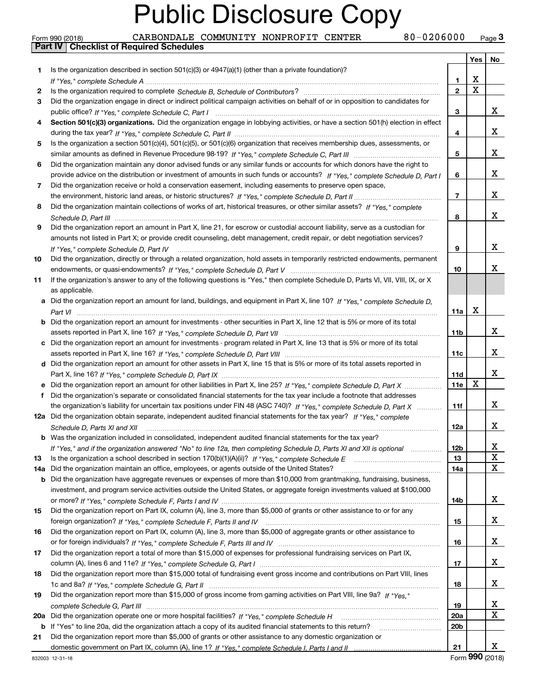Form 990 (2018) CARBONDALE COMMUNITY NONPROFIT CENTER 80-0206000 <sub>Page</sub> 3<br>**Part IV | Checklist of Required Schedules** 

|     |                                                                                                                                                                                                                                                                |                 | Yes                     | No          |
|-----|----------------------------------------------------------------------------------------------------------------------------------------------------------------------------------------------------------------------------------------------------------------|-----------------|-------------------------|-------------|
| 1.  | Is the organization described in section $501(c)(3)$ or $4947(a)(1)$ (other than a private foundation)?                                                                                                                                                        |                 |                         |             |
|     |                                                                                                                                                                                                                                                                | 1               | X                       |             |
| 2   |                                                                                                                                                                                                                                                                | $\overline{2}$  | $\overline{\mathtt{x}}$ |             |
| 3   | Did the organization engage in direct or indirect political campaign activities on behalf of or in opposition to candidates for                                                                                                                                |                 |                         |             |
|     |                                                                                                                                                                                                                                                                | 3               |                         | x           |
| 4   | Section 501(c)(3) organizations. Did the organization engage in lobbying activities, or have a section 501(h) election in effect                                                                                                                               |                 |                         |             |
|     |                                                                                                                                                                                                                                                                | 4               |                         | X           |
| 5   | Is the organization a section 501(c)(4), 501(c)(5), or 501(c)(6) organization that receives membership dues, assessments, or                                                                                                                                   |                 |                         |             |
|     |                                                                                                                                                                                                                                                                | 5               |                         | х           |
| 6   | Did the organization maintain any donor advised funds or any similar funds or accounts for which donors have the right to                                                                                                                                      |                 |                         |             |
|     | provide advice on the distribution or investment of amounts in such funds or accounts? If "Yes," complete Schedule D, Part I                                                                                                                                   | 6               |                         | х           |
| 7   | Did the organization receive or hold a conservation easement, including easements to preserve open space,                                                                                                                                                      |                 |                         |             |
|     |                                                                                                                                                                                                                                                                | 7               |                         | х           |
| 8   | Did the organization maintain collections of works of art, historical treasures, or other similar assets? If "Yes," complete                                                                                                                                   |                 |                         |             |
|     |                                                                                                                                                                                                                                                                | 8               |                         | x           |
| 9   | Did the organization report an amount in Part X, line 21, for escrow or custodial account liability, serve as a custodian for                                                                                                                                  |                 |                         |             |
|     | amounts not listed in Part X; or provide credit counseling, debt management, credit repair, or debt negotiation services?                                                                                                                                      |                 |                         |             |
|     |                                                                                                                                                                                                                                                                | 9               |                         | х           |
| 10  | Did the organization, directly or through a related organization, hold assets in temporarily restricted endowments, permanent                                                                                                                                  |                 |                         |             |
|     |                                                                                                                                                                                                                                                                | 10              |                         | х           |
| 11  | If the organization's answer to any of the following questions is "Yes," then complete Schedule D, Parts VI, VIII, VIII, IX, or X                                                                                                                              |                 |                         |             |
|     | as applicable.                                                                                                                                                                                                                                                 |                 |                         |             |
|     | a Did the organization report an amount for land, buildings, and equipment in Part X, line 10? If "Yes," complete Schedule D,                                                                                                                                  |                 |                         |             |
|     |                                                                                                                                                                                                                                                                | 11a             | X                       |             |
|     | <b>b</b> Did the organization report an amount for investments - other securities in Part X, line 12 that is 5% or more of its total                                                                                                                           |                 |                         |             |
|     |                                                                                                                                                                                                                                                                | 11b             |                         | X           |
|     | c Did the organization report an amount for investments - program related in Part X, line 13 that is 5% or more of its total                                                                                                                                   |                 |                         |             |
|     |                                                                                                                                                                                                                                                                | 11c             |                         | х           |
|     | d Did the organization report an amount for other assets in Part X, line 15 that is 5% or more of its total assets reported in                                                                                                                                 |                 |                         | x           |
|     |                                                                                                                                                                                                                                                                | 11d             | X                       |             |
|     |                                                                                                                                                                                                                                                                | <b>11e</b>      |                         |             |
| f   | Did the organization's separate or consolidated financial statements for the tax year include a footnote that addresses                                                                                                                                        |                 |                         | X           |
|     | the organization's liability for uncertain tax positions under FIN 48 (ASC 740)? If "Yes," complete Schedule D, Part X                                                                                                                                         | 11f             |                         |             |
|     | 12a Did the organization obtain separate, independent audited financial statements for the tax year? If "Yes," complete                                                                                                                                        |                 |                         | х           |
|     | Schedule D. Parts XI and XII                                                                                                                                                                                                                                   | 12a             |                         |             |
|     | <b>b</b> Was the organization included in consolidated, independent audited financial statements for the tax year?                                                                                                                                             | 12 <sub>b</sub> |                         |             |
|     | If "Yes," and if the organization answered "No" to line 12a, then completing Schedule D, Parts XI and XII is optional [11, 11, 11, 11, 11]                                                                                                                     |                 |                         | $\mathbf X$ |
| 13  | Is the organization a school described in section $170(b)(1)(A)(ii)?$ If "Yes," complete Schedule E                                                                                                                                                            | 13              |                         | $\mathbf X$ |
| 14a | Did the organization maintain an office, employees, or agents outside of the United States?                                                                                                                                                                    | 14a             |                         |             |
|     | <b>b</b> Did the organization have aggregate revenues or expenses of more than \$10,000 from grantmaking, fundraising, business,<br>investment, and program service activities outside the United States, or aggregate foreign investments valued at \$100,000 |                 |                         |             |
|     |                                                                                                                                                                                                                                                                | 14b             |                         | X           |
| 15  | Did the organization report on Part IX, column (A), line 3, more than \$5,000 of grants or other assistance to or for any                                                                                                                                      |                 |                         |             |
|     |                                                                                                                                                                                                                                                                | 15              |                         | X           |
| 16  | Did the organization report on Part IX, column (A), line 3, more than \$5,000 of aggregate grants or other assistance to                                                                                                                                       |                 |                         |             |
|     |                                                                                                                                                                                                                                                                | 16              |                         | x           |
| 17  | Did the organization report a total of more than \$15,000 of expenses for professional fundraising services on Part IX,                                                                                                                                        |                 |                         |             |
|     |                                                                                                                                                                                                                                                                | 17              |                         | x           |
| 18  | Did the organization report more than \$15,000 total of fundraising event gross income and contributions on Part VIII, lines                                                                                                                                   |                 |                         |             |
|     |                                                                                                                                                                                                                                                                | 18              |                         | x           |
| 19  | Did the organization report more than \$15,000 of gross income from gaming activities on Part VIII, line 9a? If "Yes."                                                                                                                                         |                 |                         |             |
|     |                                                                                                                                                                                                                                                                | 19              |                         | x           |
| 20a | Did the organization operate one or more hospital facilities? If "Yes," complete Schedule H                                                                                                                                                                    | 20a             |                         | X           |
|     | b If "Yes" to line 20a, did the organization attach a copy of its audited financial statements to this return?                                                                                                                                                 | 20b             |                         |             |
| 21  | Did the organization report more than \$5,000 of grants or other assistance to any domestic organization or                                                                                                                                                    |                 |                         |             |
|     |                                                                                                                                                                                                                                                                | 21              |                         | x           |
|     |                                                                                                                                                                                                                                                                |                 | റററ                     |             |

Form (2018) **990**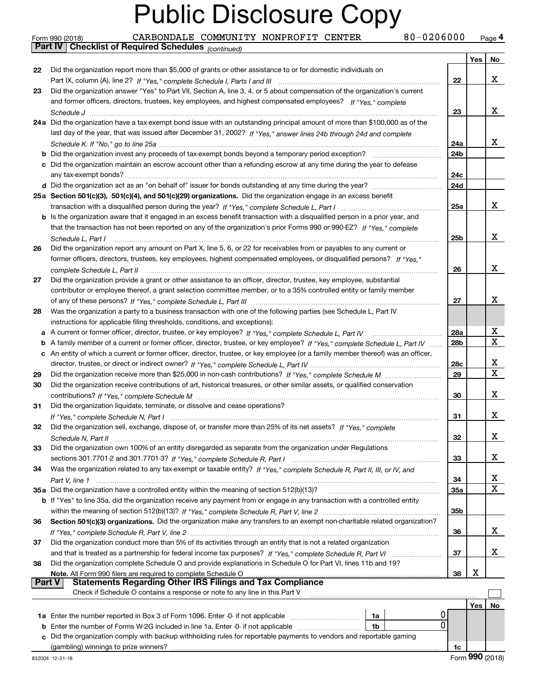|               | 80-0206000<br>CARBONDALE COMMUNITY NONPROFIT CENTER<br>Form 990 (2018)                                                            |            |     | Page 4 |
|---------------|-----------------------------------------------------------------------------------------------------------------------------------|------------|-----|--------|
|               | <b>Part IV   Checklist of Required Schedules</b> (continued)                                                                      |            |     |        |
|               |                                                                                                                                   |            | Yes | No     |
| 22            | Did the organization report more than \$5,000 of grants or other assistance to or for domestic individuals on                     |            |     |        |
|               |                                                                                                                                   | 22         |     | X      |
| 23            | Did the organization answer "Yes" to Part VII, Section A, line 3, 4, or 5 about compensation of the organization's current        |            |     |        |
|               | and former officers, directors, trustees, key employees, and highest compensated employees? If "Yes," complete                    |            |     |        |
|               |                                                                                                                                   | 23         |     | x      |
|               | 24a Did the organization have a tax-exempt bond issue with an outstanding principal amount of more than \$100,000 as of the       |            |     |        |
|               | last day of the year, that was issued after December 31, 2002? If "Yes," answer lines 24b through 24d and complete                |            |     |        |
|               |                                                                                                                                   | 24a        |     | X.     |
|               |                                                                                                                                   | 24b        |     |        |
|               | c Did the organization maintain an escrow account other than a refunding escrow at any time during the year to defease            |            |     |        |
|               |                                                                                                                                   | 24c        |     |        |
|               |                                                                                                                                   | 24d        |     |        |
|               | 25a Section 501(c)(3), 501(c)(4), and 501(c)(29) organizations. Did the organization engage in an excess benefit                  |            |     |        |
|               |                                                                                                                                   | 25a        |     | X      |
|               | b Is the organization aware that it engaged in an excess benefit transaction with a disqualified person in a prior year, and      |            |     |        |
|               | that the transaction has not been reported on any of the organization's prior Forms 990 or 990-EZ? If "Yes," complete             |            |     |        |
|               | Schedule L, Part I                                                                                                                | 25b        |     | x      |
| 26            | Did the organization report any amount on Part X, line 5, 6, or 22 for receivables from or payables to any current or             |            |     |        |
|               | former officers, directors, trustees, key employees, highest compensated employees, or disqualified persons? If "Yes."            |            |     |        |
|               | complete Schedule L, Part II                                                                                                      | 26         |     | x      |
| 27            | Did the organization provide a grant or other assistance to an officer, director, trustee, key employee, substantial              |            |     |        |
|               | contributor or employee thereof, a grant selection committee member, or to a 35% controlled entity or family member               |            |     |        |
|               |                                                                                                                                   | 27         |     | x      |
| 28            | Was the organization a party to a business transaction with one of the following parties (see Schedule L, Part IV                 |            |     |        |
|               |                                                                                                                                   |            |     |        |
|               | instructions for applicable filing thresholds, conditions, and exceptions):                                                       | 28a        |     | X      |
|               |                                                                                                                                   | 28b        |     | X      |
|               | b A family member of a current or former officer, director, trustee, or key employee? If "Yes," complete Schedule L, Part IV      |            |     |        |
|               | c An entity of which a current or former officer, director, trustee, or key employee (or a family member thereof) was an officer, |            |     | x      |
|               |                                                                                                                                   | 28c        |     | X      |
| 29            |                                                                                                                                   | 29         |     |        |
| 30            | Did the organization receive contributions of art, historical treasures, or other similar assets, or qualified conservation       |            |     |        |
|               |                                                                                                                                   | 30         |     | x      |
| 31            | Did the organization liquidate, terminate, or dissolve and cease operations?                                                      |            |     |        |
|               |                                                                                                                                   | 31         |     | X      |
| 32            | Did the organization sell, exchange, dispose of, or transfer more than 25% of its net assets? If "Yes," complete                  |            |     |        |
|               |                                                                                                                                   | 32         |     | x      |
| 33            | Did the organization own 100% of an entity disregarded as separate from the organization under Regulations                        |            |     |        |
|               |                                                                                                                                   | 33         |     | x      |
| 34            | Was the organization related to any tax-exempt or taxable entity? If "Yes," complete Schedule R, Part II, III, or IV, and         |            |     |        |
|               |                                                                                                                                   | 34         |     | x      |
|               | 35a Did the organization have a controlled entity within the meaning of section 512(b)(13)?                                       | <b>35a</b> |     | X      |
|               | b If "Yes" to line 35a, did the organization receive any payment from or engage in any transaction with a controlled entity       |            |     |        |
|               |                                                                                                                                   | 35b        |     |        |
| 36            | Section 501(c)(3) organizations. Did the organization make any transfers to an exempt non-charitable related organization?        |            |     |        |
|               |                                                                                                                                   | 36         |     | x      |
| 37            | Did the organization conduct more than 5% of its activities through an entity that is not a related organization                  |            |     |        |
|               |                                                                                                                                   | 37         |     | x      |
| 38            | Did the organization complete Schedule O and provide explanations in Schedule O for Part VI, lines 11b and 19?                    |            |     |        |
|               | Note. All Form 990 filers are required to complete Schedule O                                                                     | 38         | X   |        |
| <b>Part V</b> | <b>Statements Regarding Other IRS Filings and Tax Compliance</b>                                                                  |            |     |        |
|               | Check if Schedule O contains a response or note to any line in this Part V                                                        |            |     |        |
|               |                                                                                                                                   |            | Yes | No     |
|               | 0<br>1a Enter the number reported in Box 3 of Form 1096. Enter -0- if not applicable<br>1a                                        |            |     |        |
| b             | 0<br>Enter the number of Forms W-2G included in line 1a. Enter -0- if not applicable<br>1b                                        |            |     |        |
|               | c Did the organization comply with backup withholding rules for reportable payments to vendors and reportable gaming              |            |     |        |
|               |                                                                                                                                   | 1c         |     |        |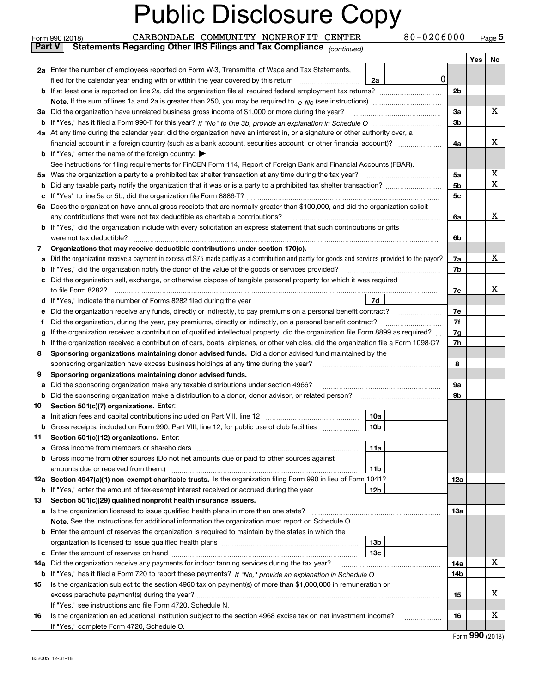|          | 80-0206000<br>CARBONDALE COMMUNITY NONPROFIT CENTER<br>Form 990 (2018)                                                                                                                              |                |            | Page $5$ |
|----------|-----------------------------------------------------------------------------------------------------------------------------------------------------------------------------------------------------|----------------|------------|----------|
| ∣ Part V | Statements Regarding Other IRS Filings and Tax Compliance (continued)                                                                                                                               |                |            |          |
|          |                                                                                                                                                                                                     |                | <b>Yes</b> | No       |
|          | 2a Enter the number of employees reported on Form W-3, Transmittal of Wage and Tax Statements,                                                                                                      |                |            |          |
|          | 0<br>filed for the calendar year ending with or within the year covered by this return<br>2a                                                                                                        |                |            |          |
|          | <b>b</b> If at least one is reported on line 2a, did the organization file all required federal employment tax returns?                                                                             | 2 <sub>b</sub> |            |          |
|          | Note. If the sum of lines 1a and 2a is greater than 250, you may be required to $e$ -file (see instructions) <i>marrouum</i> manu-                                                                  |                |            | X        |
|          | 3a Did the organization have unrelated business gross income of \$1,000 or more during the year?                                                                                                    | 3a             |            |          |
|          |                                                                                                                                                                                                     | 3b             |            |          |
|          | 4a At any time during the calendar year, did the organization have an interest in, or a signature or other authority over, a                                                                        |                |            | х        |
|          | financial account in a foreign country (such as a bank account, securities account, or other financial account)?<br><b>b</b> If "Yes," enter the name of the foreign country: $\blacktriangleright$ | 4a             |            |          |
|          | See instructions for filing requirements for FinCEN Form 114, Report of Foreign Bank and Financial Accounts (FBAR).                                                                                 |                |            |          |
|          | 5a Was the organization a party to a prohibited tax shelter transaction at any time during the tax year?                                                                                            | 5a             |            | х        |
|          |                                                                                                                                                                                                     | 5b             |            | x        |
| c        |                                                                                                                                                                                                     | 5 <sub>c</sub> |            |          |
|          | 6a Does the organization have annual gross receipts that are normally greater than \$100,000, and did the organization solicit                                                                      |                |            |          |
|          | any contributions that were not tax deductible as charitable contributions?                                                                                                                         | 6a             |            | x        |
|          | <b>b</b> If "Yes," did the organization include with every solicitation an express statement that such contributions or gifts                                                                       |                |            |          |
|          | were not tax deductible?                                                                                                                                                                            | 6b             |            |          |
| 7        | Organizations that may receive deductible contributions under section 170(c).                                                                                                                       |                |            |          |
| а        | Did the organization receive a payment in excess of \$75 made partly as a contribution and partly for goods and services provided to the payor?                                                     | 7a             |            | X        |
| b        | If "Yes," did the organization notify the donor of the value of the goods or services provided?                                                                                                     | 7b             |            |          |
|          | c Did the organization sell, exchange, or otherwise dispose of tangible personal property for which it was required                                                                                 |                |            |          |
|          | to file Form 8282?                                                                                                                                                                                  | 7c             |            | х        |
| d        | 7d<br>If "Yes," indicate the number of Forms 8282 filed during the year                                                                                                                             |                |            |          |
| е        | Did the organization receive any funds, directly or indirectly, to pay premiums on a personal benefit contract?                                                                                     | 7e             |            |          |
| Ť.       | Did the organization, during the year, pay premiums, directly or indirectly, on a personal benefit contract?                                                                                        | 7f             |            |          |
| g        | If the organization received a contribution of qualified intellectual property, did the organization file Form 8899 as required?                                                                    | 7g             |            |          |
| h.       | If the organization received a contribution of cars, boats, airplanes, or other vehicles, did the organization file a Form 1098-C?                                                                  | 7h             |            |          |
| 8        | Sponsoring organizations maintaining donor advised funds. Did a donor advised fund maintained by the                                                                                                |                |            |          |
|          | sponsoring organization have excess business holdings at any time during the year?                                                                                                                  | 8              |            |          |
| 9        | Sponsoring organizations maintaining donor advised funds.                                                                                                                                           |                |            |          |
| а        | Did the sponsoring organization make any taxable distributions under section 4966?                                                                                                                  | 9а             |            |          |
| b        | Did the sponsoring organization make a distribution to a donor, donor advisor, or related person?                                                                                                   | 9b             |            |          |
| 10       | Section 501(c)(7) organizations. Enter:                                                                                                                                                             |                |            |          |
|          | a Initiation fees and capital contributions included on Part VIII, line 12<br>10a                                                                                                                   |                |            |          |
| b        | Gross receipts, included on Form 990, Part VIII, line 12, for public use of club facilities<br>10b                                                                                                  |                |            |          |
| 11       | Section 501(c)(12) organizations. Enter:<br>11a                                                                                                                                                     |                |            |          |
| a<br>b   | Gross income from other sources (Do not net amounts due or paid to other sources against                                                                                                            |                |            |          |
|          | amounts due or received from them.)<br>11b                                                                                                                                                          |                |            |          |
|          | 12a Section 4947(a)(1) non-exempt charitable trusts. Is the organization filing Form 990 in lieu of Form 1041?                                                                                      | 12a            |            |          |
|          | <b>b</b> If "Yes," enter the amount of tax-exempt interest received or accrued during the year<br>12b                                                                                               |                |            |          |
| 13       | Section 501(c)(29) qualified nonprofit health insurance issuers.                                                                                                                                    |                |            |          |
|          | a Is the organization licensed to issue qualified health plans in more than one state?                                                                                                              | 13а            |            |          |
|          | <b>Note.</b> See the instructions for additional information the organization must report on Schedule O.                                                                                            |                |            |          |
|          | <b>b</b> Enter the amount of reserves the organization is required to maintain by the states in which the                                                                                           |                |            |          |
|          | 13 <sub>b</sub>                                                                                                                                                                                     |                |            |          |
|          | 13с                                                                                                                                                                                                 |                |            |          |
|          | <b>14a</b> Did the organization receive any payments for indoor tanning services during the tax year?                                                                                               | 14a            |            | X        |
|          |                                                                                                                                                                                                     | 14b            |            |          |
| 15       | Is the organization subject to the section 4960 tax on payment(s) of more than \$1,000,000 in remuneration or                                                                                       |                |            |          |
|          |                                                                                                                                                                                                     | 15             |            | х        |
|          | If "Yes," see instructions and file Form 4720, Schedule N.                                                                                                                                          |                |            |          |
| 16       | Is the organization an educational institution subject to the section 4968 excise tax on net investment income?<br>.                                                                                | 16             |            | х        |
|          | If "Yes," complete Form 4720, Schedule O.                                                                                                                                                           |                |            |          |

Form (2018) **990**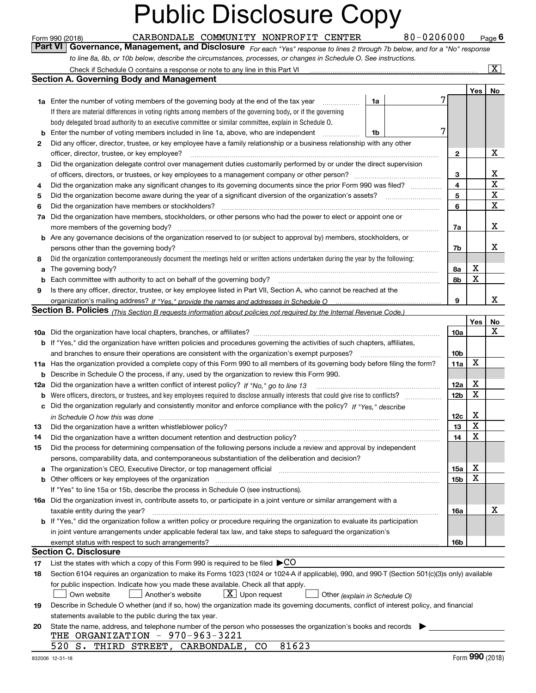*For each "Yes" response to lines 2 through 7b below, and for a "No" response to line 8a, 8b, or 10b below, describe the circumstances, processes, or changes in Schedule O. See instructions.* Form 990 (2018) **CARBONDALE COMMUNITY NONPROFIT CENTER** 80-0206000 Page 6<br>**Part VI** | Governance, Management, and Disclosure *For each "Yes" response to lines 2 through 7b below, and for a "No" response* 

|     | Check if Schedule O contains a response or note to any line in this Part VI                                                                                           |    |  |                         |     | X           |  |  |  |
|-----|-----------------------------------------------------------------------------------------------------------------------------------------------------------------------|----|--|-------------------------|-----|-------------|--|--|--|
|     | Section A. Governing Body and Management                                                                                                                              |    |  |                         |     |             |  |  |  |
|     |                                                                                                                                                                       |    |  |                         | Yes | No          |  |  |  |
|     | <b>1a</b> Enter the number of voting members of the governing body at the end of the tax year                                                                         | 1a |  |                         |     |             |  |  |  |
|     | If there are material differences in voting rights among members of the governing body, or if the governing                                                           |    |  |                         |     |             |  |  |  |
|     | body delegated broad authority to an executive committee or similar committee, explain in Schedule O.                                                                 |    |  |                         |     |             |  |  |  |
| b   | Enter the number of voting members included in line 1a, above, who are independent                                                                                    | 1b |  |                         |     |             |  |  |  |
| 2   | Did any officer, director, trustee, or key employee have a family relationship or a business relationship with any other                                              |    |  |                         |     |             |  |  |  |
|     | officer, director, trustee, or key employee?                                                                                                                          |    |  | $\mathbf{2}$            |     | X           |  |  |  |
| 3   | Did the organization delegate control over management duties customarily performed by or under the direct supervision                                                 |    |  |                         |     |             |  |  |  |
|     |                                                                                                                                                                       |    |  | 3                       |     | x           |  |  |  |
| 4   | Did the organization make any significant changes to its governing documents since the prior Form 990 was filed?                                                      |    |  | $\overline{\mathbf{4}}$ |     | $\mathbf X$ |  |  |  |
| 5   | Did the organization become aware during the year of a significant diversion of the organization's assets? <i>manageranian</i> entity                                 |    |  | 5                       |     | X           |  |  |  |
| 6   | Did the organization have members or stockholders?                                                                                                                    |    |  | 6                       |     | X           |  |  |  |
| 7a  | Did the organization have members, stockholders, or other persons who had the power to elect or appoint one or                                                        |    |  |                         |     |             |  |  |  |
|     | more members of the governing body?                                                                                                                                   |    |  |                         |     |             |  |  |  |
| b   | Are any governance decisions of the organization reserved to (or subject to approval by) members, stockholders, or                                                    |    |  | 7a                      |     | x           |  |  |  |
|     | persons other than the governing body?                                                                                                                                |    |  | 7b                      |     | x           |  |  |  |
| 8   | Did the organization contemporaneously document the meetings held or written actions undertaken during the year by the following:                                     |    |  |                         |     |             |  |  |  |
| a   |                                                                                                                                                                       |    |  | 8a                      | X   |             |  |  |  |
| b   | Each committee with authority to act on behalf of the governing body?                                                                                                 |    |  | 8b                      | X   |             |  |  |  |
| 9   | Is there any officer, director, trustee, or key employee listed in Part VII, Section A, who cannot be reached at the                                                  |    |  |                         |     |             |  |  |  |
|     |                                                                                                                                                                       |    |  | 9                       |     | x           |  |  |  |
|     | <b>Section B. Policies</b> (This Section B requests information about policies not required by the Internal Revenue Code.)                                            |    |  |                         |     |             |  |  |  |
|     |                                                                                                                                                                       |    |  |                         | Yes | No          |  |  |  |
|     |                                                                                                                                                                       |    |  | <b>10a</b>              |     | x           |  |  |  |
|     | <b>b</b> If "Yes," did the organization have written policies and procedures governing the activities of such chapters, affiliates,                                   |    |  |                         |     |             |  |  |  |
|     | and branches to ensure their operations are consistent with the organization's exempt purposes?                                                                       |    |  | 10 <sub>b</sub>         |     |             |  |  |  |
|     | 11a Has the organization provided a complete copy of this Form 990 to all members of its governing body before filing the form?                                       |    |  | 11a                     | X   |             |  |  |  |
| b   | Describe in Schedule O the process, if any, used by the organization to review this Form 990.                                                                         |    |  |                         |     |             |  |  |  |
| 12a | Did the organization have a written conflict of interest policy? If "No," go to line 13                                                                               |    |  | 12a                     | X   |             |  |  |  |
| b   |                                                                                                                                                                       |    |  | 12 <sub>b</sub>         | X   |             |  |  |  |
| с   | Did the organization regularly and consistently monitor and enforce compliance with the policy? If "Yes." describe                                                    |    |  |                         |     |             |  |  |  |
|     | in Schedule O how this was done measured and contain an account of the state of the state of the state of the                                                         |    |  | 12c                     | X   |             |  |  |  |
| 13  | Did the organization have a written whistleblower policy?                                                                                                             |    |  | 13                      | X   |             |  |  |  |
| 14  | Did the organization have a written document retention and destruction policy?                                                                                        |    |  | 14                      | X   |             |  |  |  |
| 15  | Did the process for determining compensation of the following persons include a review and approval by independent                                                    |    |  |                         |     |             |  |  |  |
|     | persons, comparability data, and contemporaneous substantiation of the deliberation and decision?                                                                     |    |  |                         |     |             |  |  |  |
| а   | The organization's CEO, Executive Director, or top management official manufactured content of the organization's CEO, Executive Director, or top management official |    |  | 15a                     | х   |             |  |  |  |
|     | Other officers or key employees of the organization                                                                                                                   |    |  | 15b                     | X   |             |  |  |  |
|     | If "Yes" to line 15a or 15b, describe the process in Schedule O (see instructions).                                                                                   |    |  |                         |     |             |  |  |  |
|     | 16a Did the organization invest in, contribute assets to, or participate in a joint venture or similar arrangement with a                                             |    |  |                         |     |             |  |  |  |
|     | taxable entity during the year?                                                                                                                                       |    |  | 16a                     |     | X           |  |  |  |
|     | b If "Yes," did the organization follow a written policy or procedure requiring the organization to evaluate its participation                                        |    |  |                         |     |             |  |  |  |
|     | in joint venture arrangements under applicable federal tax law, and take steps to safequard the organization's                                                        |    |  |                         |     |             |  |  |  |
|     | exempt status with respect to such arrangements?                                                                                                                      |    |  | 16b                     |     |             |  |  |  |
|     | <b>Section C. Disclosure</b>                                                                                                                                          |    |  |                         |     |             |  |  |  |
| 17  | List the states with which a copy of this Form 990 is required to be filed $\blacktriangleright$ CO                                                                   |    |  |                         |     |             |  |  |  |
| 18  | Section 6104 requires an organization to make its Forms 1023 (1024 or 1024 A if applicable), 990, and 990-T (Section 501(c)(3)s only) available                       |    |  |                         |     |             |  |  |  |
|     | for public inspection. Indicate how you made these available. Check all that apply.                                                                                   |    |  |                         |     |             |  |  |  |
|     | $X$ Upon request<br>Another's website<br>Own website<br>Other (explain in Schedule O)                                                                                 |    |  |                         |     |             |  |  |  |
| 19  | Describe in Schedule O whether (and if so, how) the organization made its governing documents, conflict of interest policy, and financial                             |    |  |                         |     |             |  |  |  |
|     | statements available to the public during the tax year.                                                                                                               |    |  |                         |     |             |  |  |  |
| 20  | State the name, address, and telephone number of the person who possesses the organization's books and records                                                        |    |  |                         |     |             |  |  |  |
|     | THE ORGANIZATION - 970-963-3221                                                                                                                                       |    |  |                         |     |             |  |  |  |
|     | 81623<br>520 S. THIRD STREET, CARBONDALE, CO                                                                                                                          |    |  |                         |     |             |  |  |  |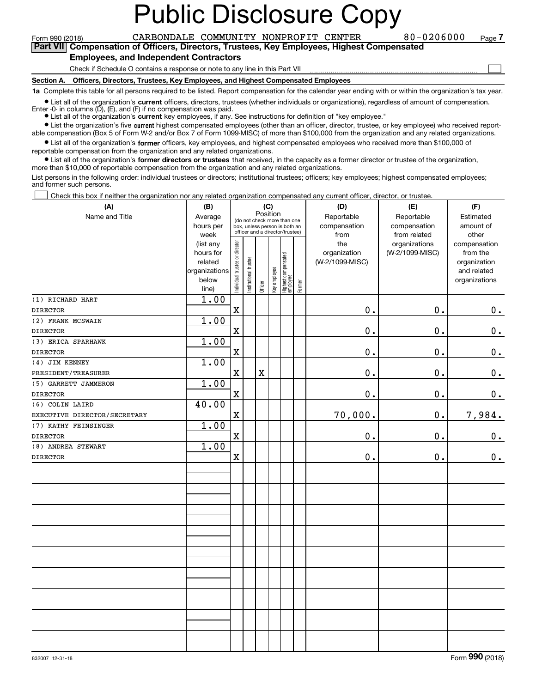Form 990 (2018) CARBONDALE COMMUNITY NONPROFIT CENTER 8 0 – 0 2 0 6 0 0 0 page<br>Part VIII Compensation of Officers Directors Trustees Key Employees\_Highest Compensated **7Part VII Compensation of Officers, Directors, Trustees, Key Employees, Highest Compensated**

 $\mathcal{L}^{\text{max}}$ 

#### **Employees, and Independent Contractors**

Check if Schedule O contains a response or note to any line in this Part VII

**Section A. Officers, Directors, Trustees, Key Employees, and Highest Compensated Employees**

**1a**  Complete this table for all persons required to be listed. Report compensation for the calendar year ending with or within the organization's tax year.

**•** List all of the organization's current officers, directors, trustees (whether individuals or organizations), regardless of amount of compensation.

Enter  $-0$ - in columns  $(D)$ ,  $(E)$ , and  $(F)$  if no compensation was paid.

● List all of the organization's **current** key employees, if any. See instructions for definition of "key employee."

**In List the organization's five current highest compensated employees (other than an officer, director, trustee, or key employee) who received report-**■ List the organization's five current highest compensated employees (other than an officer, director, trustee, or key employee) who received report-<br>able compensation (Box 5 of Form W-2 and/or Box 7 of Form 1099-MISC) of

 $\bullet$  List all of the organization's **former** officers, key employees, and highest compensated employees who received more than \$100,000 of reportable compensation from the organization and any related organizations.

**•** List all of the organization's former directors or trustees that received, in the capacity as a former director or trustee of the organization, more than \$10,000 of reportable compensation from the organization and any related organizations.

List persons in the following order: individual trustees or directors; institutional trustees; officers; key employees; highest compensated employees; and former such persons.

Check this box if neither the organization nor any related organization compensated any current officer, director, or trustee.  $\mathcal{L}^{\text{max}}$ 

| (A)                          | (B)               |                                |                       |             | (C)          |                                                                  |        | (D)             | (E)                           | (F)                   |
|------------------------------|-------------------|--------------------------------|-----------------------|-------------|--------------|------------------------------------------------------------------|--------|-----------------|-------------------------------|-----------------------|
| Name and Title               | Average           |                                |                       | Position    |              | (do not check more than one                                      |        | Reportable      | Reportable                    | Estimated             |
|                              | hours per         |                                |                       |             |              | box, unless person is both an<br>officer and a director/trustee) |        | compensation    | compensation                  | amount of             |
|                              | week<br>(list any |                                |                       |             |              |                                                                  |        | from<br>the     | from related<br>organizations | other<br>compensation |
|                              | hours for         |                                |                       |             |              |                                                                  |        | organization    | (W-2/1099-MISC)               | from the              |
|                              | related           |                                |                       |             |              |                                                                  |        | (W-2/1099-MISC) |                               | organization          |
|                              | organizations     |                                |                       |             |              |                                                                  |        |                 |                               | and related           |
|                              | below<br>line)    | Individual trustee or director | Institutional trustee | Officer     | Key employee | Highest compensated<br>  employee                                | Former |                 |                               | organizations         |
| (1) RICHARD HART             | 1.00              |                                |                       |             |              |                                                                  |        |                 |                               |                       |
| <b>DIRECTOR</b>              |                   | $\mathbf X$                    |                       |             |              |                                                                  |        | 0.              | 0.                            | 0.                    |
| (2) FRANK MCSWAIN            | 1.00              |                                |                       |             |              |                                                                  |        |                 |                               |                       |
| <b>DIRECTOR</b>              |                   | $\mathbf X$                    |                       |             |              |                                                                  |        | $\mathbf 0$ .   | 0.                            | 0.                    |
| (3) ERICA SPARHAWK           | 1.00              |                                |                       |             |              |                                                                  |        |                 |                               |                       |
| <b>DIRECTOR</b>              |                   | $\mathbf X$                    |                       |             |              |                                                                  |        | 0.              | $\mathbf 0$ .                 | $\mathbf 0$ .         |
| (4) JIM KENNEY               | 1.00              |                                |                       |             |              |                                                                  |        |                 |                               |                       |
| PRESIDENT/TREASURER          |                   | $\mathbf X$                    |                       | $\mathbf X$ |              |                                                                  |        | $0$ .           | 0.                            | $\mathbf 0$ .         |
| (5) GARRETT JAMMERON         | 1.00              |                                |                       |             |              |                                                                  |        |                 |                               |                       |
| <b>DIRECTOR</b>              |                   | $\mathbf X$                    |                       |             |              |                                                                  |        | 0.              | $\mathbf 0$ .                 | 0.                    |
| (6) COLIN LAIRD              | 40.00             |                                |                       |             |              |                                                                  |        |                 |                               |                       |
| EXECUTIVE DIRECTOR/SECRETARY |                   | $\mathbf X$                    |                       |             |              |                                                                  |        | 70,000.         | 0.                            | 7,984.                |
| (7) KATHY FEINSINGER         | 1.00              |                                |                       |             |              |                                                                  |        |                 |                               |                       |
| <b>DIRECTOR</b>              |                   | $\mathbf x$                    |                       |             |              |                                                                  |        | 0.              | 0.                            | $0_{.}$               |
| (8) ANDREA STEWART           | 1.00              |                                |                       |             |              |                                                                  |        |                 |                               |                       |
| <b>DIRECTOR</b>              |                   | $\mathbf X$                    |                       |             |              |                                                                  |        | $0$ .           | 0.                            | $\mathbf 0$ .         |
|                              |                   |                                |                       |             |              |                                                                  |        |                 |                               |                       |
|                              |                   |                                |                       |             |              |                                                                  |        |                 |                               |                       |
|                              |                   |                                |                       |             |              |                                                                  |        |                 |                               |                       |
|                              |                   |                                |                       |             |              |                                                                  |        |                 |                               |                       |
|                              |                   |                                |                       |             |              |                                                                  |        |                 |                               |                       |
|                              |                   |                                |                       |             |              |                                                                  |        |                 |                               |                       |
|                              |                   |                                |                       |             |              |                                                                  |        |                 |                               |                       |
|                              |                   |                                |                       |             |              |                                                                  |        |                 |                               |                       |
|                              |                   |                                |                       |             |              |                                                                  |        |                 |                               |                       |
|                              |                   |                                |                       |             |              |                                                                  |        |                 |                               |                       |
|                              |                   |                                |                       |             |              |                                                                  |        |                 |                               |                       |
|                              |                   |                                |                       |             |              |                                                                  |        |                 |                               |                       |
|                              |                   |                                |                       |             |              |                                                                  |        |                 |                               |                       |
|                              |                   |                                |                       |             |              |                                                                  |        |                 |                               |                       |
|                              |                   |                                |                       |             |              |                                                                  |        |                 |                               |                       |
|                              |                   |                                |                       |             |              |                                                                  |        |                 |                               |                       |
|                              |                   |                                |                       |             |              |                                                                  |        |                 |                               |                       |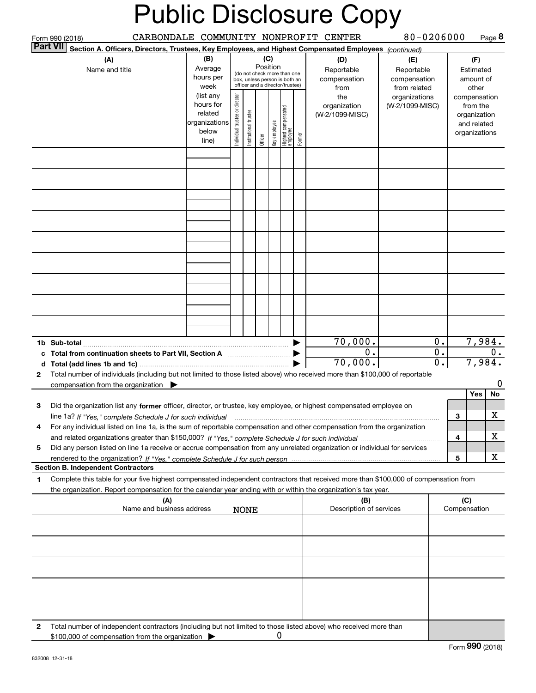|                                                                                                                         | Form 990 (2018)                                                                                                                                                                                                                                                 |                                                         |                               |                      |         |              |                                                                                                 |        | CARBONDALE COMMUNITY NONPROFIT CENTER            | 80-0206000                                        |                  |                                                        |                                                          | Page 8 |
|-------------------------------------------------------------------------------------------------------------------------|-----------------------------------------------------------------------------------------------------------------------------------------------------------------------------------------------------------------------------------------------------------------|---------------------------------------------------------|-------------------------------|----------------------|---------|--------------|-------------------------------------------------------------------------------------------------|--------|--------------------------------------------------|---------------------------------------------------|------------------|--------------------------------------------------------|----------------------------------------------------------|--------|
| <b>Part VII</b>                                                                                                         | Section A. Officers, Directors, Trustees, Key Employees, and Highest Compensated Employees (continued)                                                                                                                                                          |                                                         |                               |                      |         |              |                                                                                                 |        |                                                  |                                                   |                  |                                                        |                                                          |        |
|                                                                                                                         | (A)<br>Name and title                                                                                                                                                                                                                                           | (B)<br>Average<br>hours per<br>week<br>(list any        |                               |                      | (C)     | Position     | (do not check more than one<br>box, unless person is both an<br>officer and a director/trustee) |        | (D)<br>Reportable<br>compensation<br>from<br>the | (E)<br>Reportable<br>compensation<br>from related |                  | (F)<br>Estimated<br>amount of<br>other<br>compensation |                                                          |        |
|                                                                                                                         |                                                                                                                                                                                                                                                                 | hours for<br>related<br>organizations<br>below<br>line) | ndividual trustee or director | nstitutional trustee | Officer | Key employee | Highest compensated<br>  employee                                                               | Former | organization<br>(W-2/1099-MISC)                  | organizations<br>(W-2/1099-MISC)                  |                  |                                                        | from the<br>organization<br>and related<br>organizations |        |
|                                                                                                                         |                                                                                                                                                                                                                                                                 |                                                         |                               |                      |         |              |                                                                                                 |        |                                                  |                                                   |                  |                                                        |                                                          |        |
|                                                                                                                         |                                                                                                                                                                                                                                                                 |                                                         |                               |                      |         |              |                                                                                                 |        |                                                  |                                                   |                  |                                                        |                                                          |        |
|                                                                                                                         |                                                                                                                                                                                                                                                                 |                                                         |                               |                      |         |              |                                                                                                 |        |                                                  |                                                   |                  |                                                        |                                                          |        |
|                                                                                                                         |                                                                                                                                                                                                                                                                 |                                                         |                               |                      |         |              |                                                                                                 |        |                                                  |                                                   |                  |                                                        |                                                          |        |
|                                                                                                                         |                                                                                                                                                                                                                                                                 |                                                         |                               |                      |         |              |                                                                                                 |        |                                                  |                                                   |                  |                                                        |                                                          |        |
|                                                                                                                         |                                                                                                                                                                                                                                                                 |                                                         |                               |                      |         |              |                                                                                                 |        |                                                  |                                                   |                  |                                                        |                                                          |        |
|                                                                                                                         |                                                                                                                                                                                                                                                                 |                                                         |                               |                      |         |              |                                                                                                 |        |                                                  |                                                   |                  |                                                        |                                                          |        |
|                                                                                                                         |                                                                                                                                                                                                                                                                 |                                                         |                               |                      |         |              |                                                                                                 |        |                                                  |                                                   |                  |                                                        |                                                          |        |
|                                                                                                                         |                                                                                                                                                                                                                                                                 |                                                         |                               |                      |         |              |                                                                                                 |        |                                                  |                                                   |                  |                                                        |                                                          |        |
| 70,000.<br>0.<br>c Total from continuation sheets to Part VII, Section A manufactured and response Total from extension |                                                                                                                                                                                                                                                                 |                                                         |                               |                      |         |              |                                                                                                 |        | 0.<br>$0$ .                                      | 7,984.<br>$0$ .                                   |                  |                                                        |                                                          |        |
| d                                                                                                                       |                                                                                                                                                                                                                                                                 |                                                         |                               |                      |         |              |                                                                                                 |        | 70,000.                                          |                                                   | $\overline{0}$ . |                                                        | 7,984.                                                   |        |
| $\mathbf{2}$                                                                                                            | Total number of individuals (including but not limited to those listed above) who received more than \$100,000 of reportable<br>compensation from the organization $\blacktriangleright$                                                                        |                                                         |                               |                      |         |              |                                                                                                 |        |                                                  |                                                   |                  |                                                        |                                                          | 0      |
|                                                                                                                         |                                                                                                                                                                                                                                                                 |                                                         |                               |                      |         |              |                                                                                                 |        |                                                  |                                                   |                  |                                                        | Yes                                                      | No     |
| з                                                                                                                       | Did the organization list any former officer, director, or trustee, key employee, or highest compensated employee on<br>line 1a? If "Yes," complete Schedule J for such individual manufactured contained and the Ves," complete Schedule J for such individual |                                                         |                               |                      |         |              |                                                                                                 |        |                                                  |                                                   |                  | 3                                                      |                                                          | X      |
| 4                                                                                                                       | For any individual listed on line 1a, is the sum of reportable compensation and other compensation from the organization                                                                                                                                        |                                                         |                               |                      |         |              |                                                                                                 |        |                                                  |                                                   |                  |                                                        |                                                          |        |
|                                                                                                                         |                                                                                                                                                                                                                                                                 |                                                         |                               |                      |         |              |                                                                                                 |        |                                                  |                                                   |                  | 4                                                      |                                                          | X      |
| 5                                                                                                                       | Did any person listed on line 1a receive or accrue compensation from any unrelated organization or individual for services                                                                                                                                      |                                                         |                               |                      |         |              |                                                                                                 |        |                                                  |                                                   |                  | 5                                                      |                                                          | x      |
|                                                                                                                         | <b>Section B. Independent Contractors</b>                                                                                                                                                                                                                       |                                                         |                               |                      |         |              |                                                                                                 |        |                                                  |                                                   |                  |                                                        |                                                          |        |
| 1                                                                                                                       | Complete this table for your five highest compensated independent contractors that received more than \$100,000 of compensation from<br>the organization. Report compensation for the calendar year ending with or within the organization's tax year.          |                                                         |                               |                      |         |              |                                                                                                 |        |                                                  |                                                   |                  |                                                        |                                                          |        |
|                                                                                                                         | (A)<br>Name and business address                                                                                                                                                                                                                                |                                                         |                               | <b>NONE</b>          |         |              |                                                                                                 |        | (B)<br>Description of services                   |                                                   |                  | (C)<br>Compensation                                    |                                                          |        |
|                                                                                                                         |                                                                                                                                                                                                                                                                 |                                                         |                               |                      |         |              |                                                                                                 |        |                                                  |                                                   |                  |                                                        |                                                          |        |
|                                                                                                                         |                                                                                                                                                                                                                                                                 |                                                         |                               |                      |         |              |                                                                                                 |        |                                                  |                                                   |                  |                                                        |                                                          |        |
|                                                                                                                         |                                                                                                                                                                                                                                                                 |                                                         |                               |                      |         |              |                                                                                                 |        |                                                  |                                                   |                  |                                                        |                                                          |        |
|                                                                                                                         |                                                                                                                                                                                                                                                                 |                                                         |                               |                      |         |              |                                                                                                 |        |                                                  |                                                   |                  |                                                        |                                                          |        |
|                                                                                                                         |                                                                                                                                                                                                                                                                 |                                                         |                               |                      |         |              |                                                                                                 |        |                                                  |                                                   |                  |                                                        |                                                          |        |
| 2                                                                                                                       | Total number of independent contractors (including but not limited to those listed above) who received more than<br>\$100,000 of compensation from the organization                                                                                             |                                                         |                               |                      |         | U            |                                                                                                 |        |                                                  |                                                   |                  |                                                        |                                                          |        |
|                                                                                                                         |                                                                                                                                                                                                                                                                 |                                                         |                               |                      |         |              |                                                                                                 |        |                                                  |                                                   |                  |                                                        | $F_{\text{arm}}$ 990 (2019)                              |        |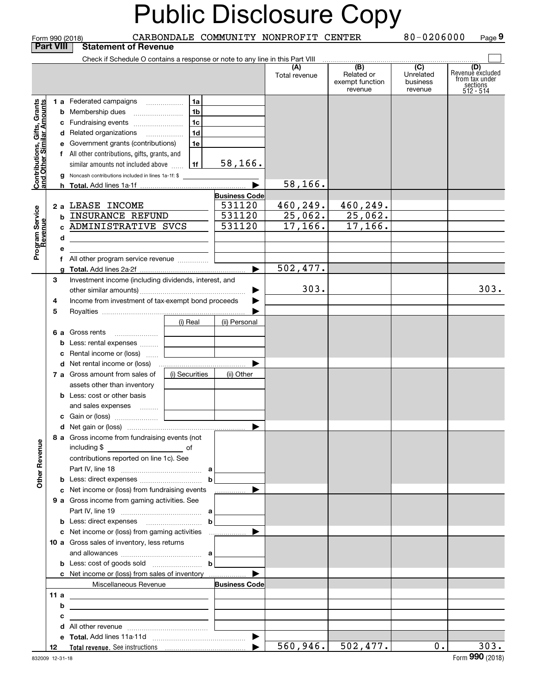|                                          |                                                         |                                                                               |                |                       |                                       | <b>Public Disclosure Copy</b>                   |                                         |                                                                    |
|------------------------------------------|---------------------------------------------------------|-------------------------------------------------------------------------------|----------------|-----------------------|---------------------------------------|-------------------------------------------------|-----------------------------------------|--------------------------------------------------------------------|
|                                          | <b>Part VIII</b>                                        | Form 990 (2018)<br><b>Statement of Revenue</b>                                |                |                       | CARBONDALE COMMUNITY NONPROFIT CENTER |                                                 | 80-0206000                              | Page 9                                                             |
|                                          |                                                         | Check if Schedule O contains a response or note to any line in this Part VIII |                |                       |                                       |                                                 |                                         |                                                                    |
|                                          |                                                         |                                                                               |                |                       | (A)<br>Total revenue                  | (B)<br>Related or<br>exempt function<br>revenue | (C)<br>Unrelated<br>business<br>revenue | (D)<br>Revenuè excluded<br>from tax under<br>sections<br>512 - 514 |
|                                          |                                                         | 1 a Federated campaigns                                                       | 1a             |                       |                                       |                                                 |                                         |                                                                    |
|                                          |                                                         | <b>b</b> Membership dues                                                      | 1b             |                       |                                       |                                                 |                                         |                                                                    |
|                                          |                                                         | c Fundraising events                                                          | 1 <sub>c</sub> |                       |                                       |                                                 |                                         |                                                                    |
| , Gifts, Grants<br>ullar Amounts         |                                                         | d Related organizations                                                       | 1 <sub>d</sub> |                       |                                       |                                                 |                                         |                                                                    |
|                                          |                                                         | e Government grants (contributions)                                           | 1e             |                       |                                       |                                                 |                                         |                                                                    |
|                                          |                                                         | f All other contributions, gifts, grants, and                                 |                |                       |                                       |                                                 |                                         |                                                                    |
|                                          |                                                         | similar amounts not included above                                            | 1f             | 58, 166.              |                                       |                                                 |                                         |                                                                    |
| Contributions, Gift<br>and Other Similar |                                                         | g Noncash contributions included in lines 1a-1f: \$                           |                |                       |                                       |                                                 |                                         |                                                                    |
|                                          |                                                         |                                                                               |                |                       | 58, 166.                              |                                                 |                                         |                                                                    |
|                                          |                                                         |                                                                               |                | <b>Business Code</b>  |                                       |                                                 |                                         |                                                                    |
|                                          |                                                         | 2 a LEASE INCOME                                                              |                | 531120                | 460, 249.                             | 460,249.                                        |                                         |                                                                    |
|                                          |                                                         | INSURANCE REFUND                                                              |                | 531120                | 25,062.                               | 25,062.                                         |                                         |                                                                    |
|                                          |                                                         | ADMINISTRATIVE SVCS                                                           |                | 531120                | 17, 166.                              | 17, 166.                                        |                                         |                                                                    |
|                                          | d                                                       |                                                                               |                |                       |                                       |                                                 |                                         |                                                                    |
| Program Service<br>Revenue               | е                                                       |                                                                               |                |                       |                                       |                                                 |                                         |                                                                    |
|                                          |                                                         |                                                                               |                |                       | 502, 477.                             |                                                 |                                         |                                                                    |
|                                          |                                                         |                                                                               |                |                       |                                       |                                                 |                                         |                                                                    |
|                                          | З                                                       | Investment income (including dividends, interest, and                         |                |                       | 303.                                  |                                                 |                                         | 303.                                                               |
|                                          | Income from investment of tax-exempt bond proceeds<br>4 |                                                                               | ▶              |                       |                                       |                                                 |                                         |                                                                    |
|                                          | 5                                                       |                                                                               |                |                       |                                       |                                                 |                                         |                                                                    |
|                                          |                                                         |                                                                               | (i) Real       | (ii) Personal         |                                       |                                                 |                                         |                                                                    |
|                                          |                                                         | 6 a Gross rents                                                               |                |                       |                                       |                                                 |                                         |                                                                    |
|                                          |                                                         | <b>b</b> Less: rental expenses                                                |                |                       |                                       |                                                 |                                         |                                                                    |
|                                          |                                                         | c Rental income or (loss)                                                     |                |                       |                                       |                                                 |                                         |                                                                    |
|                                          |                                                         | <b>d</b> Net rental income or (loss)                                          |                |                       |                                       |                                                 |                                         |                                                                    |
|                                          |                                                         | 7 a Gross amount from sales of                                                | (i) Securities | (ii) Other            |                                       |                                                 |                                         |                                                                    |
|                                          |                                                         | assets other than inventory                                                   |                |                       |                                       |                                                 |                                         |                                                                    |
|                                          |                                                         | <b>b</b> Less: cost or other basis                                            |                |                       |                                       |                                                 |                                         |                                                                    |
|                                          |                                                         | and sales expenses                                                            |                |                       |                                       |                                                 |                                         |                                                                    |
|                                          |                                                         |                                                                               |                |                       |                                       |                                                 |                                         |                                                                    |
|                                          |                                                         |                                                                               |                |                       |                                       |                                                 |                                         |                                                                    |
|                                          |                                                         | 8 a Gross income from fundraising events (not                                 |                |                       |                                       |                                                 |                                         |                                                                    |
|                                          |                                                         | including \$<br>$\overline{\phantom{a}}$ of                                   |                |                       |                                       |                                                 |                                         |                                                                    |
|                                          |                                                         | contributions reported on line 1c). See                                       |                |                       |                                       |                                                 |                                         |                                                                    |
|                                          |                                                         |                                                                               |                |                       |                                       |                                                 |                                         |                                                                    |
| <b>Other Revenue</b>                     |                                                         |                                                                               | $\mathbf b$    |                       |                                       |                                                 |                                         |                                                                    |
|                                          |                                                         | c Net income or (loss) from fundraising events                                |                | .                     |                                       |                                                 |                                         |                                                                    |
|                                          |                                                         | 9 a Gross income from gaming activities. See                                  |                |                       |                                       |                                                 |                                         |                                                                    |
|                                          |                                                         |                                                                               |                |                       |                                       |                                                 |                                         |                                                                    |
|                                          |                                                         |                                                                               |                |                       |                                       |                                                 |                                         |                                                                    |
|                                          |                                                         | 10 a Gross sales of inventory, less returns                                   |                |                       |                                       |                                                 |                                         |                                                                    |
|                                          |                                                         |                                                                               |                |                       |                                       |                                                 |                                         |                                                                    |
|                                          |                                                         | <b>b</b> Less: cost of goods sold $\begin{bmatrix} b \end{bmatrix}$           |                |                       |                                       |                                                 |                                         |                                                                    |
|                                          |                                                         | c Net income or (loss) from sales of inventory                                |                |                       |                                       |                                                 |                                         |                                                                    |
|                                          |                                                         | Miscellaneous Revenue                                                         |                | <b>Business Code</b>  |                                       |                                                 |                                         |                                                                    |
|                                          |                                                         |                                                                               |                |                       |                                       |                                                 |                                         |                                                                    |
|                                          | b                                                       |                                                                               |                |                       |                                       |                                                 |                                         |                                                                    |
|                                          |                                                         |                                                                               |                |                       |                                       |                                                 |                                         |                                                                    |
|                                          |                                                         |                                                                               |                |                       |                                       |                                                 |                                         |                                                                    |
|                                          |                                                         |                                                                               |                | ▶                     |                                       |                                                 |                                         |                                                                    |
|                                          | 12                                                      |                                                                               |                | $\blacktriangleright$ | 560, 946.                             | 502,477.                                        | 0.                                      | 303.                                                               |
|                                          | 832009 12-31-18                                         |                                                                               |                |                       |                                       |                                                 |                                         | Form 990 (2018)                                                    |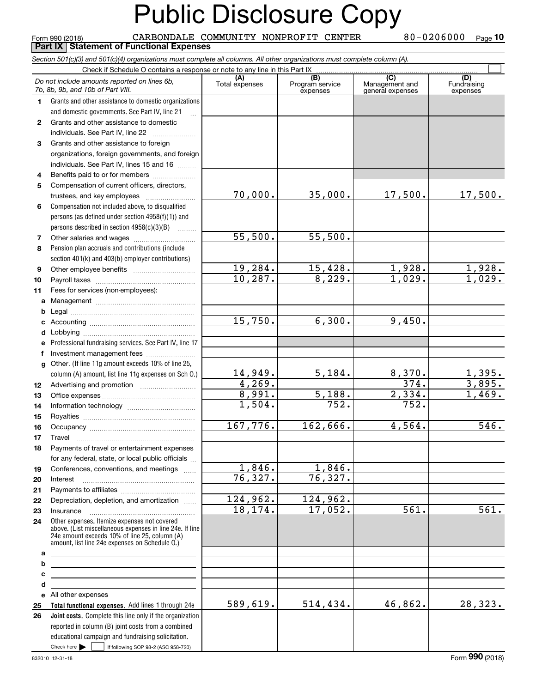Check here  $\bullet$  if following SOP 98-2 (ASC 958-720) **Total functional expenses.**  Add lines 1 through 24e **Joint costs.** Complete this line only if the organization **(A)**<br>Total expenses **(C)** (C) (C)<br>
penses Program service Management and Fundrai<br>
expenses general expenses expen **1234567891011abcdefg12131415161718192021222324abcde2526***Section 501(c)(3) and 501(c)(4) organizations must complete all columns. All other organizations must complete column (A).* Grants and other assistance to domestic organizations and domestic governments. See Part IV, line 21 Compensation not included above, to disqualified persons (as defined under section 4958(f)(1)) and persons described in section 4958(c)(3)(B)  $\quad \ldots \ldots \ldots$ Pension plan accruals and contributions (include section 401(k) and 403(b) employer contributions) Professional fundraising services. See Part IV, line 17 Other. (If line 11g amount exceeds 10% of line 25, column (A) amount, list line 11g expenses on Sch O.) Other expenses. Itemize expenses not covered above. (List miscellaneous expenses in line 24e. If line 24e amount exceeds 10% of line 25, column (A) amount, list line 24e expenses on Schedule O.) reported in column (B) joint costs from a combined educational campaign and fundraising solicitation. Form 990 (2018) CARBONDALE COMMUNITY NONPROFIT CENTER 8 0 – 0 2 0 6 0 0 0 Page<br>Part IX | Statement of Functional Expenses Check if Schedule O contains a response or note to any line in this Part IX (C) (C) (C) (C) (C) (C) Program service expensesFundraising expensesGrants and other assistance to domestic individuals. See Part IV, line 22 ~~~~~~~ Grants and other assistance to foreign organizations, foreign governments, and foreign individuals. See Part IV, lines 15 and 16  $\ldots$ Benefits paid to or for members ..................... Compensation of current officers, directors, trustees, and key employees ~~~~~~~~ Other salaries and wages ~~~~~~~~~~ Other employee benefits ~~~~~~~~~~ Payroll taxes ~~~~~~~~~~~~~~~~ Fees for services (non-employees): Management ~~~~~~~~~~~~~~~~ Legal ~~~~~~~~~~~~~~~~~~~~Accounting ~~~~~~~~~~~~~~~~~ Lobbying ~~~~~~~~~~~~~~~~~~ lnvestment management fees ....................... Advertising and promotion www.communication Office expenses ~~~~~~~~~~~~~~~ Information technology ~~~~~~~~~~~ Royalties ~~~~~~~~~~~~~~~~~~ Occupancy ~~~~~~~~~~~~~~~~~ Travel ……………………………………………… Payments of travel or entertainment expenses for any federal, state, or local public officials ... Conferences, conventions, and meetings InterestPayments to affiliates ~~~~~~~~~~~~ Depreciation, depletion, and amortization  $\,\,\ldots\,\,$ InsuranceAll other expenses Check here  $\blacktriangleright$ *Do not include amounts reported on lines 6b, 7b, 8b, 9b, and 10b of Part VIII.* **10 Part IX Statement of Functional Expenses**  $\mathcal{L}^{\text{max}}$ 70,000. 55,500. 19,284. 10,287. 15,750. 14,949.  $4,269.$ 8,991. 1,504. 167,776. 1,846. 76,327. 124,962. 18,174. 589,619. 35,000. 17,500. 17,500. 55,500. 15,428. 1,928. 1,928.<br>8,229. 1,029. 1,029. 8,229. 1,029. 1,029. 6,300. 9,450.  $\begin{array}{|c|c|c|c|c|}\n 5,184. & \quad & 8,370. & \quad & 1,395. \\
 \hline\n & 374. & \quad & 3,895. & \n\end{array}$  $\begin{array}{|c|c|c|}\n \hline\n 374. & \hline\n 2,334. & \hline\n \end{array}$  $\begin{array}{|c|c|c|c|c|}\n\hline\n5,188. & 2,334. & 1,469. \\
\hline\n752. & 752. & & \\
\hline\n\end{array}$ 752. 752. 162,666. 4,564. 546. 1,846. 76,327. 124,962. 17,052. 561. 561. 514,434. 46,862. 28,323.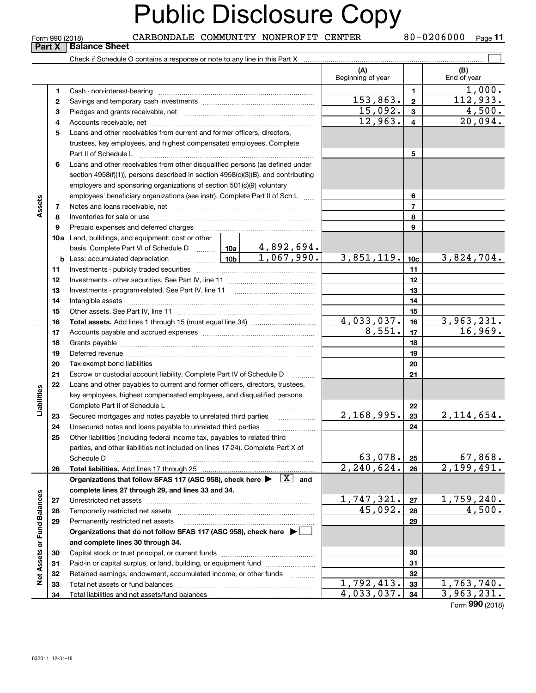| Part X<br>(A)<br>(B)<br>Beginning of year<br>End of year<br>1,000.<br>$\mathbf{1}$<br>1<br>112,933.<br>153,863.<br>$\overline{2}$<br>$\mathbf{2}$<br>15,092.<br>4,500.<br>$\mathbf{3}$<br>3<br>12,963.<br>20,094.<br>$\overline{\mathbf{4}}$<br>4<br>Loans and other receivables from current and former officers, directors,<br>5<br>trustees, key employees, and highest compensated employees. Complete<br>5<br>Part II of Schedule L<br>Loans and other receivables from other disqualified persons (as defined under<br>6<br>section 4958(f)(1)), persons described in section 4958(c)(3)(B), and contributing<br>employers and sponsoring organizations of section 501(c)(9) voluntary<br>employees' beneficiary organizations (see instr). Complete Part II of Sch L<br>6<br>Assets<br>$\overline{7}$<br>7<br>8<br>8<br>9<br>9<br>Prepaid expenses and deferred charges<br>10a Land, buildings, and equipment: cost or other<br>basis. Complete Part VI of Schedule D  10a   4,892,694.<br>$\boxed{1,067,990.}$<br>3,851,119.<br>3,824,704.<br>$\frac{10b}{10b}$<br>10 <sub>c</sub><br><b>b</b> Less: accumulated depreciation<br>11<br>11<br>12<br>12<br>13<br>13<br>14<br>14<br>15<br>15<br>3,963,231.<br>4,033,037.<br>16<br>16<br>16,969.<br>8,551.<br>17<br>17<br>18<br>18<br>19<br>19<br>Deferred revenue manual contracts and contracts are contracted and contract and contract are contracted and contract are contracted and contract are contracted and contract are contracted and contract are contracted and co<br>20<br>20<br>21<br>Escrow or custodial account liability. Complete Part IV of Schedule D<br>21<br>Loans and other payables to current and former officers, directors, trustees,<br>22<br>Liabilities<br>key employees, highest compensated employees, and disqualified persons.<br>Complete Part II of Schedule L<br>22<br>2,168,995.<br>2,114,654.<br>23<br>Secured mortgages and notes payable to unrelated third parties<br>23<br>$\cdots$<br>24<br>24<br>25<br>Other liabilities (including federal income tax, payables to related third<br>parties, and other liabilities not included on lines 17-24). Complete Part X of<br>63,078.<br>67,868.<br>25<br>Schedule D<br>2, 240, 624.<br>2,199,491.<br>Total liabilities. Add lines 17 through 25<br>26<br>26<br>Organizations that follow SFAS 117 (ASC 958), check here $\blacktriangleright \begin{array}{ c } \hline X & \text{and} \end{array}$<br>complete lines 27 through 29, and lines 33 and 34.<br>Net Assets or Fund Balances<br>1,747,321.<br>1,759,240.<br>27<br>27<br>45,092.<br>4,500.<br>28<br>28<br>Temporarily restricted net assets<br>29<br>29<br>Permanently restricted net assets<br>Organizations that do not follow SFAS 117 (ASC 958), check here ▶<br>and complete lines 30 through 34.<br>30<br>30<br>Paid-in or capital surplus, or land, building, or equipment fund<br>31<br>31<br>Retained earnings, endowment, accumulated income, or other funds<br>32<br>32<br>1.1.1.1.1.1.1.1.1<br>1,792,413.<br>1,763,740.<br>33<br>33<br>Total net assets or fund balances<br>4,033,037.<br>3,963,231.<br>34<br>34<br>$F_{\text{orm}}$ 990 (2018) |  | Form 990 (2018) | CARBONDALE COMMUNITY NONPROFIT CENTER |  |  | 80-0206000<br>Page 11 |
|---------------------------------------------------------------------------------------------------------------------------------------------------------------------------------------------------------------------------------------------------------------------------------------------------------------------------------------------------------------------------------------------------------------------------------------------------------------------------------------------------------------------------------------------------------------------------------------------------------------------------------------------------------------------------------------------------------------------------------------------------------------------------------------------------------------------------------------------------------------------------------------------------------------------------------------------------------------------------------------------------------------------------------------------------------------------------------------------------------------------------------------------------------------------------------------------------------------------------------------------------------------------------------------------------------------------------------------------------------------------------------------------------------------------------------------------------------------------------------------------------------------------------------------------------------------------------------------------------------------------------------------------------------------------------------------------------------------------------------------------------------------------------------------------------------------------------------------------------------------------------------------------------------------------------------------------------------------------------------------------------------------------------------------------------------------------------------------------------------------------------------------------------------------------------------------------------------------------------------------------------------------------------------------------------------------------------------------------------------------------------------------------------------------------------------------------------------------------------------------------------------------------------------------------------------------------------------------------------------------------------------------------------------------------------------------------------------------------------------------------------------------------------------------------------------------------------------------------------------------------------------------------------------------------------------------------------------------------------------------------------------------------------------------------------------------------------------------------------------------------------------------------------------------------|--|-----------------|---------------------------------------|--|--|-----------------------|
|                                                                                                                                                                                                                                                                                                                                                                                                                                                                                                                                                                                                                                                                                                                                                                                                                                                                                                                                                                                                                                                                                                                                                                                                                                                                                                                                                                                                                                                                                                                                                                                                                                                                                                                                                                                                                                                                                                                                                                                                                                                                                                                                                                                                                                                                                                                                                                                                                                                                                                                                                                                                                                                                                                                                                                                                                                                                                                                                                                                                                                                                                                                                                                     |  |                 | <b>Balance Sheet</b>                  |  |  |                       |
|                                                                                                                                                                                                                                                                                                                                                                                                                                                                                                                                                                                                                                                                                                                                                                                                                                                                                                                                                                                                                                                                                                                                                                                                                                                                                                                                                                                                                                                                                                                                                                                                                                                                                                                                                                                                                                                                                                                                                                                                                                                                                                                                                                                                                                                                                                                                                                                                                                                                                                                                                                                                                                                                                                                                                                                                                                                                                                                                                                                                                                                                                                                                                                     |  |                 |                                       |  |  |                       |
|                                                                                                                                                                                                                                                                                                                                                                                                                                                                                                                                                                                                                                                                                                                                                                                                                                                                                                                                                                                                                                                                                                                                                                                                                                                                                                                                                                                                                                                                                                                                                                                                                                                                                                                                                                                                                                                                                                                                                                                                                                                                                                                                                                                                                                                                                                                                                                                                                                                                                                                                                                                                                                                                                                                                                                                                                                                                                                                                                                                                                                                                                                                                                                     |  |                 |                                       |  |  |                       |
|                                                                                                                                                                                                                                                                                                                                                                                                                                                                                                                                                                                                                                                                                                                                                                                                                                                                                                                                                                                                                                                                                                                                                                                                                                                                                                                                                                                                                                                                                                                                                                                                                                                                                                                                                                                                                                                                                                                                                                                                                                                                                                                                                                                                                                                                                                                                                                                                                                                                                                                                                                                                                                                                                                                                                                                                                                                                                                                                                                                                                                                                                                                                                                     |  |                 |                                       |  |  |                       |
|                                                                                                                                                                                                                                                                                                                                                                                                                                                                                                                                                                                                                                                                                                                                                                                                                                                                                                                                                                                                                                                                                                                                                                                                                                                                                                                                                                                                                                                                                                                                                                                                                                                                                                                                                                                                                                                                                                                                                                                                                                                                                                                                                                                                                                                                                                                                                                                                                                                                                                                                                                                                                                                                                                                                                                                                                                                                                                                                                                                                                                                                                                                                                                     |  |                 |                                       |  |  |                       |
|                                                                                                                                                                                                                                                                                                                                                                                                                                                                                                                                                                                                                                                                                                                                                                                                                                                                                                                                                                                                                                                                                                                                                                                                                                                                                                                                                                                                                                                                                                                                                                                                                                                                                                                                                                                                                                                                                                                                                                                                                                                                                                                                                                                                                                                                                                                                                                                                                                                                                                                                                                                                                                                                                                                                                                                                                                                                                                                                                                                                                                                                                                                                                                     |  |                 |                                       |  |  |                       |
|                                                                                                                                                                                                                                                                                                                                                                                                                                                                                                                                                                                                                                                                                                                                                                                                                                                                                                                                                                                                                                                                                                                                                                                                                                                                                                                                                                                                                                                                                                                                                                                                                                                                                                                                                                                                                                                                                                                                                                                                                                                                                                                                                                                                                                                                                                                                                                                                                                                                                                                                                                                                                                                                                                                                                                                                                                                                                                                                                                                                                                                                                                                                                                     |  |                 |                                       |  |  |                       |
|                                                                                                                                                                                                                                                                                                                                                                                                                                                                                                                                                                                                                                                                                                                                                                                                                                                                                                                                                                                                                                                                                                                                                                                                                                                                                                                                                                                                                                                                                                                                                                                                                                                                                                                                                                                                                                                                                                                                                                                                                                                                                                                                                                                                                                                                                                                                                                                                                                                                                                                                                                                                                                                                                                                                                                                                                                                                                                                                                                                                                                                                                                                                                                     |  |                 |                                       |  |  |                       |
|                                                                                                                                                                                                                                                                                                                                                                                                                                                                                                                                                                                                                                                                                                                                                                                                                                                                                                                                                                                                                                                                                                                                                                                                                                                                                                                                                                                                                                                                                                                                                                                                                                                                                                                                                                                                                                                                                                                                                                                                                                                                                                                                                                                                                                                                                                                                                                                                                                                                                                                                                                                                                                                                                                                                                                                                                                                                                                                                                                                                                                                                                                                                                                     |  |                 |                                       |  |  |                       |
|                                                                                                                                                                                                                                                                                                                                                                                                                                                                                                                                                                                                                                                                                                                                                                                                                                                                                                                                                                                                                                                                                                                                                                                                                                                                                                                                                                                                                                                                                                                                                                                                                                                                                                                                                                                                                                                                                                                                                                                                                                                                                                                                                                                                                                                                                                                                                                                                                                                                                                                                                                                                                                                                                                                                                                                                                                                                                                                                                                                                                                                                                                                                                                     |  |                 |                                       |  |  |                       |
|                                                                                                                                                                                                                                                                                                                                                                                                                                                                                                                                                                                                                                                                                                                                                                                                                                                                                                                                                                                                                                                                                                                                                                                                                                                                                                                                                                                                                                                                                                                                                                                                                                                                                                                                                                                                                                                                                                                                                                                                                                                                                                                                                                                                                                                                                                                                                                                                                                                                                                                                                                                                                                                                                                                                                                                                                                                                                                                                                                                                                                                                                                                                                                     |  |                 |                                       |  |  |                       |
|                                                                                                                                                                                                                                                                                                                                                                                                                                                                                                                                                                                                                                                                                                                                                                                                                                                                                                                                                                                                                                                                                                                                                                                                                                                                                                                                                                                                                                                                                                                                                                                                                                                                                                                                                                                                                                                                                                                                                                                                                                                                                                                                                                                                                                                                                                                                                                                                                                                                                                                                                                                                                                                                                                                                                                                                                                                                                                                                                                                                                                                                                                                                                                     |  |                 |                                       |  |  |                       |
|                                                                                                                                                                                                                                                                                                                                                                                                                                                                                                                                                                                                                                                                                                                                                                                                                                                                                                                                                                                                                                                                                                                                                                                                                                                                                                                                                                                                                                                                                                                                                                                                                                                                                                                                                                                                                                                                                                                                                                                                                                                                                                                                                                                                                                                                                                                                                                                                                                                                                                                                                                                                                                                                                                                                                                                                                                                                                                                                                                                                                                                                                                                                                                     |  |                 |                                       |  |  |                       |
|                                                                                                                                                                                                                                                                                                                                                                                                                                                                                                                                                                                                                                                                                                                                                                                                                                                                                                                                                                                                                                                                                                                                                                                                                                                                                                                                                                                                                                                                                                                                                                                                                                                                                                                                                                                                                                                                                                                                                                                                                                                                                                                                                                                                                                                                                                                                                                                                                                                                                                                                                                                                                                                                                                                                                                                                                                                                                                                                                                                                                                                                                                                                                                     |  |                 |                                       |  |  |                       |
|                                                                                                                                                                                                                                                                                                                                                                                                                                                                                                                                                                                                                                                                                                                                                                                                                                                                                                                                                                                                                                                                                                                                                                                                                                                                                                                                                                                                                                                                                                                                                                                                                                                                                                                                                                                                                                                                                                                                                                                                                                                                                                                                                                                                                                                                                                                                                                                                                                                                                                                                                                                                                                                                                                                                                                                                                                                                                                                                                                                                                                                                                                                                                                     |  |                 |                                       |  |  |                       |
|                                                                                                                                                                                                                                                                                                                                                                                                                                                                                                                                                                                                                                                                                                                                                                                                                                                                                                                                                                                                                                                                                                                                                                                                                                                                                                                                                                                                                                                                                                                                                                                                                                                                                                                                                                                                                                                                                                                                                                                                                                                                                                                                                                                                                                                                                                                                                                                                                                                                                                                                                                                                                                                                                                                                                                                                                                                                                                                                                                                                                                                                                                                                                                     |  |                 |                                       |  |  |                       |
|                                                                                                                                                                                                                                                                                                                                                                                                                                                                                                                                                                                                                                                                                                                                                                                                                                                                                                                                                                                                                                                                                                                                                                                                                                                                                                                                                                                                                                                                                                                                                                                                                                                                                                                                                                                                                                                                                                                                                                                                                                                                                                                                                                                                                                                                                                                                                                                                                                                                                                                                                                                                                                                                                                                                                                                                                                                                                                                                                                                                                                                                                                                                                                     |  |                 |                                       |  |  |                       |
|                                                                                                                                                                                                                                                                                                                                                                                                                                                                                                                                                                                                                                                                                                                                                                                                                                                                                                                                                                                                                                                                                                                                                                                                                                                                                                                                                                                                                                                                                                                                                                                                                                                                                                                                                                                                                                                                                                                                                                                                                                                                                                                                                                                                                                                                                                                                                                                                                                                                                                                                                                                                                                                                                                                                                                                                                                                                                                                                                                                                                                                                                                                                                                     |  |                 |                                       |  |  |                       |
|                                                                                                                                                                                                                                                                                                                                                                                                                                                                                                                                                                                                                                                                                                                                                                                                                                                                                                                                                                                                                                                                                                                                                                                                                                                                                                                                                                                                                                                                                                                                                                                                                                                                                                                                                                                                                                                                                                                                                                                                                                                                                                                                                                                                                                                                                                                                                                                                                                                                                                                                                                                                                                                                                                                                                                                                                                                                                                                                                                                                                                                                                                                                                                     |  |                 |                                       |  |  |                       |
|                                                                                                                                                                                                                                                                                                                                                                                                                                                                                                                                                                                                                                                                                                                                                                                                                                                                                                                                                                                                                                                                                                                                                                                                                                                                                                                                                                                                                                                                                                                                                                                                                                                                                                                                                                                                                                                                                                                                                                                                                                                                                                                                                                                                                                                                                                                                                                                                                                                                                                                                                                                                                                                                                                                                                                                                                                                                                                                                                                                                                                                                                                                                                                     |  |                 |                                       |  |  |                       |
|                                                                                                                                                                                                                                                                                                                                                                                                                                                                                                                                                                                                                                                                                                                                                                                                                                                                                                                                                                                                                                                                                                                                                                                                                                                                                                                                                                                                                                                                                                                                                                                                                                                                                                                                                                                                                                                                                                                                                                                                                                                                                                                                                                                                                                                                                                                                                                                                                                                                                                                                                                                                                                                                                                                                                                                                                                                                                                                                                                                                                                                                                                                                                                     |  |                 |                                       |  |  |                       |
|                                                                                                                                                                                                                                                                                                                                                                                                                                                                                                                                                                                                                                                                                                                                                                                                                                                                                                                                                                                                                                                                                                                                                                                                                                                                                                                                                                                                                                                                                                                                                                                                                                                                                                                                                                                                                                                                                                                                                                                                                                                                                                                                                                                                                                                                                                                                                                                                                                                                                                                                                                                                                                                                                                                                                                                                                                                                                                                                                                                                                                                                                                                                                                     |  |                 |                                       |  |  |                       |
|                                                                                                                                                                                                                                                                                                                                                                                                                                                                                                                                                                                                                                                                                                                                                                                                                                                                                                                                                                                                                                                                                                                                                                                                                                                                                                                                                                                                                                                                                                                                                                                                                                                                                                                                                                                                                                                                                                                                                                                                                                                                                                                                                                                                                                                                                                                                                                                                                                                                                                                                                                                                                                                                                                                                                                                                                                                                                                                                                                                                                                                                                                                                                                     |  |                 |                                       |  |  |                       |
|                                                                                                                                                                                                                                                                                                                                                                                                                                                                                                                                                                                                                                                                                                                                                                                                                                                                                                                                                                                                                                                                                                                                                                                                                                                                                                                                                                                                                                                                                                                                                                                                                                                                                                                                                                                                                                                                                                                                                                                                                                                                                                                                                                                                                                                                                                                                                                                                                                                                                                                                                                                                                                                                                                                                                                                                                                                                                                                                                                                                                                                                                                                                                                     |  |                 |                                       |  |  |                       |
|                                                                                                                                                                                                                                                                                                                                                                                                                                                                                                                                                                                                                                                                                                                                                                                                                                                                                                                                                                                                                                                                                                                                                                                                                                                                                                                                                                                                                                                                                                                                                                                                                                                                                                                                                                                                                                                                                                                                                                                                                                                                                                                                                                                                                                                                                                                                                                                                                                                                                                                                                                                                                                                                                                                                                                                                                                                                                                                                                                                                                                                                                                                                                                     |  |                 |                                       |  |  |                       |
|                                                                                                                                                                                                                                                                                                                                                                                                                                                                                                                                                                                                                                                                                                                                                                                                                                                                                                                                                                                                                                                                                                                                                                                                                                                                                                                                                                                                                                                                                                                                                                                                                                                                                                                                                                                                                                                                                                                                                                                                                                                                                                                                                                                                                                                                                                                                                                                                                                                                                                                                                                                                                                                                                                                                                                                                                                                                                                                                                                                                                                                                                                                                                                     |  |                 |                                       |  |  |                       |
|                                                                                                                                                                                                                                                                                                                                                                                                                                                                                                                                                                                                                                                                                                                                                                                                                                                                                                                                                                                                                                                                                                                                                                                                                                                                                                                                                                                                                                                                                                                                                                                                                                                                                                                                                                                                                                                                                                                                                                                                                                                                                                                                                                                                                                                                                                                                                                                                                                                                                                                                                                                                                                                                                                                                                                                                                                                                                                                                                                                                                                                                                                                                                                     |  |                 |                                       |  |  |                       |
|                                                                                                                                                                                                                                                                                                                                                                                                                                                                                                                                                                                                                                                                                                                                                                                                                                                                                                                                                                                                                                                                                                                                                                                                                                                                                                                                                                                                                                                                                                                                                                                                                                                                                                                                                                                                                                                                                                                                                                                                                                                                                                                                                                                                                                                                                                                                                                                                                                                                                                                                                                                                                                                                                                                                                                                                                                                                                                                                                                                                                                                                                                                                                                     |  |                 |                                       |  |  |                       |
|                                                                                                                                                                                                                                                                                                                                                                                                                                                                                                                                                                                                                                                                                                                                                                                                                                                                                                                                                                                                                                                                                                                                                                                                                                                                                                                                                                                                                                                                                                                                                                                                                                                                                                                                                                                                                                                                                                                                                                                                                                                                                                                                                                                                                                                                                                                                                                                                                                                                                                                                                                                                                                                                                                                                                                                                                                                                                                                                                                                                                                                                                                                                                                     |  |                 |                                       |  |  |                       |
|                                                                                                                                                                                                                                                                                                                                                                                                                                                                                                                                                                                                                                                                                                                                                                                                                                                                                                                                                                                                                                                                                                                                                                                                                                                                                                                                                                                                                                                                                                                                                                                                                                                                                                                                                                                                                                                                                                                                                                                                                                                                                                                                                                                                                                                                                                                                                                                                                                                                                                                                                                                                                                                                                                                                                                                                                                                                                                                                                                                                                                                                                                                                                                     |  |                 |                                       |  |  |                       |
|                                                                                                                                                                                                                                                                                                                                                                                                                                                                                                                                                                                                                                                                                                                                                                                                                                                                                                                                                                                                                                                                                                                                                                                                                                                                                                                                                                                                                                                                                                                                                                                                                                                                                                                                                                                                                                                                                                                                                                                                                                                                                                                                                                                                                                                                                                                                                                                                                                                                                                                                                                                                                                                                                                                                                                                                                                                                                                                                                                                                                                                                                                                                                                     |  |                 |                                       |  |  |                       |
|                                                                                                                                                                                                                                                                                                                                                                                                                                                                                                                                                                                                                                                                                                                                                                                                                                                                                                                                                                                                                                                                                                                                                                                                                                                                                                                                                                                                                                                                                                                                                                                                                                                                                                                                                                                                                                                                                                                                                                                                                                                                                                                                                                                                                                                                                                                                                                                                                                                                                                                                                                                                                                                                                                                                                                                                                                                                                                                                                                                                                                                                                                                                                                     |  |                 |                                       |  |  |                       |
|                                                                                                                                                                                                                                                                                                                                                                                                                                                                                                                                                                                                                                                                                                                                                                                                                                                                                                                                                                                                                                                                                                                                                                                                                                                                                                                                                                                                                                                                                                                                                                                                                                                                                                                                                                                                                                                                                                                                                                                                                                                                                                                                                                                                                                                                                                                                                                                                                                                                                                                                                                                                                                                                                                                                                                                                                                                                                                                                                                                                                                                                                                                                                                     |  |                 |                                       |  |  |                       |
|                                                                                                                                                                                                                                                                                                                                                                                                                                                                                                                                                                                                                                                                                                                                                                                                                                                                                                                                                                                                                                                                                                                                                                                                                                                                                                                                                                                                                                                                                                                                                                                                                                                                                                                                                                                                                                                                                                                                                                                                                                                                                                                                                                                                                                                                                                                                                                                                                                                                                                                                                                                                                                                                                                                                                                                                                                                                                                                                                                                                                                                                                                                                                                     |  |                 |                                       |  |  |                       |
|                                                                                                                                                                                                                                                                                                                                                                                                                                                                                                                                                                                                                                                                                                                                                                                                                                                                                                                                                                                                                                                                                                                                                                                                                                                                                                                                                                                                                                                                                                                                                                                                                                                                                                                                                                                                                                                                                                                                                                                                                                                                                                                                                                                                                                                                                                                                                                                                                                                                                                                                                                                                                                                                                                                                                                                                                                                                                                                                                                                                                                                                                                                                                                     |  |                 |                                       |  |  |                       |
|                                                                                                                                                                                                                                                                                                                                                                                                                                                                                                                                                                                                                                                                                                                                                                                                                                                                                                                                                                                                                                                                                                                                                                                                                                                                                                                                                                                                                                                                                                                                                                                                                                                                                                                                                                                                                                                                                                                                                                                                                                                                                                                                                                                                                                                                                                                                                                                                                                                                                                                                                                                                                                                                                                                                                                                                                                                                                                                                                                                                                                                                                                                                                                     |  |                 |                                       |  |  |                       |
|                                                                                                                                                                                                                                                                                                                                                                                                                                                                                                                                                                                                                                                                                                                                                                                                                                                                                                                                                                                                                                                                                                                                                                                                                                                                                                                                                                                                                                                                                                                                                                                                                                                                                                                                                                                                                                                                                                                                                                                                                                                                                                                                                                                                                                                                                                                                                                                                                                                                                                                                                                                                                                                                                                                                                                                                                                                                                                                                                                                                                                                                                                                                                                     |  |                 |                                       |  |  |                       |
|                                                                                                                                                                                                                                                                                                                                                                                                                                                                                                                                                                                                                                                                                                                                                                                                                                                                                                                                                                                                                                                                                                                                                                                                                                                                                                                                                                                                                                                                                                                                                                                                                                                                                                                                                                                                                                                                                                                                                                                                                                                                                                                                                                                                                                                                                                                                                                                                                                                                                                                                                                                                                                                                                                                                                                                                                                                                                                                                                                                                                                                                                                                                                                     |  |                 |                                       |  |  |                       |
|                                                                                                                                                                                                                                                                                                                                                                                                                                                                                                                                                                                                                                                                                                                                                                                                                                                                                                                                                                                                                                                                                                                                                                                                                                                                                                                                                                                                                                                                                                                                                                                                                                                                                                                                                                                                                                                                                                                                                                                                                                                                                                                                                                                                                                                                                                                                                                                                                                                                                                                                                                                                                                                                                                                                                                                                                                                                                                                                                                                                                                                                                                                                                                     |  |                 |                                       |  |  |                       |
|                                                                                                                                                                                                                                                                                                                                                                                                                                                                                                                                                                                                                                                                                                                                                                                                                                                                                                                                                                                                                                                                                                                                                                                                                                                                                                                                                                                                                                                                                                                                                                                                                                                                                                                                                                                                                                                                                                                                                                                                                                                                                                                                                                                                                                                                                                                                                                                                                                                                                                                                                                                                                                                                                                                                                                                                                                                                                                                                                                                                                                                                                                                                                                     |  |                 |                                       |  |  |                       |
|                                                                                                                                                                                                                                                                                                                                                                                                                                                                                                                                                                                                                                                                                                                                                                                                                                                                                                                                                                                                                                                                                                                                                                                                                                                                                                                                                                                                                                                                                                                                                                                                                                                                                                                                                                                                                                                                                                                                                                                                                                                                                                                                                                                                                                                                                                                                                                                                                                                                                                                                                                                                                                                                                                                                                                                                                                                                                                                                                                                                                                                                                                                                                                     |  |                 |                                       |  |  |                       |
|                                                                                                                                                                                                                                                                                                                                                                                                                                                                                                                                                                                                                                                                                                                                                                                                                                                                                                                                                                                                                                                                                                                                                                                                                                                                                                                                                                                                                                                                                                                                                                                                                                                                                                                                                                                                                                                                                                                                                                                                                                                                                                                                                                                                                                                                                                                                                                                                                                                                                                                                                                                                                                                                                                                                                                                                                                                                                                                                                                                                                                                                                                                                                                     |  |                 |                                       |  |  |                       |
|                                                                                                                                                                                                                                                                                                                                                                                                                                                                                                                                                                                                                                                                                                                                                                                                                                                                                                                                                                                                                                                                                                                                                                                                                                                                                                                                                                                                                                                                                                                                                                                                                                                                                                                                                                                                                                                                                                                                                                                                                                                                                                                                                                                                                                                                                                                                                                                                                                                                                                                                                                                                                                                                                                                                                                                                                                                                                                                                                                                                                                                                                                                                                                     |  |                 |                                       |  |  |                       |
|                                                                                                                                                                                                                                                                                                                                                                                                                                                                                                                                                                                                                                                                                                                                                                                                                                                                                                                                                                                                                                                                                                                                                                                                                                                                                                                                                                                                                                                                                                                                                                                                                                                                                                                                                                                                                                                                                                                                                                                                                                                                                                                                                                                                                                                                                                                                                                                                                                                                                                                                                                                                                                                                                                                                                                                                                                                                                                                                                                                                                                                                                                                                                                     |  |                 |                                       |  |  |                       |
|                                                                                                                                                                                                                                                                                                                                                                                                                                                                                                                                                                                                                                                                                                                                                                                                                                                                                                                                                                                                                                                                                                                                                                                                                                                                                                                                                                                                                                                                                                                                                                                                                                                                                                                                                                                                                                                                                                                                                                                                                                                                                                                                                                                                                                                                                                                                                                                                                                                                                                                                                                                                                                                                                                                                                                                                                                                                                                                                                                                                                                                                                                                                                                     |  |                 |                                       |  |  |                       |
|                                                                                                                                                                                                                                                                                                                                                                                                                                                                                                                                                                                                                                                                                                                                                                                                                                                                                                                                                                                                                                                                                                                                                                                                                                                                                                                                                                                                                                                                                                                                                                                                                                                                                                                                                                                                                                                                                                                                                                                                                                                                                                                                                                                                                                                                                                                                                                                                                                                                                                                                                                                                                                                                                                                                                                                                                                                                                                                                                                                                                                                                                                                                                                     |  |                 |                                       |  |  |                       |
|                                                                                                                                                                                                                                                                                                                                                                                                                                                                                                                                                                                                                                                                                                                                                                                                                                                                                                                                                                                                                                                                                                                                                                                                                                                                                                                                                                                                                                                                                                                                                                                                                                                                                                                                                                                                                                                                                                                                                                                                                                                                                                                                                                                                                                                                                                                                                                                                                                                                                                                                                                                                                                                                                                                                                                                                                                                                                                                                                                                                                                                                                                                                                                     |  |                 |                                       |  |  |                       |
|                                                                                                                                                                                                                                                                                                                                                                                                                                                                                                                                                                                                                                                                                                                                                                                                                                                                                                                                                                                                                                                                                                                                                                                                                                                                                                                                                                                                                                                                                                                                                                                                                                                                                                                                                                                                                                                                                                                                                                                                                                                                                                                                                                                                                                                                                                                                                                                                                                                                                                                                                                                                                                                                                                                                                                                                                                                                                                                                                                                                                                                                                                                                                                     |  |                 |                                       |  |  |                       |
|                                                                                                                                                                                                                                                                                                                                                                                                                                                                                                                                                                                                                                                                                                                                                                                                                                                                                                                                                                                                                                                                                                                                                                                                                                                                                                                                                                                                                                                                                                                                                                                                                                                                                                                                                                                                                                                                                                                                                                                                                                                                                                                                                                                                                                                                                                                                                                                                                                                                                                                                                                                                                                                                                                                                                                                                                                                                                                                                                                                                                                                                                                                                                                     |  |                 |                                       |  |  |                       |
|                                                                                                                                                                                                                                                                                                                                                                                                                                                                                                                                                                                                                                                                                                                                                                                                                                                                                                                                                                                                                                                                                                                                                                                                                                                                                                                                                                                                                                                                                                                                                                                                                                                                                                                                                                                                                                                                                                                                                                                                                                                                                                                                                                                                                                                                                                                                                                                                                                                                                                                                                                                                                                                                                                                                                                                                                                                                                                                                                                                                                                                                                                                                                                     |  |                 |                                       |  |  |                       |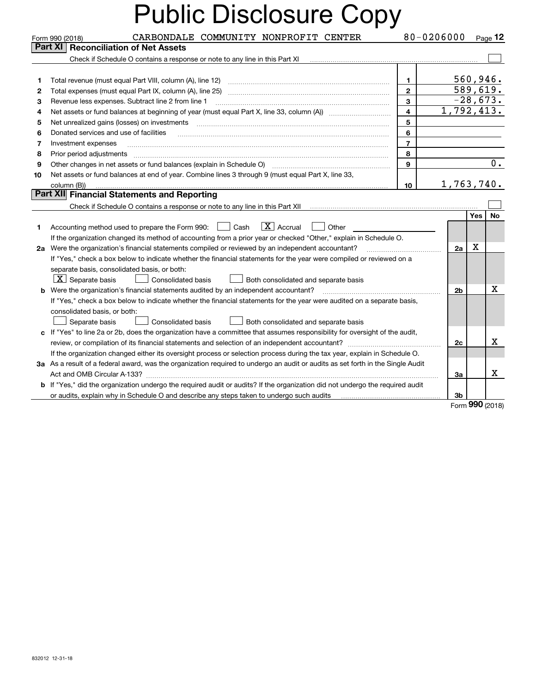|    | CARBONDALE COMMUNITY NONPROFIT CENTER<br>Form 990 (2018)                                                                                                                |                         | 80-0206000               |            | $P_{\text{aqe}}$ 12 |
|----|-------------------------------------------------------------------------------------------------------------------------------------------------------------------------|-------------------------|--------------------------|------------|---------------------|
|    | Part XI<br><b>Reconciliation of Net Assets</b>                                                                                                                          |                         |                          |            |                     |
|    | Check if Schedule O contains a response or note to any line in this Part XI                                                                                             |                         |                          |            |                     |
|    |                                                                                                                                                                         |                         |                          |            |                     |
| 1  | Total revenue (must equal Part VIII, column (A), line 12)                                                                                                               | $\mathbf{1}$            |                          | 560, 946.  |                     |
| 2  | Total expenses (must equal Part IX, column (A), line 25)                                                                                                                | $\overline{2}$          |                          | 589,619.   |                     |
| з  | Revenue less expenses. Subtract line 2 from line 1                                                                                                                      | 3                       |                          | $-28,673.$ |                     |
| 4  |                                                                                                                                                                         | $\overline{\mathbf{4}}$ | $\overline{1,792,413}$ . |            |                     |
| 5  |                                                                                                                                                                         | 5                       |                          |            |                     |
| 6  | Donated services and use of facilities                                                                                                                                  | 6                       |                          |            |                     |
| 7  | Investment expenses                                                                                                                                                     | $\overline{7}$          |                          |            |                     |
| 8  | Prior period adjustments                                                                                                                                                | 8                       |                          |            |                     |
| 9  | Other changes in net assets or fund balances (explain in Schedule O) [11] [12] [13] [13] [13] [13] Other changes in net assets or fund balances (explain in Schedule O) | 9                       |                          |            | $0$ .               |
| 10 | Net assets or fund balances at end of year. Combine lines 3 through 9 (must equal Part X, line 33,                                                                      |                         |                          |            |                     |
|    | column (B))                                                                                                                                                             | 10                      | 1,763,740.               |            |                     |
|    | Part XII Financial Statements and Reporting                                                                                                                             |                         |                          |            |                     |
|    | Check if Schedule O contains a response or note to any line in this Part XII                                                                                            |                         |                          |            |                     |
|    |                                                                                                                                                                         |                         |                          | <b>Yes</b> | No                  |
| 1. | $\boxed{\mathbf{X}}$ Accrual<br>Cash<br>Other<br>Accounting method used to prepare the Form 990:                                                                        |                         |                          |            |                     |
|    | If the organization changed its method of accounting from a prior year or checked "Other," explain in Schedule O.                                                       |                         |                          |            |                     |
|    | 2a Were the organization's financial statements compiled or reviewed by an independent accountant?                                                                      |                         | 2a                       | X          |                     |
|    | If "Yes," check a box below to indicate whether the financial statements for the year were compiled or reviewed on a                                                    |                         |                          |            |                     |
|    | separate basis, consolidated basis, or both:                                                                                                                            |                         |                          |            |                     |
|    | $ \mathbf{X} $ Separate basis<br><b>Consolidated basis</b><br>Both consolidated and separate basis                                                                      |                         |                          |            |                     |
| b  | Were the organization's financial statements audited by an independent accountant?                                                                                      |                         | 2 <sub>b</sub>           |            | х                   |
|    | If "Yes," check a box below to indicate whether the financial statements for the year were audited on a separate basis,                                                 |                         |                          |            |                     |
|    | consolidated basis, or both:                                                                                                                                            |                         |                          |            |                     |
|    | Separate basis<br><b>Consolidated basis</b><br>Both consolidated and separate basis                                                                                     |                         |                          |            |                     |
| c  | If "Yes" to line 2a or 2b, does the organization have a committee that assumes responsibility for oversight of the audit,                                               |                         |                          |            |                     |
|    | review, or compilation of its financial statements and selection of an independent accountant?                                                                          |                         | 2c                       |            | х                   |
|    | If the organization changed either its oversight process or selection process during the tax year, explain in Schedule O.                                               |                         |                          |            |                     |
|    | 3a As a result of a federal award, was the organization required to undergo an audit or audits as set forth in the Single Audit                                         |                         |                          |            |                     |
|    |                                                                                                                                                                         |                         | За                       |            | x                   |
|    | b If "Yes," did the organization undergo the required audit or audits? If the organization did not undergo the required audit                                           |                         |                          |            |                     |
|    | or audits, explain why in Schedule O and describe any steps taken to undergo such audits                                                                                |                         | 3b                       |            |                     |

Form (2018) **990**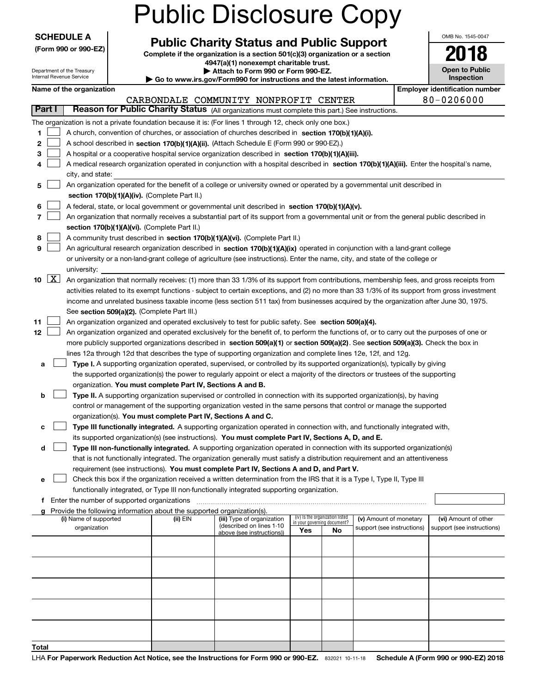|                                                        |                                             |                                                                                    | <b>Public Disclosure Copy</b>                                                                                                                                                                                                                   |                                    |                                 |                            |  |                                       |  |  |  |
|--------------------------------------------------------|---------------------------------------------|------------------------------------------------------------------------------------|-------------------------------------------------------------------------------------------------------------------------------------------------------------------------------------------------------------------------------------------------|------------------------------------|---------------------------------|----------------------------|--|---------------------------------------|--|--|--|
| <b>SCHEDULE A</b>                                      |                                             |                                                                                    |                                                                                                                                                                                                                                                 |                                    |                                 |                            |  | OMB No. 1545-0047                     |  |  |  |
| (Form 990 or 990-EZ)                                   |                                             |                                                                                    | <b>Public Charity Status and Public Support</b><br>Complete if the organization is a section 501(c)(3) organization or a section                                                                                                                |                                    |                                 |                            |  | 2018                                  |  |  |  |
|                                                        |                                             |                                                                                    | 4947(a)(1) nonexempt charitable trust.                                                                                                                                                                                                          |                                    |                                 |                            |  |                                       |  |  |  |
| Department of the Treasury<br>Internal Revenue Service |                                             |                                                                                    | Attach to Form 990 or Form 990-EZ.<br>Go to www.irs.gov/Form990 for instructions and the latest information.                                                                                                                                    |                                    |                                 |                            |  | Open to Public<br>Inspection          |  |  |  |
| Name of the organization                               |                                             |                                                                                    |                                                                                                                                                                                                                                                 |                                    |                                 |                            |  | <b>Employer identification number</b> |  |  |  |
|                                                        |                                             |                                                                                    | CARBONDALE COMMUNITY NONPROFIT CENTER                                                                                                                                                                                                           |                                    |                                 |                            |  | 80-0206000                            |  |  |  |
| Part I                                                 |                                             |                                                                                    | Reason for Public Charity Status (All organizations must complete this part.) See instructions.                                                                                                                                                 |                                    |                                 |                            |  |                                       |  |  |  |
|                                                        |                                             |                                                                                    | The organization is not a private foundation because it is: (For lines 1 through 12, check only one box.)                                                                                                                                       |                                    |                                 |                            |  |                                       |  |  |  |
| 1                                                      |                                             |                                                                                    | A church, convention of churches, or association of churches described in section 170(b)(1)(A)(i).                                                                                                                                              |                                    |                                 |                            |  |                                       |  |  |  |
| 2                                                      |                                             |                                                                                    | A school described in section 170(b)(1)(A)(ii). (Attach Schedule E (Form 990 or 990-EZ).)                                                                                                                                                       |                                    |                                 |                            |  |                                       |  |  |  |
| 3<br>4                                                 |                                             |                                                                                    | A hospital or a cooperative hospital service organization described in section 170(b)(1)(A)(iii).<br>A medical research organization operated in conjunction with a hospital described in section 170(b)(1)(A)(iii). Enter the hospital's name, |                                    |                                 |                            |  |                                       |  |  |  |
| city, and state:                                       |                                             |                                                                                    |                                                                                                                                                                                                                                                 |                                    |                                 |                            |  |                                       |  |  |  |
| 5                                                      |                                             |                                                                                    | An organization operated for the benefit of a college or university owned or operated by a governmental unit described in                                                                                                                       |                                    |                                 |                            |  |                                       |  |  |  |
|                                                        |                                             | section 170(b)(1)(A)(iv). (Complete Part II.)                                      |                                                                                                                                                                                                                                                 |                                    |                                 |                            |  |                                       |  |  |  |
| 6                                                      |                                             |                                                                                    | A federal, state, or local government or governmental unit described in section 170(b)(1)(A)(v).                                                                                                                                                |                                    |                                 |                            |  |                                       |  |  |  |
| 7                                                      |                                             |                                                                                    | An organization that normally receives a substantial part of its support from a governmental unit or from the general public described in                                                                                                       |                                    |                                 |                            |  |                                       |  |  |  |
|                                                        |                                             | section 170(b)(1)(A)(vi). (Complete Part II.)                                      |                                                                                                                                                                                                                                                 |                                    |                                 |                            |  |                                       |  |  |  |
| 8                                                      |                                             |                                                                                    | A community trust described in section 170(b)(1)(A)(vi). (Complete Part II.)                                                                                                                                                                    |                                    |                                 |                            |  |                                       |  |  |  |
| 9                                                      |                                             |                                                                                    | An agricultural research organization described in section 170(b)(1)(A)(ix) operated in conjunction with a land-grant college                                                                                                                   |                                    |                                 |                            |  |                                       |  |  |  |
|                                                        |                                             |                                                                                    | or university or a non-land-grant college of agriculture (see instructions). Enter the name, city, and state of the college or                                                                                                                  |                                    |                                 |                            |  |                                       |  |  |  |
| university:<br>$\boxed{\text{X}}$<br>10                |                                             |                                                                                    | An organization that normally receives: (1) more than 33 1/3% of its support from contributions, membership fees, and gross receipts from                                                                                                       |                                    |                                 |                            |  |                                       |  |  |  |
|                                                        |                                             |                                                                                    | activities related to its exempt functions - subject to certain exceptions, and (2) no more than 33 1/3% of its support from gross investment                                                                                                   |                                    |                                 |                            |  |                                       |  |  |  |
|                                                        |                                             |                                                                                    | income and unrelated business taxable income (less section 511 tax) from businesses acquired by the organization after June 30, 1975.                                                                                                           |                                    |                                 |                            |  |                                       |  |  |  |
|                                                        | See section 509(a)(2). (Complete Part III.) |                                                                                    |                                                                                                                                                                                                                                                 |                                    |                                 |                            |  |                                       |  |  |  |
| 11                                                     |                                             |                                                                                    | An organization organized and operated exclusively to test for public safety. See section 509(a)(4).                                                                                                                                            |                                    |                                 |                            |  |                                       |  |  |  |
| 12                                                     |                                             |                                                                                    | An organization organized and operated exclusively for the benefit of, to perform the functions of, or to carry out the purposes of one or                                                                                                      |                                    |                                 |                            |  |                                       |  |  |  |
|                                                        |                                             |                                                                                    | more publicly supported organizations described in section 509(a)(1) or section 509(a)(2). See section 509(a)(3). Check the box in                                                                                                              |                                    |                                 |                            |  |                                       |  |  |  |
|                                                        |                                             |                                                                                    | lines 12a through 12d that describes the type of supporting organization and complete lines 12e, 12f, and 12g.                                                                                                                                  |                                    |                                 |                            |  |                                       |  |  |  |
| a                                                      |                                             |                                                                                    | Type I. A supporting organization operated, supervised, or controlled by its supported organization(s), typically by giving                                                                                                                     |                                    |                                 |                            |  |                                       |  |  |  |
|                                                        |                                             |                                                                                    | the supported organization(s) the power to regularly appoint or elect a majority of the directors or trustees of the supporting                                                                                                                 |                                    |                                 |                            |  |                                       |  |  |  |
|                                                        |                                             | organization. You must complete Part IV, Sections A and B.                         |                                                                                                                                                                                                                                                 |                                    |                                 |                            |  |                                       |  |  |  |
| b                                                      |                                             |                                                                                    | Type II. A supporting organization supervised or controlled in connection with its supported organization(s), by having                                                                                                                         |                                    |                                 |                            |  |                                       |  |  |  |
|                                                        |                                             |                                                                                    | control or management of the supporting organization vested in the same persons that control or manage the supported                                                                                                                            |                                    |                                 |                            |  |                                       |  |  |  |
| с                                                      |                                             | organization(s). You must complete Part IV, Sections A and C.                      | Type III functionally integrated. A supporting organization operated in connection with, and functionally integrated with,                                                                                                                      |                                    |                                 |                            |  |                                       |  |  |  |
|                                                        |                                             |                                                                                    | its supported organization(s) (see instructions). You must complete Part IV, Sections A, D, and E.                                                                                                                                              |                                    |                                 |                            |  |                                       |  |  |  |
| d                                                      |                                             |                                                                                    | Type III non-functionally integrated. A supporting organization operated in connection with its supported organization(s)                                                                                                                       |                                    |                                 |                            |  |                                       |  |  |  |
|                                                        |                                             |                                                                                    | that is not functionally integrated. The organization generally must satisfy a distribution requirement and an attentiveness                                                                                                                    |                                    |                                 |                            |  |                                       |  |  |  |
|                                                        |                                             |                                                                                    | requirement (see instructions). You must complete Part IV, Sections A and D, and Part V.                                                                                                                                                        |                                    |                                 |                            |  |                                       |  |  |  |
| е                                                      |                                             |                                                                                    | Check this box if the organization received a written determination from the IRS that it is a Type I, Type II, Type III                                                                                                                         |                                    |                                 |                            |  |                                       |  |  |  |
|                                                        |                                             |                                                                                    | functionally integrated, or Type III non-functionally integrated supporting organization.                                                                                                                                                       |                                    |                                 |                            |  |                                       |  |  |  |
|                                                        |                                             |                                                                                    |                                                                                                                                                                                                                                                 |                                    |                                 |                            |  |                                       |  |  |  |
| (i) Name of supported                                  |                                             | Provide the following information about the supported organization(s).<br>(ii) EIN | (iii) Type of organization                                                                                                                                                                                                                      |                                    | (iv) Is the organization listed | (v) Amount of monetary     |  | (vi) Amount of other                  |  |  |  |
| organization                                           |                                             |                                                                                    | (described on lines 1-10                                                                                                                                                                                                                        | in your governing document?<br>Yes | No                              | support (see instructions) |  | support (see instructions)            |  |  |  |
|                                                        |                                             |                                                                                    | above (see instructions))                                                                                                                                                                                                                       |                                    |                                 |                            |  |                                       |  |  |  |
|                                                        |                                             |                                                                                    |                                                                                                                                                                                                                                                 |                                    |                                 |                            |  |                                       |  |  |  |
|                                                        |                                             |                                                                                    |                                                                                                                                                                                                                                                 |                                    |                                 |                            |  |                                       |  |  |  |
|                                                        |                                             |                                                                                    |                                                                                                                                                                                                                                                 |                                    |                                 |                            |  |                                       |  |  |  |
|                                                        |                                             |                                                                                    |                                                                                                                                                                                                                                                 |                                    |                                 |                            |  |                                       |  |  |  |
|                                                        |                                             |                                                                                    |                                                                                                                                                                                                                                                 |                                    |                                 |                            |  |                                       |  |  |  |
|                                                        |                                             |                                                                                    |                                                                                                                                                                                                                                                 |                                    |                                 |                            |  |                                       |  |  |  |
|                                                        |                                             |                                                                                    |                                                                                                                                                                                                                                                 |                                    |                                 |                            |  |                                       |  |  |  |
|                                                        |                                             |                                                                                    |                                                                                                                                                                                                                                                 |                                    |                                 |                            |  |                                       |  |  |  |
|                                                        |                                             |                                                                                    |                                                                                                                                                                                                                                                 |                                    |                                 |                            |  |                                       |  |  |  |
| Total                                                  |                                             |                                                                                    |                                                                                                                                                                                                                                                 |                                    |                                 |                            |  |                                       |  |  |  |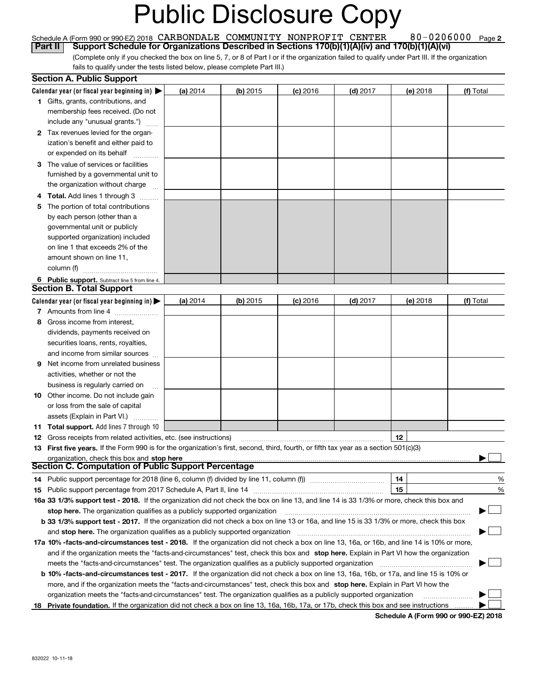#### 80-0206000 Page 2 Schedule A (Form 990 or 990-EZ) 2018 CARBONDALE COMMUNITY NONPROFIT' CENTER 8U – UZU6UUU Page CARBONDALE COMMUNITY NONPROFIT CENTER 80-0206000

(Complete only if you checked the box on line 5, 7, or 8 of Part I or if the organization failed to qualify under Part III. If the organization fails to qualify under the tests listed below, please complete Part III.) **Part II** Support Schedule for Organizations Described in Sections 170(b)(1)(A)(iv) and 170(b)(1)(A)(vi)<sup></sup><br>Complete only if you checked the box on line 5. 7. or 8 of Part I or if the organization failed to qualify under Pa

|    | <b>Section A. Public Support</b>                                                                                                               |          |          |            |            |                                      |            |
|----|------------------------------------------------------------------------------------------------------------------------------------------------|----------|----------|------------|------------|--------------------------------------|------------|
|    | Calendar year (or fiscal year beginning in) $\blacktriangleright$                                                                              | (a) 2014 | (b) 2015 | $(c)$ 2016 | $(d)$ 2017 | (e) 2018                             | (f) Total  |
|    | <b>1</b> Gifts, grants, contributions, and                                                                                                     |          |          |            |            |                                      |            |
|    | membership fees received. (Do not                                                                                                              |          |          |            |            |                                      |            |
|    | include any "unusual grants.")                                                                                                                 |          |          |            |            |                                      |            |
|    | 2 Tax revenues levied for the organ-                                                                                                           |          |          |            |            |                                      |            |
|    | ization's benefit and either paid to                                                                                                           |          |          |            |            |                                      |            |
|    | or expended on its behalf                                                                                                                      |          |          |            |            |                                      |            |
|    | 3 The value of services or facilities                                                                                                          |          |          |            |            |                                      |            |
|    | furnished by a governmental unit to                                                                                                            |          |          |            |            |                                      |            |
|    | the organization without charge                                                                                                                |          |          |            |            |                                      |            |
|    | <b>4 Total.</b> Add lines 1 through 3                                                                                                          |          |          |            |            |                                      |            |
| 5. | The portion of total contributions                                                                                                             |          |          |            |            |                                      |            |
|    | by each person (other than a                                                                                                                   |          |          |            |            |                                      |            |
|    | governmental unit or publicly                                                                                                                  |          |          |            |            |                                      |            |
|    | supported organization) included                                                                                                               |          |          |            |            |                                      |            |
|    | on line 1 that exceeds 2% of the                                                                                                               |          |          |            |            |                                      |            |
|    | amount shown on line 11,                                                                                                                       |          |          |            |            |                                      |            |
|    | column (f)                                                                                                                                     |          |          |            |            |                                      |            |
|    | 6 Public support. Subtract line 5 from line 4.                                                                                                 |          |          |            |            |                                      |            |
|    | <b>Section B. Total Support</b>                                                                                                                |          |          |            |            |                                      |            |
|    | Calendar year (or fiscal year beginning in) $\blacktriangleright$                                                                              | (a) 2014 | (b) 2015 | $(c)$ 2016 | $(d)$ 2017 | (e) 2018                             | (f) Total  |
|    | 7 Amounts from line 4                                                                                                                          |          |          |            |            |                                      |            |
| 8  | Gross income from interest,                                                                                                                    |          |          |            |            |                                      |            |
|    | dividends, payments received on                                                                                                                |          |          |            |            |                                      |            |
|    | securities loans, rents, royalties,                                                                                                            |          |          |            |            |                                      |            |
|    | and income from similar sources                                                                                                                |          |          |            |            |                                      |            |
| 9. | Net income from unrelated business                                                                                                             |          |          |            |            |                                      |            |
|    | activities, whether or not the                                                                                                                 |          |          |            |            |                                      |            |
|    | business is regularly carried on                                                                                                               |          |          |            |            |                                      |            |
|    | <b>10</b> Other income. Do not include gain                                                                                                    |          |          |            |            |                                      |            |
|    | or loss from the sale of capital                                                                                                               |          |          |            |            |                                      |            |
|    | assets (Explain in Part VI.)                                                                                                                   |          |          |            |            |                                      |            |
|    | 11 Total support. Add lines 7 through 10                                                                                                       |          |          |            |            |                                      |            |
|    | <b>12</b> Gross receipts from related activities, etc. (see instructions)                                                                      |          |          |            |            | 12                                   |            |
|    | 13 First five years. If the Form 990 is for the organization's first, second, third, fourth, or fifth tax year as a section 501(c)(3)          |          |          |            |            |                                      |            |
|    | organization, check this box and stop here<br><b>Section C. Computation of Public Support Percentage</b>                                       |          |          |            |            |                                      |            |
|    | 14 Public support percentage for 2018 (line 6, column (f) divided by line 11, column (f) <i>marrouum</i> manu-                                 |          |          |            |            | 14                                   | %          |
|    |                                                                                                                                                |          |          |            |            | 15                                   | %          |
|    | 16a 33 1/3% support test - 2018. If the organization did not check the box on line 13, and line 14 is 33 1/3% or more, check this box and      |          |          |            |            |                                      |            |
|    | stop here. The organization qualifies as a publicly supported organization                                                                     |          |          |            |            |                                      | ้ <u>⊣</u> |
|    | b 33 1/3% support test - 2017. If the organization did not check a box on line 13 or 16a, and line 15 is 33 1/3% or more, check this box       |          |          |            |            |                                      |            |
|    | and stop here. The organization qualifies as a publicly supported organization                                                                 |          |          |            |            |                                      |            |
|    | 17a 10% -facts-and-circumstances test - 2018. If the organization did not check a box on line 13, 16a, or 16b, and line 14 is 10% or more,     |          |          |            |            |                                      |            |
|    | and if the organization meets the "facts-and-circumstances" test, check this box and stop here. Explain in Part VI how the organization        |          |          |            |            |                                      |            |
|    | meets the "facts-and-circumstances" test. The organization qualifies as a publicly supported organization                                      |          |          |            |            |                                      |            |
|    | <b>b 10% -facts-and-circumstances test - 2017.</b> If the organization did not check a box on line 13, 16a, 16b, or 17a, and line 15 is 10% or |          |          |            |            |                                      |            |
|    | more, and if the organization meets the "facts-and-circumstances" test, check this box and stop here. Explain in Part VI how the               |          |          |            |            |                                      |            |
|    | organization meets the "facts-and-circumstances" test. The organization qualifies as a publicly supported organization                         |          |          |            |            |                                      |            |
| 18 | Private foundation. If the organization did not check a box on line 13, 16a, 16b, 17a, or 17b, check this box and see instructions             |          |          |            |            |                                      |            |
|    |                                                                                                                                                |          |          |            |            | Schedule A (Form 990 or 990-EZ) 2018 |            |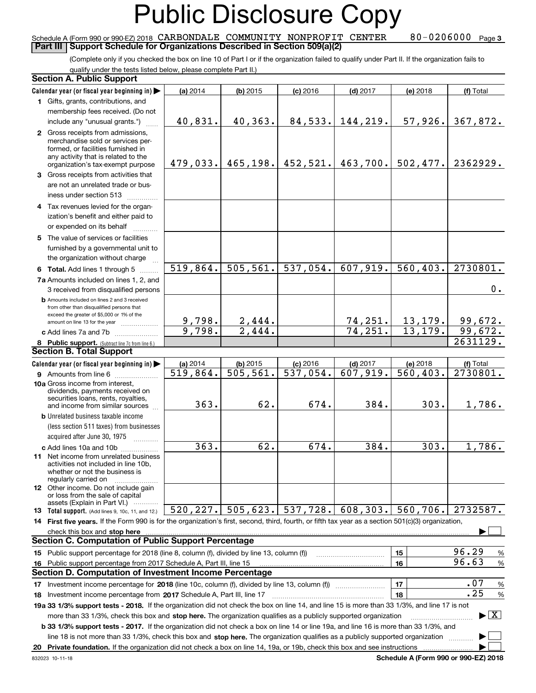#### Schedule A (Form 990 or 990-EZ) 2018 CARBONDALE COMMUNITY NONPROFIT CENTER 80–0206000 page<br>Part III I Support Schedule for Organizations Described in Section 509(a)(2) **Part III | Support Schedule for Organizations Described in Section 509(a)(2)**

 $80 - 0206000$  Page 3

(Complete only if you checked the box on line 10 of Part I or if the organization failed to qualify under Part II. If the organization fails to qualify under the tests listed below, please complete Part II.)

| <b>Section A. Public Support</b>                                                                                                                                                                                                                                                                                                                                                           |                        |                       |                        |            |                                             |                                 |
|--------------------------------------------------------------------------------------------------------------------------------------------------------------------------------------------------------------------------------------------------------------------------------------------------------------------------------------------------------------------------------------------|------------------------|-----------------------|------------------------|------------|---------------------------------------------|---------------------------------|
| Calendar year (or fiscal year beginning in)                                                                                                                                                                                                                                                                                                                                                | (a) 2014               | $(b)$ 2015            | $(c)$ 2016             | $(d)$ 2017 | (e) 2018                                    | (f) Total                       |
| 1 Gifts, grants, contributions, and                                                                                                                                                                                                                                                                                                                                                        |                        |                       |                        |            |                                             |                                 |
| membership fees received. (Do not                                                                                                                                                                                                                                                                                                                                                          |                        |                       |                        |            |                                             |                                 |
| include any "unusual grants.")                                                                                                                                                                                                                                                                                                                                                             | 40,831.                | 40,363.               | 84,533.                | 144,219.   | 57,926.                                     | 367,872.                        |
| 2 Gross receipts from admissions,<br>merchandise sold or services per-<br>formed, or facilities furnished in<br>any activity that is related to the<br>organization's tax-exempt purpose                                                                                                                                                                                                   | 479,033.               | 465, 198.             | 452,521.               | 463,700.   | 502,477.                                    | 2362929.                        |
| 3 Gross receipts from activities that                                                                                                                                                                                                                                                                                                                                                      |                        |                       |                        |            |                                             |                                 |
| are not an unrelated trade or bus-<br>iness under section 513                                                                                                                                                                                                                                                                                                                              |                        |                       |                        |            |                                             |                                 |
| 4 Tax revenues levied for the organ-                                                                                                                                                                                                                                                                                                                                                       |                        |                       |                        |            |                                             |                                 |
| ization's benefit and either paid to                                                                                                                                                                                                                                                                                                                                                       |                        |                       |                        |            |                                             |                                 |
| or expended on its behalf                                                                                                                                                                                                                                                                                                                                                                  |                        |                       |                        |            |                                             |                                 |
| 5 The value of services or facilities                                                                                                                                                                                                                                                                                                                                                      |                        |                       |                        |            |                                             |                                 |
| furnished by a governmental unit to<br>the organization without charge                                                                                                                                                                                                                                                                                                                     |                        |                       |                        |            |                                             |                                 |
| 6 Total. Add lines 1 through 5                                                                                                                                                                                                                                                                                                                                                             | 519,864.               | 505, 561.             | 537,054.               | 607,919.   | 560, 403.                                   | 2730801.                        |
| 7a Amounts included on lines 1, 2, and                                                                                                                                                                                                                                                                                                                                                     |                        |                       |                        |            |                                             |                                 |
| 3 received from disqualified persons                                                                                                                                                                                                                                                                                                                                                       |                        |                       |                        |            |                                             | 0.                              |
| <b>b</b> Amounts included on lines 2 and 3 received<br>from other than disqualified persons that<br>exceed the greater of \$5,000 or 1% of the                                                                                                                                                                                                                                             |                        |                       |                        |            |                                             |                                 |
| amount on line 13 for the year                                                                                                                                                                                                                                                                                                                                                             | 9,798.                 | 2,444.                |                        | 74,251.    | 13, 179.                                    | 99,672.                         |
| c Add lines 7a and 7b                                                                                                                                                                                                                                                                                                                                                                      | 9,798.                 | 2,444.                |                        | 74, 251.   | 13, 179.                                    | 99,672.                         |
| 8 Public support. (Subtract line 7c from line 6.)                                                                                                                                                                                                                                                                                                                                          |                        |                       |                        |            |                                             | 2631129.                        |
| <b>Section B. Total Support</b>                                                                                                                                                                                                                                                                                                                                                            |                        |                       |                        |            |                                             |                                 |
| Calendar year (or fiscal year beginning in)                                                                                                                                                                                                                                                                                                                                                | (a) 2014               | $(b)$ 2015            | $(c)$ 2016             | $(d)$ 2017 | (e) 2018                                    | (f) Total                       |
| <b>9</b> Amounts from line 6<br>10a Gross income from interest,<br>dividends, payments received on                                                                                                                                                                                                                                                                                         | $\overline{519,864}$ . | $\overline{505,}561.$ | $\overline{537,054}$ . | 607,919.   | 560, 403.                                   | 2730801.                        |
| securities loans, rents, royalties,<br>and income from similar sources                                                                                                                                                                                                                                                                                                                     | 363.                   | 62.                   | 674.                   | 384.       | 303.                                        | 1,786.                          |
| <b>b</b> Unrelated business taxable income                                                                                                                                                                                                                                                                                                                                                 |                        |                       |                        |            |                                             |                                 |
| (less section 511 taxes) from businesses                                                                                                                                                                                                                                                                                                                                                   |                        |                       |                        |            |                                             |                                 |
| acquired after June 30, 1975                                                                                                                                                                                                                                                                                                                                                               |                        |                       |                        |            |                                             |                                 |
| c Add lines 10a and 10b<br>11 Net income from unrelated business<br>activities not included in line 10b,<br>whether or not the business is                                                                                                                                                                                                                                                 | 363.                   | 62.                   | 674.                   | 384.       | 303.                                        | 1,786.                          |
| regularly carried on<br><b>12</b> Other income. Do not include gain                                                                                                                                                                                                                                                                                                                        |                        |                       |                        |            |                                             |                                 |
| or loss from the sale of capital<br>assets (Explain in Part VI.)                                                                                                                                                                                                                                                                                                                           |                        |                       |                        |            |                                             |                                 |
| 13 Total support. (Add lines 9, 10c, 11, and 12.)                                                                                                                                                                                                                                                                                                                                          | 520, 227.              | 505,623.              | 537,728.               | 608, 303.  | 560,706.                                    | 2732587.                        |
| 14 First five years. If the Form 990 is for the organization's first, second, third, fourth, or fifth tax year as a section 501(c)(3) organization,<br>check this box and <b>stop here</b> with the construction of the construction of the change of the change of the change of the change of the change of the change of the change of the change of the change of the change of the ch |                        |                       |                        |            |                                             |                                 |
| <b>Section C. Computation of Public Support Percentage</b>                                                                                                                                                                                                                                                                                                                                 |                        |                       |                        |            |                                             |                                 |
| 15 Public support percentage for 2018 (line 8, column (f), divided by line 13, column (f))                                                                                                                                                                                                                                                                                                 |                        |                       |                        |            | 15                                          | 96.29<br>%                      |
| 16 Public support percentage from 2017 Schedule A, Part III, line 15                                                                                                                                                                                                                                                                                                                       |                        |                       |                        |            | 16                                          | 96.63<br>$\%$                   |
| Section D. Computation of Investment Income Percentage                                                                                                                                                                                                                                                                                                                                     |                        |                       |                        |            |                                             |                                 |
| 17 Investment income percentage for 2018 (line 10c, column (f), divided by line 13, column (f))                                                                                                                                                                                                                                                                                            |                        |                       |                        |            | 17                                          | .07<br>$\%$                     |
| 18 Investment income percentage from 2017 Schedule A, Part III, line 17                                                                                                                                                                                                                                                                                                                    |                        |                       |                        |            | 18                                          | .25<br>%                        |
| 19a 33 1/3% support tests - 2018. If the organization did not check the box on line 14, and line 15 is more than 33 1/3%, and line 17 is not                                                                                                                                                                                                                                               |                        |                       |                        |            |                                             |                                 |
| more than 33 1/3%, check this box and stop here. The organization qualifies as a publicly supported organization                                                                                                                                                                                                                                                                           |                        |                       |                        |            |                                             | $\blacktriangleright$ $\vert$ X |
| b 33 1/3% support tests - 2017. If the organization did not check a box on line 14 or line 19a, and line 16 is more than 33 1/3%, and                                                                                                                                                                                                                                                      |                        |                       |                        |            |                                             |                                 |
| line 18 is not more than 33 1/3%, check this box and stop here. The organization qualifies as a publicly supported organization                                                                                                                                                                                                                                                            |                        |                       |                        |            |                                             |                                 |
| 20 Private foundation. If the organization did not check a box on line 14, 19a, or 19b, check this box and see instructions                                                                                                                                                                                                                                                                |                        |                       |                        |            |                                             |                                 |
|                                                                                                                                                                                                                                                                                                                                                                                            |                        |                       |                        |            | <b>Cohodulo A (Form 000 or 000 EZ) 2012</b> |                                 |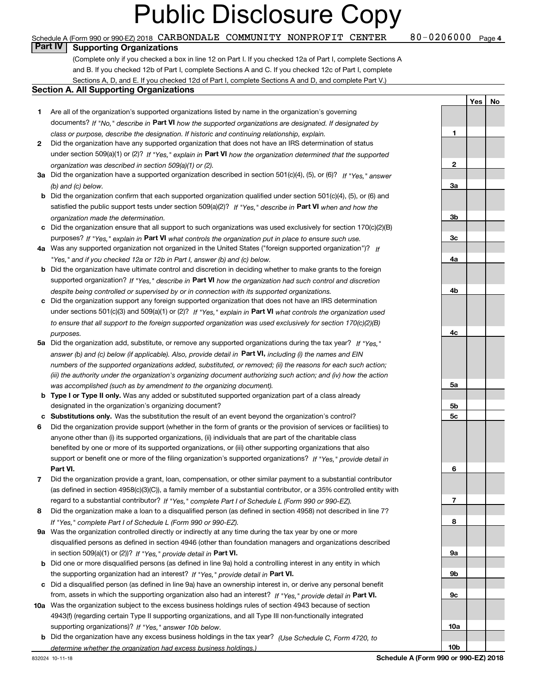#### Schedule A (Form 990 or 990-EZ) 2018 CARBONDALE COMMUNITY NONPROFIT CENTER  $80$  – 0206000 page page  $\overline{\phantom{a}}$

**Part IV Supporting Organizations**

(Complete only if you checked a box in line 12 on Part I. If you checked 12a of Part I, complete Sections A and B. If you checked 12b of Part I, complete Sections A and C. If you checked 12c of Part I, complete Sections A, D, and E. If you checked 12d of Part I, complete Sections A and D, and complete Part V.)

#### **Section A. All Supporting Organizations**

- **1** Are all of the organization's supported organizations listed by name in the organization's governing documents? If "No," describe in **Part VI** how the supported organizations are designated. If designated by *class or purpose, describe the designation. If historic and continuing relationship, explain.*
- **2**under section 509(a)(1) or (2)? If "Yes," explain in Part VI how the organization determined that the supported *organization was described in section 509(a)(1) or (2).* Did the organization have any supported organization that does not have an IRS determination of status
- **3a** Did the organization have a supported organization described in section 501(c)(4), (5), or (6)? If "Yes," answer *(b) and (c) below.*
- **b** Did the organization confirm that each supported organization qualified under section 501(c)(4), (5), or (6) and satisfied the public support tests under section 509(a)(2)? If "Yes," describe in **Part VI** when and how the *organization made the determination.*
- **c**Did the organization ensure that all support to such organizations was used exclusively for section 170(c)(2)(B) purposes? If "Yes," explain in **Part VI** what controls the organization put in place to ensure such use.
- **4a***If* Was any supported organization not organized in the United States ("foreign supported organization")? *"Yes," and if you checked 12a or 12b in Part I, answer (b) and (c) below.*
- **b** Did the organization have ultimate control and discretion in deciding whether to make grants to the foreign supported organization? If "Yes," describe in **Part VI** how the organization had such control and discretion *despite being controlled or supervised by or in connection with its supported organizations.*
- **c** Did the organization support any foreign supported organization that does not have an IRS determination under sections 501(c)(3) and 509(a)(1) or (2)? If "Yes," explain in **Part VI** what controls the organization used *to ensure that all support to the foreign supported organization was used exclusively for section 170(c)(2)(B) purposes.*
- **5a***If "Yes,"* Did the organization add, substitute, or remove any supported organizations during the tax year? answer (b) and (c) below (if applicable). Also, provide detail in **Part VI,** including (i) the names and EIN *numbers of the supported organizations added, substituted, or removed; (ii) the reasons for each such action; (iii) the authority under the organization's organizing document authorizing such action; and (iv) how the action was accomplished (such as by amendment to the organizing document).*
- **b** Type I or Type II only. Was any added or substituted supported organization part of a class already designated in the organization's organizing document?
- **cSubstitutions only.**  Was the substitution the result of an event beyond the organization's control?
- **6** Did the organization provide support (whether in the form of grants or the provision of services or facilities) to **Part VI.** *If "Yes," provide detail in* support or benefit one or more of the filing organization's supported organizations? anyone other than (i) its supported organizations, (ii) individuals that are part of the charitable class benefited by one or more of its supported organizations, or (iii) other supporting organizations that also
- **7**Did the organization provide a grant, loan, compensation, or other similar payment to a substantial contributor *If "Yes," complete Part I of Schedule L (Form 990 or 990-EZ).* regard to a substantial contributor? (as defined in section 4958(c)(3)(C)), a family member of a substantial contributor, or a 35% controlled entity with
- **8** Did the organization make a loan to a disqualified person (as defined in section 4958) not described in line 7? *If "Yes," complete Part I of Schedule L (Form 990 or 990-EZ).*
- **9a** Was the organization controlled directly or indirectly at any time during the tax year by one or more in section 509(a)(1) or (2))? If "Yes," *provide detail in* <code>Part VI.</code> disqualified persons as defined in section 4946 (other than foundation managers and organizations described
- **b**the supporting organization had an interest? If "Yes," provide detail in P**art VI**. Did one or more disqualified persons (as defined in line 9a) hold a controlling interest in any entity in which
- **c**Did a disqualified person (as defined in line 9a) have an ownership interest in, or derive any personal benefit from, assets in which the supporting organization also had an interest? If "Yes," provide detail in P**art VI.**
- **10a** Was the organization subject to the excess business holdings rules of section 4943 because of section supporting organizations)? If "Yes," answer 10b below. 4943(f) (regarding certain Type II supporting organizations, and all Type III non-functionally integrated
- **b** Did the organization have any excess business holdings in the tax year? (Use Schedule C, Form 4720, to *determine whether the organization had excess business holdings.)*

**123a3b3c4a4b4c5a5b5c6789a 9b9c10a**

80-0206000 Page 4

**Yes**

 **No**

**10b**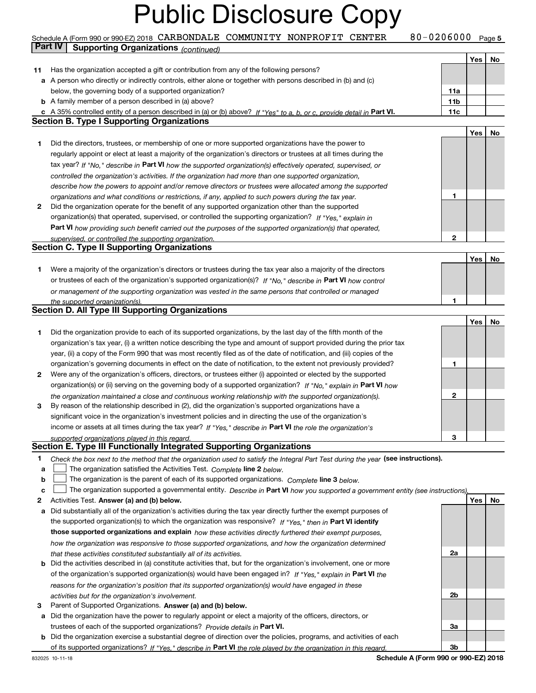#### Schedule A (Form 990 or 990-EZ) 2018 CARBONDALE COMMUNITY NONPROFIT CENTER  $80$  – 0206000 Page 5<br>Part IV L. Supporting Organizations / www.h **Part IV Supporting Organizations** *(continued)*

|    |                                                                                                                                   |                 | Yes | No |
|----|-----------------------------------------------------------------------------------------------------------------------------------|-----------------|-----|----|
| 11 | Has the organization accepted a gift or contribution from any of the following persons?                                           |                 |     |    |
|    | a A person who directly or indirectly controls, either alone or together with persons described in (b) and (c)                    |                 |     |    |
|    | below, the governing body of a supported organization?                                                                            | 11a             |     |    |
|    | <b>b</b> A family member of a person described in (a) above?                                                                      | 11 <sub>b</sub> |     |    |
|    | A 35% controlled entity of a person described in (a) or (b) above? If "Yes" to a, b, or c, provide detail in Part VI.             | 11c             |     |    |
|    | <b>Section B. Type I Supporting Organizations</b>                                                                                 |                 |     |    |
|    |                                                                                                                                   |                 | Yes | No |
| 1  | Did the directors, trustees, or membership of one or more supported organizations have the power to                               |                 |     |    |
|    | regularly appoint or elect at least a majority of the organization's directors or trustees at all times during the                |                 |     |    |
|    | tax year? If "No," describe in Part VI how the supported organization(s) effectively operated, supervised, or                     |                 |     |    |
|    | controlled the organization's activities. If the organization had more than one supported organization,                           |                 |     |    |
|    | describe how the powers to appoint and/or remove directors or trustees were allocated among the supported                         |                 |     |    |
|    | organizations and what conditions or restrictions, if any, applied to such powers during the tax year.                            | 1               |     |    |
| 2  | Did the organization operate for the benefit of any supported organization other than the supported                               |                 |     |    |
|    | organization(s) that operated, supervised, or controlled the supporting organization? If "Yes," explain in                        |                 |     |    |
|    |                                                                                                                                   |                 |     |    |
|    | Part VI how providing such benefit carried out the purposes of the supported organization(s) that operated,                       |                 |     |    |
|    | supervised, or controlled the supporting organization.<br><b>Section C. Type II Supporting Organizations</b>                      | 2               |     |    |
|    |                                                                                                                                   |                 |     |    |
|    |                                                                                                                                   |                 | Yes | No |
| 1  | Were a majority of the organization's directors or trustees during the tax year also a majority of the directors                  |                 |     |    |
|    | or trustees of each of the organization's supported organization(s)? If "No," describe in Part VI how control                     |                 |     |    |
|    | or management of the supporting organization was vested in the same persons that controlled or managed                            |                 |     |    |
|    | the supported organization(s).<br><b>Section D. All Type III Supporting Organizations</b>                                         | 1               |     |    |
|    |                                                                                                                                   |                 |     |    |
|    |                                                                                                                                   |                 | Yes | No |
| 1  | Did the organization provide to each of its supported organizations, by the last day of the fifth month of the                    |                 |     |    |
|    | organization's tax year, (i) a written notice describing the type and amount of support provided during the prior tax             |                 |     |    |
|    | year, (ii) a copy of the Form 990 that was most recently filed as of the date of notification, and (iii) copies of the            |                 |     |    |
|    | organization's governing documents in effect on the date of notification, to the extent not previously provided?                  | 1               |     |    |
| 2  | Were any of the organization's officers, directors, or trustees either (i) appointed or elected by the supported                  |                 |     |    |
|    | organization(s) or (ii) serving on the governing body of a supported organization? If "No," explain in Part VI how                |                 |     |    |
|    | the organization maintained a close and continuous working relationship with the supported organization(s).                       | 2               |     |    |
| 3  | By reason of the relationship described in (2), did the organization's supported organizations have a                             |                 |     |    |
|    | significant voice in the organization's investment policies and in directing the use of the organization's                        |                 |     |    |
|    | income or assets at all times during the tax year? If "Yes," describe in Part VI the role the organization's                      |                 |     |    |
|    | supported organizations played in this regard.                                                                                    | 3               |     |    |
|    | Section E. Type III Functionally Integrated Supporting Organizations                                                              |                 |     |    |
| 1  | Check the box next to the method that the organization used to satisfy the Integral Part Test during the year (see instructions). |                 |     |    |
| а  | The organization satisfied the Activities Test. Complete line 2 below.                                                            |                 |     |    |
| b  | The organization is the parent of each of its supported organizations. Complete line 3 below.                                     |                 |     |    |
| c  | The organization supported a governmental entity. Describe in Part VI how you supported a government entity (see instructions),   |                 |     |    |
| 2  | Activities Test. Answer (a) and (b) below.                                                                                        |                 | Yes | No |
| а  | Did substantially all of the organization's activities during the tax year directly further the exempt purposes of                |                 |     |    |
|    | the supported organization(s) to which the organization was responsive? If "Yes," then in Part VI identify                        |                 |     |    |
|    | those supported organizations and explain how these activities directly furthered their exempt purposes,                          |                 |     |    |
|    | how the organization was responsive to those supported organizations, and how the organization determined                         |                 |     |    |
|    | that these activities constituted substantially all of its activities.                                                            | 2a              |     |    |
| b  | Did the activities described in (a) constitute activities that, but for the organization's involvement, one or more               |                 |     |    |
|    | of the organization's supported organization(s) would have been engaged in? If "Yes," explain in Part VI the                      |                 |     |    |
|    | reasons for the organization's position that its supported organization(s) would have engaged in these                            |                 |     |    |
|    | activities but for the organization's involvement.                                                                                | 2b              |     |    |
| З  | Parent of Supported Organizations. Answer (a) and (b) below.                                                                      |                 |     |    |
| а  | Did the organization have the power to regularly appoint or elect a majority of the officers, directors, or                       |                 |     |    |
|    | trustees of each of the supported organizations? Provide details in Part VI.                                                      | За              |     |    |
| b  | Did the organization exercise a substantial degree of direction over the policies, programs, and activities of each               |                 |     |    |
|    | of its supported organizations? If "Yes," describe in Part VI the role played by the organization in this regard.                 | 3b              |     |    |
|    |                                                                                                                                   |                 |     |    |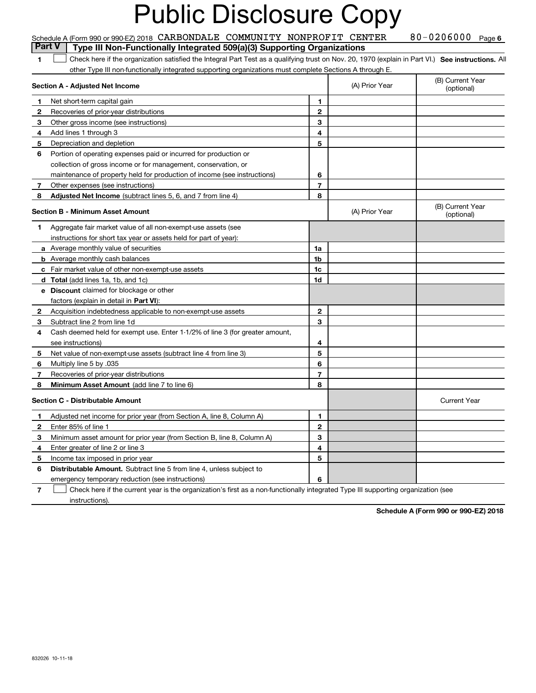#### 80-0206000 Page 6 **1SEP 10. See instructions.** All antegral Part Test as a qualifying trust on Nov. 20, 1970 (explain in Part VI.) See instructions. All **Section A - Adjusted Net Income 123** Other gross income (see instructions) **4**Add lines 1 through 3 **56** Portion of operating expenses paid or incurred for production or **78** Adjusted Net Income (subtract lines 5, 6, and 7 from line 4) **8 8 1234567Section B - Minimum Asset Amount 1**Aggregate fair market value of all non-exempt-use assets (see **2**Acquisition indebtedness applicable to non-exempt-use assets **3** Subtract line 2 from line 1d **45** Net value of non-exempt-use assets (subtract line 4 from line 3) **678a** Average monthly value of securities **b** Average monthly cash balances **c**Fair market value of other non-exempt-use assets **dTotal**  (add lines 1a, 1b, and 1c) **eDiscount** claimed for blockage or other **1a1b1c1d2345678**factors (explain in detail in **Part VI**): **Minimum Asset Amount**  (add line 7 to line 6) **Section C - Distributable Amount 12345612345Distributable Amount.** Subtract line 5 from line 4, unless subject to Schedule A (Form 990 or 990-EZ) 2018 CARBONDALE COMMUNITY NONPROFIT CENTER  $80$  –  $0$  206000  $^{\circ}$  Page Deart V  $\parallel$  Type III Non-Eunotippelly Integrated 509(a)(3) Supporting Organizations other Type III non-functionally integrated supporting organizations must complete Sections A through E. (B) Current Year (optional)(A) Prior Year Net short-term capital gain Recoveries of prior-year distributions Depreciation and depletion collection of gross income or for management, conservation, or maintenance of property held for production of income (see instructions) Other expenses (see instructions) (B) Current Year (optional)(A) Prior Year instructions for short tax year or assets held for part of year): Cash deemed held for exempt use. Enter 1-1/2% of line 3 (for greater amount, see instructions) Multiply line 5 by .035 Recoveries of prior-year distributions Current Year Adjusted net income for prior year (from Section A, line 8, Column A) Enter 85% of line 1 Minimum asset amount for prior year (from Section B, line 8, Column A) Enter greater of line 2 or line 3 Income tax imposed in prior year **Part V** Type III Non-Functionally Integrated 509(a)(3) Supporting Organizations  $\mathcal{L}^{\text{max}}$

emergency temporary reduction (see instructions)

**7**Check here if the current year is the organization's first as a non-functionally integrated Type III supporting organization (see instructions). $\mathcal{L}^{\text{max}}$ 

**6**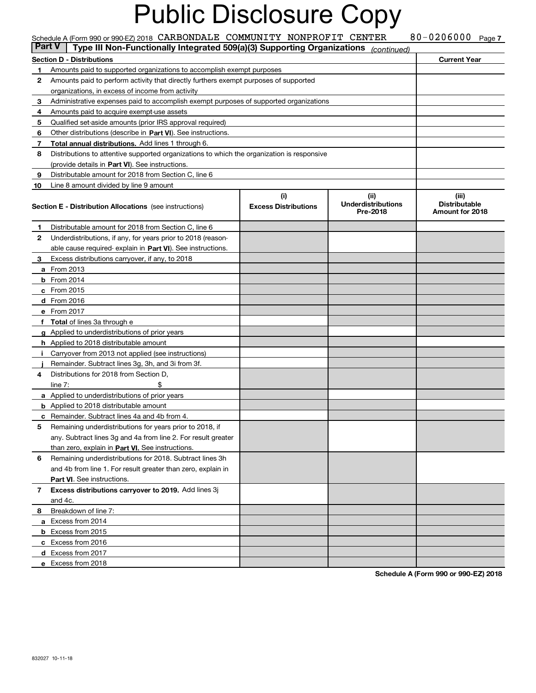|    | Schedule A (Form 990 or 990-EZ) 2018 CARBONDALE COMMUNITY NONPROFIT CENTER<br>Type III Non-Functionally Integrated 509(a)(3) Supporting Organizations<br><b>Part V</b> |                             |                                       | 80-0206000 Page 7                       |  |
|----|------------------------------------------------------------------------------------------------------------------------------------------------------------------------|-----------------------------|---------------------------------------|-----------------------------------------|--|
|    |                                                                                                                                                                        |                             | (continued)                           | <b>Current Year</b>                     |  |
| 1. | Section D - Distributions                                                                                                                                              |                             |                                       |                                         |  |
| 2  | Amounts paid to supported organizations to accomplish exempt purposes<br>Amounts paid to perform activity that directly furthers exempt purposes of supported          |                             |                                       |                                         |  |
|    | organizations, in excess of income from activity                                                                                                                       |                             |                                       |                                         |  |
| 3  | Administrative expenses paid to accomplish exempt purposes of supported organizations                                                                                  |                             |                                       |                                         |  |
| 4  | Amounts paid to acquire exempt-use assets                                                                                                                              |                             |                                       |                                         |  |
| 5  | Qualified set aside amounts (prior IRS approval required)                                                                                                              |                             |                                       |                                         |  |
| 6  | Other distributions (describe in Part VI). See instructions.                                                                                                           |                             |                                       |                                         |  |
| 7  | Total annual distributions. Add lines 1 through 6.                                                                                                                     |                             |                                       |                                         |  |
| 8  | Distributions to attentive supported organizations to which the organization is responsive                                                                             |                             |                                       |                                         |  |
|    | (provide details in Part VI). See instructions.                                                                                                                        |                             |                                       |                                         |  |
| 9  | Distributable amount for 2018 from Section C, line 6                                                                                                                   |                             |                                       |                                         |  |
| 10 | Line 8 amount divided by line 9 amount                                                                                                                                 |                             |                                       |                                         |  |
|    |                                                                                                                                                                        | (i)                         | (ii)                                  | (iii)                                   |  |
|    | <b>Section E - Distribution Allocations</b> (see instructions)                                                                                                         | <b>Excess Distributions</b> | <b>Underdistributions</b><br>Pre-2018 | <b>Distributable</b><br>Amount for 2018 |  |
| 1  | Distributable amount for 2018 from Section C, line 6                                                                                                                   |                             |                                       |                                         |  |
| 2  | Underdistributions, if any, for years prior to 2018 (reason-                                                                                                           |                             |                                       |                                         |  |
|    | able cause required-explain in Part VI). See instructions.                                                                                                             |                             |                                       |                                         |  |
| 3  | Excess distributions carryover, if any, to 2018                                                                                                                        |                             |                                       |                                         |  |
|    | <b>a</b> From 2013                                                                                                                                                     |                             |                                       |                                         |  |
|    | $b$ From 2014                                                                                                                                                          |                             |                                       |                                         |  |
|    | c From 2015                                                                                                                                                            |                             |                                       |                                         |  |
|    | d From 2016                                                                                                                                                            |                             |                                       |                                         |  |
|    | e From 2017                                                                                                                                                            |                             |                                       |                                         |  |
|    | f Total of lines 3a through e                                                                                                                                          |                             |                                       |                                         |  |
|    | g Applied to underdistributions of prior years                                                                                                                         |                             |                                       |                                         |  |
|    | <b>h</b> Applied to 2018 distributable amount                                                                                                                          |                             |                                       |                                         |  |
| j. | Carryover from 2013 not applied (see instructions)                                                                                                                     |                             |                                       |                                         |  |
|    | Remainder. Subtract lines 3g, 3h, and 3i from 3f.                                                                                                                      |                             |                                       |                                         |  |
| 4  | Distributions for 2018 from Section D.                                                                                                                                 |                             |                                       |                                         |  |
|    | line $7:$                                                                                                                                                              |                             |                                       |                                         |  |
|    | <b>a</b> Applied to underdistributions of prior years                                                                                                                  |                             |                                       |                                         |  |
|    | <b>b</b> Applied to 2018 distributable amount                                                                                                                          |                             |                                       |                                         |  |
|    | c Remainder. Subtract lines 4a and 4b from 4.                                                                                                                          |                             |                                       |                                         |  |
|    | Remaining underdistributions for years prior to 2018, if                                                                                                               |                             |                                       |                                         |  |
|    | any. Subtract lines 3g and 4a from line 2. For result greater                                                                                                          |                             |                                       |                                         |  |
|    | than zero, explain in Part VI. See instructions.                                                                                                                       |                             |                                       |                                         |  |
| 6  | Remaining underdistributions for 2018. Subtract lines 3h                                                                                                               |                             |                                       |                                         |  |
|    | and 4b from line 1. For result greater than zero, explain in                                                                                                           |                             |                                       |                                         |  |
|    | <b>Part VI.</b> See instructions.                                                                                                                                      |                             |                                       |                                         |  |
| 7  | Excess distributions carryover to 2019. Add lines 3j<br>and 4c.                                                                                                        |                             |                                       |                                         |  |
| 8  | Breakdown of line 7:                                                                                                                                                   |                             |                                       |                                         |  |
|    | a Excess from 2014                                                                                                                                                     |                             |                                       |                                         |  |
|    | <b>b</b> Excess from 2015                                                                                                                                              |                             |                                       |                                         |  |
|    | c Excess from 2016                                                                                                                                                     |                             |                                       |                                         |  |
|    | d Excess from 2017                                                                                                                                                     |                             |                                       |                                         |  |
|    | e Excess from 2018                                                                                                                                                     |                             |                                       |                                         |  |
|    |                                                                                                                                                                        |                             |                                       |                                         |  |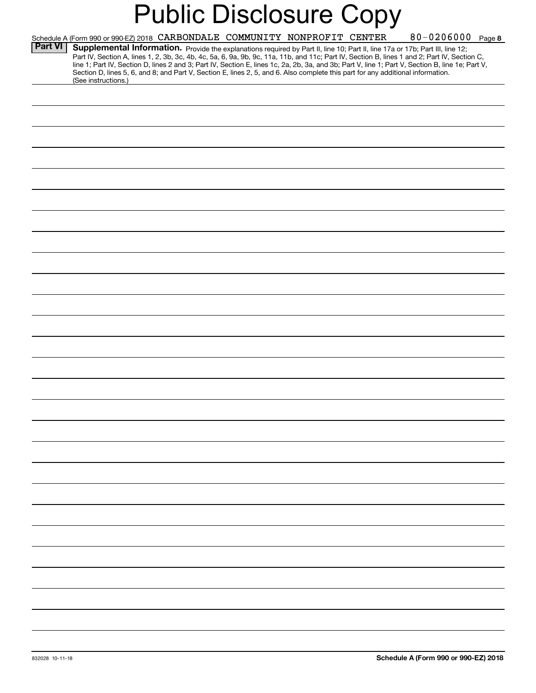|                | Schedule A (Form 990 or 990-EZ) 2018 CARBONDALE COMMUNITY NONPROFIT CENTER                                                                                                                                                                                                                                                                                                                                                        |  | 80-0206000 Page 8 |
|----------------|-----------------------------------------------------------------------------------------------------------------------------------------------------------------------------------------------------------------------------------------------------------------------------------------------------------------------------------------------------------------------------------------------------------------------------------|--|-------------------|
| <b>Part VI</b> | Supplemental Information. Provide the explanations required by Part II, line 10; Part II, line 17a or 17b; Part III, line 12;<br>Part IV, Section A, lines 1, 2, 3b, 3c, 4b, 4c, 5a, 6, 9a, 9b, 9c, 11a, 11b, and 11c; Part IV, Section B, lines 1 and 2; Part IV, Section C,<br>line 1; Part IV, Section D, lines 2 and 3; Part IV, Section E, lines 1c, 2a, 2b, 3a, and 3b; Part V, line 1; Part V, Section B, line 1e; Part V, |  |                   |
|                | Section D, lines 5, 6, and 8; and Part V, Section E, lines 2, 5, and 6. Also complete this part for any additional information.<br>(See instructions.)                                                                                                                                                                                                                                                                            |  |                   |
|                |                                                                                                                                                                                                                                                                                                                                                                                                                                   |  |                   |
|                |                                                                                                                                                                                                                                                                                                                                                                                                                                   |  |                   |
|                |                                                                                                                                                                                                                                                                                                                                                                                                                                   |  |                   |
|                |                                                                                                                                                                                                                                                                                                                                                                                                                                   |  |                   |
|                |                                                                                                                                                                                                                                                                                                                                                                                                                                   |  |                   |
|                |                                                                                                                                                                                                                                                                                                                                                                                                                                   |  |                   |
|                |                                                                                                                                                                                                                                                                                                                                                                                                                                   |  |                   |
|                |                                                                                                                                                                                                                                                                                                                                                                                                                                   |  |                   |
|                |                                                                                                                                                                                                                                                                                                                                                                                                                                   |  |                   |
|                |                                                                                                                                                                                                                                                                                                                                                                                                                                   |  |                   |
|                |                                                                                                                                                                                                                                                                                                                                                                                                                                   |  |                   |
|                |                                                                                                                                                                                                                                                                                                                                                                                                                                   |  |                   |
|                |                                                                                                                                                                                                                                                                                                                                                                                                                                   |  |                   |
|                |                                                                                                                                                                                                                                                                                                                                                                                                                                   |  |                   |
|                |                                                                                                                                                                                                                                                                                                                                                                                                                                   |  |                   |
|                |                                                                                                                                                                                                                                                                                                                                                                                                                                   |  |                   |
|                |                                                                                                                                                                                                                                                                                                                                                                                                                                   |  |                   |
|                |                                                                                                                                                                                                                                                                                                                                                                                                                                   |  |                   |
|                |                                                                                                                                                                                                                                                                                                                                                                                                                                   |  |                   |
|                |                                                                                                                                                                                                                                                                                                                                                                                                                                   |  |                   |
|                |                                                                                                                                                                                                                                                                                                                                                                                                                                   |  |                   |
|                |                                                                                                                                                                                                                                                                                                                                                                                                                                   |  |                   |
|                |                                                                                                                                                                                                                                                                                                                                                                                                                                   |  |                   |
|                |                                                                                                                                                                                                                                                                                                                                                                                                                                   |  |                   |
|                |                                                                                                                                                                                                                                                                                                                                                                                                                                   |  |                   |
|                |                                                                                                                                                                                                                                                                                                                                                                                                                                   |  |                   |
|                |                                                                                                                                                                                                                                                                                                                                                                                                                                   |  |                   |
|                |                                                                                                                                                                                                                                                                                                                                                                                                                                   |  |                   |
|                |                                                                                                                                                                                                                                                                                                                                                                                                                                   |  |                   |
|                |                                                                                                                                                                                                                                                                                                                                                                                                                                   |  |                   |
|                |                                                                                                                                                                                                                                                                                                                                                                                                                                   |  |                   |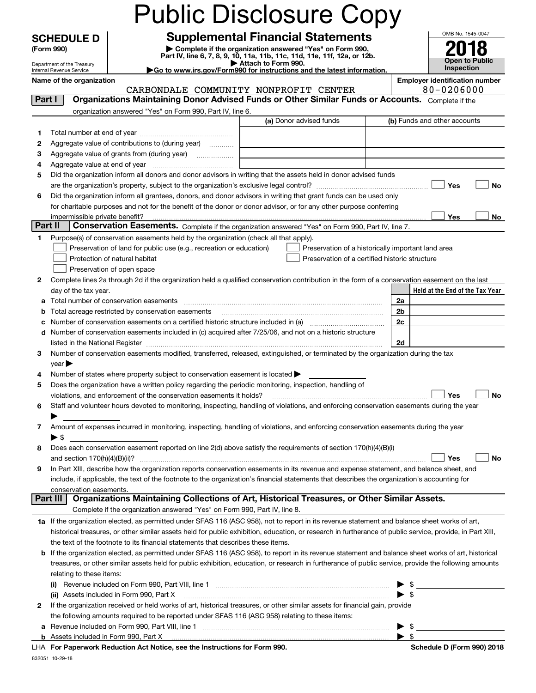|         |                            |                                                                                                                                                                                                                                                                                                            | <b>Public Disclosure Copy</b>                                                                        |                          |                                                         |
|---------|----------------------------|------------------------------------------------------------------------------------------------------------------------------------------------------------------------------------------------------------------------------------------------------------------------------------------------------------|------------------------------------------------------------------------------------------------------|--------------------------|---------------------------------------------------------|
|         | <b>SCHEDULE D</b>          |                                                                                                                                                                                                                                                                                                            | <b>Supplemental Financial Statements</b>                                                             |                          | OMB No. 1545-0047                                       |
|         | (Form 990)                 |                                                                                                                                                                                                                                                                                                            | Complete if the organization answered "Yes" on Form 990,                                             |                          |                                                         |
|         | Department of the Treasury |                                                                                                                                                                                                                                                                                                            | Part IV, line 6, 7, 8, 9, 10, 11a, 11b, 11c, 11d, 11e, 11f, 12a, or 12b.<br>Attach to Form 990.      |                          | Open to Public                                          |
|         | Internal Revenue Service   |                                                                                                                                                                                                                                                                                                            | Go to www.irs.gov/Form990 for instructions and the latest information.                               |                          | <b>Inspection</b>                                       |
|         | Name of the organization   |                                                                                                                                                                                                                                                                                                            | CARBONDALE COMMUNITY NONPROFIT CENTER                                                                |                          | <b>Employer identification number</b><br>$80 - 0206000$ |
| Part I  |                            | Organizations Maintaining Donor Advised Funds or Other Similar Funds or Accounts. Complete if the                                                                                                                                                                                                          |                                                                                                      |                          |                                                         |
|         |                            | organization answered "Yes" on Form 990, Part IV, line 6.                                                                                                                                                                                                                                                  |                                                                                                      |                          |                                                         |
|         |                            |                                                                                                                                                                                                                                                                                                            | (a) Donor advised funds                                                                              |                          | (b) Funds and other accounts                            |
| 1.      |                            |                                                                                                                                                                                                                                                                                                            |                                                                                                      |                          |                                                         |
| 2       |                            | Aggregate value of contributions to (during year)                                                                                                                                                                                                                                                          |                                                                                                      |                          |                                                         |
| з       |                            | Aggregate value of grants from (during year)                                                                                                                                                                                                                                                               |                                                                                                      |                          |                                                         |
| 4<br>5  |                            | Did the organization inform all donors and donor advisors in writing that the assets held in donor advised funds                                                                                                                                                                                           |                                                                                                      |                          |                                                         |
|         |                            |                                                                                                                                                                                                                                                                                                            |                                                                                                      |                          | Yes<br><b>No</b>                                        |
| 6       |                            | Did the organization inform all grantees, donors, and donor advisors in writing that grant funds can be used only                                                                                                                                                                                          |                                                                                                      |                          |                                                         |
|         |                            | for charitable purposes and not for the benefit of the donor or donor advisor, or for any other purpose conferring                                                                                                                                                                                         |                                                                                                      |                          |                                                         |
|         |                            |                                                                                                                                                                                                                                                                                                            |                                                                                                      |                          | Yes<br>No                                               |
| Part II |                            | Conservation Easements. Complete if the organization answered "Yes" on Form 990, Part IV, line 7.                                                                                                                                                                                                          |                                                                                                      |                          |                                                         |
| 1       |                            | Purpose(s) of conservation easements held by the organization (check all that apply).                                                                                                                                                                                                                      |                                                                                                      |                          |                                                         |
|         |                            | Preservation of land for public use (e.g., recreation or education)<br>Protection of natural habitat                                                                                                                                                                                                       | Preservation of a historically important land area<br>Preservation of a certified historic structure |                          |                                                         |
|         |                            | Preservation of open space                                                                                                                                                                                                                                                                                 |                                                                                                      |                          |                                                         |
| 2       |                            | Complete lines 2a through 2d if the organization held a qualified conservation contribution in the form of a conservation easement on the last                                                                                                                                                             |                                                                                                      |                          |                                                         |
|         | day of the tax year.       |                                                                                                                                                                                                                                                                                                            |                                                                                                      |                          | Held at the End of the Tax Year                         |
| а       |                            | Total number of conservation easements                                                                                                                                                                                                                                                                     |                                                                                                      | 2a                       |                                                         |
| b       |                            | Total acreage restricted by conservation easements                                                                                                                                                                                                                                                         |                                                                                                      | 2b                       |                                                         |
| с       |                            |                                                                                                                                                                                                                                                                                                            |                                                                                                      | 2c                       |                                                         |
| d       |                            | Number of conservation easements included in (c) acquired after 7/25/06, and not on a historic structure                                                                                                                                                                                                   |                                                                                                      |                          |                                                         |
|         |                            |                                                                                                                                                                                                                                                                                                            |                                                                                                      | 2d                       |                                                         |
| 3       | $year \blacktriangleright$ | Number of conservation easements modified, transferred, released, extinguished, or terminated by the organization during the tax                                                                                                                                                                           |                                                                                                      |                          |                                                         |
|         |                            | Number of states where property subject to conservation easement is located $\blacktriangleright$                                                                                                                                                                                                          |                                                                                                      |                          |                                                         |
| 5       |                            | Does the organization have a written policy regarding the periodic monitoring, inspection, handling of                                                                                                                                                                                                     |                                                                                                      |                          |                                                         |
|         |                            | violations, and enforcement of the conservation easements it holds?                                                                                                                                                                                                                                        |                                                                                                      |                          | Yes<br><b>No</b>                                        |
| 6       |                            | Staff and volunteer hours devoted to monitoring, inspecting, handling of violations, and enforcing conservation easements during the year                                                                                                                                                                  |                                                                                                      |                          |                                                         |
|         |                            |                                                                                                                                                                                                                                                                                                            |                                                                                                      |                          |                                                         |
| 7       |                            | Amount of expenses incurred in monitoring, inspecting, handling of violations, and enforcing conservation easements during the year                                                                                                                                                                        |                                                                                                      |                          |                                                         |
|         | $\blacktriangleright$ \$   | Does each conservation easement reported on line 2(d) above satisfy the requirements of section 170(h)(4)(B)(i)                                                                                                                                                                                            |                                                                                                      |                          |                                                         |
| 8       |                            |                                                                                                                                                                                                                                                                                                            |                                                                                                      |                          | Yes<br>No                                               |
| 9       |                            | In Part XIII, describe how the organization reports conservation easements in its revenue and expense statement, and balance sheet, and                                                                                                                                                                    |                                                                                                      |                          |                                                         |
|         |                            | include, if applicable, the text of the footnote to the organization's financial statements that describes the organization's accounting for                                                                                                                                                               |                                                                                                      |                          |                                                         |
|         | conservation easements.    |                                                                                                                                                                                                                                                                                                            |                                                                                                      |                          |                                                         |
|         | Part III                   | Organizations Maintaining Collections of Art, Historical Treasures, or Other Similar Assets.                                                                                                                                                                                                               |                                                                                                      |                          |                                                         |
|         |                            | Complete if the organization answered "Yes" on Form 990, Part IV, line 8.                                                                                                                                                                                                                                  |                                                                                                      |                          |                                                         |
|         |                            | 1a If the organization elected, as permitted under SFAS 116 (ASC 958), not to report in its revenue statement and balance sheet works of art,<br>historical treasures, or other similar assets held for public exhibition, education, or research in furtherance of public service, provide, in Part XIII, |                                                                                                      |                          |                                                         |
|         |                            | the text of the footnote to its financial statements that describes these items.                                                                                                                                                                                                                           |                                                                                                      |                          |                                                         |
| b       |                            | If the organization elected, as permitted under SFAS 116 (ASC 958), to report in its revenue statement and balance sheet works of art, historical                                                                                                                                                          |                                                                                                      |                          |                                                         |
|         |                            | treasures, or other similar assets held for public exhibition, education, or research in furtherance of public service, provide the following amounts                                                                                                                                                      |                                                                                                      |                          |                                                         |
|         | relating to these items:   |                                                                                                                                                                                                                                                                                                            |                                                                                                      |                          |                                                         |
|         |                            |                                                                                                                                                                                                                                                                                                            |                                                                                                      |                          | \$                                                      |
|         |                            | (ii) Assets included in Form 990, Part X                                                                                                                                                                                                                                                                   |                                                                                                      | $\blacktriangleright$ \$ |                                                         |
| 2       |                            | If the organization received or held works of art, historical treasures, or other similar assets for financial gain, provide                                                                                                                                                                               |                                                                                                      |                          |                                                         |
|         |                            | the following amounts required to be reported under SFAS 116 (ASC 958) relating to these items:                                                                                                                                                                                                            |                                                                                                      |                          |                                                         |
| a       |                            |                                                                                                                                                                                                                                                                                                            |                                                                                                      | $\blacktriangleright$ \$ | - \$                                                    |
|         |                            | For Departments Reduction Act Notice, can the Instructions for Form 000                                                                                                                                                                                                                                    |                                                                                                      |                          | Pohodulo D (Form 000) 2019                              |

|  | LHA For Paperwork Reduction Act Notice, see the Instructions for Form 990. |  |  |  |  |  |  |
|--|----------------------------------------------------------------------------|--|--|--|--|--|--|
|--|----------------------------------------------------------------------------|--|--|--|--|--|--|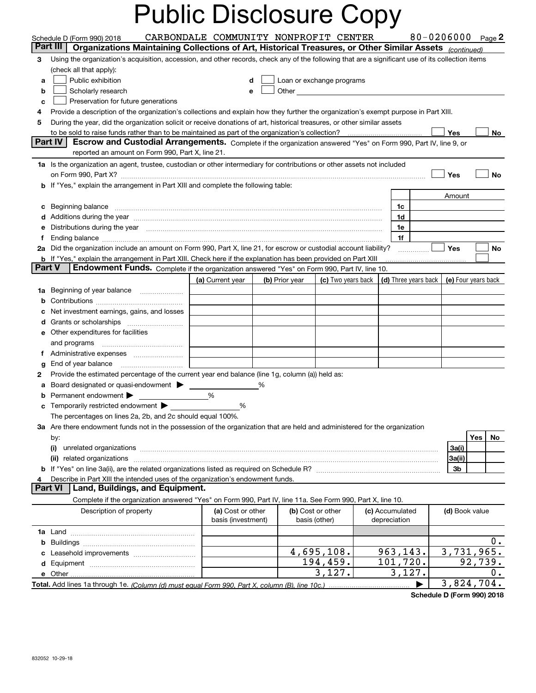| CARBONDALE COMMUNITY NONPROFIT CENTER<br>80-0206000 $_{Page}$ 2<br>Schedule D (Form 990) 2018<br>Part III<br>Organizations Maintaining Collections of Art, Historical Treasures, or Other Similar Assets (continued)<br>Using the organization's acquisition, accession, and other records, check any of the following that are a significant use of its collection items<br>3<br>(check all that apply):<br>Public exhibition<br>Loan or exchange programs<br>a<br>d<br>Other and the contract of the contract of the contract of the contract of the contract of the contract of the contract of the contract of the contract of the contract of the contract of the contract of the contract of the<br>Scholarly research<br>b<br>e<br>Preservation for future generations<br>c<br>Provide a description of the organization's collections and explain how they further the organization's exempt purpose in Part XIII.<br>4<br>During the year, did the organization solicit or receive donations of art, historical treasures, or other similar assets<br>5<br>Yes<br>No.<br>Part IV<br>Escrow and Custodial Arrangements. Complete if the organization answered "Yes" on Form 990, Part IV, line 9, or<br>reported an amount on Form 990, Part X, line 21.<br>1a Is the organization an agent, trustee, custodian or other intermediary for contributions or other assets not included<br>Yes<br>No<br>b If "Yes," explain the arrangement in Part XIII and complete the following table:<br>Amount<br>Beginning balance <b>contract to the contract of the contract of the contract of the contract of the contract of t</b><br>1c<br>c<br>1d<br>Distributions during the year manufactured and continuum and continuum and the year manufactured and continuum<br>1e<br>е<br>1f<br>f<br>2a Did the organization include an amount on Form 990, Part X, line 21, for escrow or custodial account liability?<br><b>Yes</b><br>No<br><b>b</b> If "Yes," explain the arrangement in Part XIII. Check here if the explanation has been provided on Part XIII<br><b>Part V</b><br>Endowment Funds. Complete if the organization answered "Yes" on Form 990, Part IV, line 10.<br>(c) Two years back $\vert$ (d) Three years back $\vert$ (e) Four years back<br>(a) Current year<br>(b) Prior year<br>1a Beginning of year balance<br>b<br>Net investment earnings, gains, and losses<br>d<br><b>e</b> Other expenditures for facilities<br>and programs<br>Ť.<br>End of year balance<br>g<br>Provide the estimated percentage of the current year end balance (line 1g, column (a)) held as:<br>2<br>%<br>Permanent endowment ><br>%<br><b>c</b> Temporarily restricted endowment $\blacktriangleright$<br>%<br>The percentages on lines 2a, 2b, and 2c should equal 100%.<br>3a Are there endowment funds not in the possession of the organization that are held and administered for the organization<br>Yes<br>No.<br>by:<br>3a(i)<br>(i)<br>3a(ii)<br>(ii) related organizations<br>3b<br>Describe in Part XIII the intended uses of the organization's endowment funds.<br><b>Part VI</b><br>Land, Buildings, and Equipment.<br>Complete if the organization answered "Yes" on Form 990, Part IV, line 11a. See Form 990, Part X, line 10.<br>Description of property<br>(a) Cost or other<br>(b) Cost or other<br>(c) Accumulated<br>(d) Book value<br>basis (investment)<br>basis (other)<br>depreciation<br>0.<br>b<br>3,731,965.<br>4,695,108.<br>963,143.<br>c<br>101, 720.<br>194, 459.<br>92,739.<br>3,127.<br>3,127.<br>$\mathbf 0$ .<br>3,824,704.<br>▶ |  | <b>Public Disclosure Copy</b> |  |  |  |  |
|---------------------------------------------------------------------------------------------------------------------------------------------------------------------------------------------------------------------------------------------------------------------------------------------------------------------------------------------------------------------------------------------------------------------------------------------------------------------------------------------------------------------------------------------------------------------------------------------------------------------------------------------------------------------------------------------------------------------------------------------------------------------------------------------------------------------------------------------------------------------------------------------------------------------------------------------------------------------------------------------------------------------------------------------------------------------------------------------------------------------------------------------------------------------------------------------------------------------------------------------------------------------------------------------------------------------------------------------------------------------------------------------------------------------------------------------------------------------------------------------------------------------------------------------------------------------------------------------------------------------------------------------------------------------------------------------------------------------------------------------------------------------------------------------------------------------------------------------------------------------------------------------------------------------------------------------------------------------------------------------------------------------------------------------------------------------------------------------------------------------------------------------------------------------------------------------------------------------------------------------------------------------------------------------------------------------------------------------------------------------------------------------------------------------------------------------------------------------------------------------------------------------------------------------------------------------------------------------------------------------------------------------------------------------------------------------------------------------------------------------------------------------------------------------------------------------------------------------------------------------------------------------------------------------------------------------------------------------------------------------------------------------------------------------------------------------------------------------------------------------------------------------------------------------------------------------------------------------------------------------------------------------------------------------------------------------------------------------------------------------------------------------------------------------------------------------------------------------------------------------------------------------------------------------------------------------------|--|-------------------------------|--|--|--|--|
|                                                                                                                                                                                                                                                                                                                                                                                                                                                                                                                                                                                                                                                                                                                                                                                                                                                                                                                                                                                                                                                                                                                                                                                                                                                                                                                                                                                                                                                                                                                                                                                                                                                                                                                                                                                                                                                                                                                                                                                                                                                                                                                                                                                                                                                                                                                                                                                                                                                                                                                                                                                                                                                                                                                                                                                                                                                                                                                                                                                                                                                                                                                                                                                                                                                                                                                                                                                                                                                                                                                                                                           |  |                               |  |  |  |  |
|                                                                                                                                                                                                                                                                                                                                                                                                                                                                                                                                                                                                                                                                                                                                                                                                                                                                                                                                                                                                                                                                                                                                                                                                                                                                                                                                                                                                                                                                                                                                                                                                                                                                                                                                                                                                                                                                                                                                                                                                                                                                                                                                                                                                                                                                                                                                                                                                                                                                                                                                                                                                                                                                                                                                                                                                                                                                                                                                                                                                                                                                                                                                                                                                                                                                                                                                                                                                                                                                                                                                                                           |  |                               |  |  |  |  |
|                                                                                                                                                                                                                                                                                                                                                                                                                                                                                                                                                                                                                                                                                                                                                                                                                                                                                                                                                                                                                                                                                                                                                                                                                                                                                                                                                                                                                                                                                                                                                                                                                                                                                                                                                                                                                                                                                                                                                                                                                                                                                                                                                                                                                                                                                                                                                                                                                                                                                                                                                                                                                                                                                                                                                                                                                                                                                                                                                                                                                                                                                                                                                                                                                                                                                                                                                                                                                                                                                                                                                                           |  |                               |  |  |  |  |
|                                                                                                                                                                                                                                                                                                                                                                                                                                                                                                                                                                                                                                                                                                                                                                                                                                                                                                                                                                                                                                                                                                                                                                                                                                                                                                                                                                                                                                                                                                                                                                                                                                                                                                                                                                                                                                                                                                                                                                                                                                                                                                                                                                                                                                                                                                                                                                                                                                                                                                                                                                                                                                                                                                                                                                                                                                                                                                                                                                                                                                                                                                                                                                                                                                                                                                                                                                                                                                                                                                                                                                           |  |                               |  |  |  |  |
|                                                                                                                                                                                                                                                                                                                                                                                                                                                                                                                                                                                                                                                                                                                                                                                                                                                                                                                                                                                                                                                                                                                                                                                                                                                                                                                                                                                                                                                                                                                                                                                                                                                                                                                                                                                                                                                                                                                                                                                                                                                                                                                                                                                                                                                                                                                                                                                                                                                                                                                                                                                                                                                                                                                                                                                                                                                                                                                                                                                                                                                                                                                                                                                                                                                                                                                                                                                                                                                                                                                                                                           |  |                               |  |  |  |  |
|                                                                                                                                                                                                                                                                                                                                                                                                                                                                                                                                                                                                                                                                                                                                                                                                                                                                                                                                                                                                                                                                                                                                                                                                                                                                                                                                                                                                                                                                                                                                                                                                                                                                                                                                                                                                                                                                                                                                                                                                                                                                                                                                                                                                                                                                                                                                                                                                                                                                                                                                                                                                                                                                                                                                                                                                                                                                                                                                                                                                                                                                                                                                                                                                                                                                                                                                                                                                                                                                                                                                                                           |  |                               |  |  |  |  |
|                                                                                                                                                                                                                                                                                                                                                                                                                                                                                                                                                                                                                                                                                                                                                                                                                                                                                                                                                                                                                                                                                                                                                                                                                                                                                                                                                                                                                                                                                                                                                                                                                                                                                                                                                                                                                                                                                                                                                                                                                                                                                                                                                                                                                                                                                                                                                                                                                                                                                                                                                                                                                                                                                                                                                                                                                                                                                                                                                                                                                                                                                                                                                                                                                                                                                                                                                                                                                                                                                                                                                                           |  |                               |  |  |  |  |
|                                                                                                                                                                                                                                                                                                                                                                                                                                                                                                                                                                                                                                                                                                                                                                                                                                                                                                                                                                                                                                                                                                                                                                                                                                                                                                                                                                                                                                                                                                                                                                                                                                                                                                                                                                                                                                                                                                                                                                                                                                                                                                                                                                                                                                                                                                                                                                                                                                                                                                                                                                                                                                                                                                                                                                                                                                                                                                                                                                                                                                                                                                                                                                                                                                                                                                                                                                                                                                                                                                                                                                           |  |                               |  |  |  |  |
|                                                                                                                                                                                                                                                                                                                                                                                                                                                                                                                                                                                                                                                                                                                                                                                                                                                                                                                                                                                                                                                                                                                                                                                                                                                                                                                                                                                                                                                                                                                                                                                                                                                                                                                                                                                                                                                                                                                                                                                                                                                                                                                                                                                                                                                                                                                                                                                                                                                                                                                                                                                                                                                                                                                                                                                                                                                                                                                                                                                                                                                                                                                                                                                                                                                                                                                                                                                                                                                                                                                                                                           |  |                               |  |  |  |  |
|                                                                                                                                                                                                                                                                                                                                                                                                                                                                                                                                                                                                                                                                                                                                                                                                                                                                                                                                                                                                                                                                                                                                                                                                                                                                                                                                                                                                                                                                                                                                                                                                                                                                                                                                                                                                                                                                                                                                                                                                                                                                                                                                                                                                                                                                                                                                                                                                                                                                                                                                                                                                                                                                                                                                                                                                                                                                                                                                                                                                                                                                                                                                                                                                                                                                                                                                                                                                                                                                                                                                                                           |  |                               |  |  |  |  |
|                                                                                                                                                                                                                                                                                                                                                                                                                                                                                                                                                                                                                                                                                                                                                                                                                                                                                                                                                                                                                                                                                                                                                                                                                                                                                                                                                                                                                                                                                                                                                                                                                                                                                                                                                                                                                                                                                                                                                                                                                                                                                                                                                                                                                                                                                                                                                                                                                                                                                                                                                                                                                                                                                                                                                                                                                                                                                                                                                                                                                                                                                                                                                                                                                                                                                                                                                                                                                                                                                                                                                                           |  |                               |  |  |  |  |
|                                                                                                                                                                                                                                                                                                                                                                                                                                                                                                                                                                                                                                                                                                                                                                                                                                                                                                                                                                                                                                                                                                                                                                                                                                                                                                                                                                                                                                                                                                                                                                                                                                                                                                                                                                                                                                                                                                                                                                                                                                                                                                                                                                                                                                                                                                                                                                                                                                                                                                                                                                                                                                                                                                                                                                                                                                                                                                                                                                                                                                                                                                                                                                                                                                                                                                                                                                                                                                                                                                                                                                           |  |                               |  |  |  |  |
|                                                                                                                                                                                                                                                                                                                                                                                                                                                                                                                                                                                                                                                                                                                                                                                                                                                                                                                                                                                                                                                                                                                                                                                                                                                                                                                                                                                                                                                                                                                                                                                                                                                                                                                                                                                                                                                                                                                                                                                                                                                                                                                                                                                                                                                                                                                                                                                                                                                                                                                                                                                                                                                                                                                                                                                                                                                                                                                                                                                                                                                                                                                                                                                                                                                                                                                                                                                                                                                                                                                                                                           |  |                               |  |  |  |  |
|                                                                                                                                                                                                                                                                                                                                                                                                                                                                                                                                                                                                                                                                                                                                                                                                                                                                                                                                                                                                                                                                                                                                                                                                                                                                                                                                                                                                                                                                                                                                                                                                                                                                                                                                                                                                                                                                                                                                                                                                                                                                                                                                                                                                                                                                                                                                                                                                                                                                                                                                                                                                                                                                                                                                                                                                                                                                                                                                                                                                                                                                                                                                                                                                                                                                                                                                                                                                                                                                                                                                                                           |  |                               |  |  |  |  |
|                                                                                                                                                                                                                                                                                                                                                                                                                                                                                                                                                                                                                                                                                                                                                                                                                                                                                                                                                                                                                                                                                                                                                                                                                                                                                                                                                                                                                                                                                                                                                                                                                                                                                                                                                                                                                                                                                                                                                                                                                                                                                                                                                                                                                                                                                                                                                                                                                                                                                                                                                                                                                                                                                                                                                                                                                                                                                                                                                                                                                                                                                                                                                                                                                                                                                                                                                                                                                                                                                                                                                                           |  |                               |  |  |  |  |
|                                                                                                                                                                                                                                                                                                                                                                                                                                                                                                                                                                                                                                                                                                                                                                                                                                                                                                                                                                                                                                                                                                                                                                                                                                                                                                                                                                                                                                                                                                                                                                                                                                                                                                                                                                                                                                                                                                                                                                                                                                                                                                                                                                                                                                                                                                                                                                                                                                                                                                                                                                                                                                                                                                                                                                                                                                                                                                                                                                                                                                                                                                                                                                                                                                                                                                                                                                                                                                                                                                                                                                           |  |                               |  |  |  |  |
|                                                                                                                                                                                                                                                                                                                                                                                                                                                                                                                                                                                                                                                                                                                                                                                                                                                                                                                                                                                                                                                                                                                                                                                                                                                                                                                                                                                                                                                                                                                                                                                                                                                                                                                                                                                                                                                                                                                                                                                                                                                                                                                                                                                                                                                                                                                                                                                                                                                                                                                                                                                                                                                                                                                                                                                                                                                                                                                                                                                                                                                                                                                                                                                                                                                                                                                                                                                                                                                                                                                                                                           |  |                               |  |  |  |  |
|                                                                                                                                                                                                                                                                                                                                                                                                                                                                                                                                                                                                                                                                                                                                                                                                                                                                                                                                                                                                                                                                                                                                                                                                                                                                                                                                                                                                                                                                                                                                                                                                                                                                                                                                                                                                                                                                                                                                                                                                                                                                                                                                                                                                                                                                                                                                                                                                                                                                                                                                                                                                                                                                                                                                                                                                                                                                                                                                                                                                                                                                                                                                                                                                                                                                                                                                                                                                                                                                                                                                                                           |  |                               |  |  |  |  |
|                                                                                                                                                                                                                                                                                                                                                                                                                                                                                                                                                                                                                                                                                                                                                                                                                                                                                                                                                                                                                                                                                                                                                                                                                                                                                                                                                                                                                                                                                                                                                                                                                                                                                                                                                                                                                                                                                                                                                                                                                                                                                                                                                                                                                                                                                                                                                                                                                                                                                                                                                                                                                                                                                                                                                                                                                                                                                                                                                                                                                                                                                                                                                                                                                                                                                                                                                                                                                                                                                                                                                                           |  |                               |  |  |  |  |
|                                                                                                                                                                                                                                                                                                                                                                                                                                                                                                                                                                                                                                                                                                                                                                                                                                                                                                                                                                                                                                                                                                                                                                                                                                                                                                                                                                                                                                                                                                                                                                                                                                                                                                                                                                                                                                                                                                                                                                                                                                                                                                                                                                                                                                                                                                                                                                                                                                                                                                                                                                                                                                                                                                                                                                                                                                                                                                                                                                                                                                                                                                                                                                                                                                                                                                                                                                                                                                                                                                                                                                           |  |                               |  |  |  |  |
|                                                                                                                                                                                                                                                                                                                                                                                                                                                                                                                                                                                                                                                                                                                                                                                                                                                                                                                                                                                                                                                                                                                                                                                                                                                                                                                                                                                                                                                                                                                                                                                                                                                                                                                                                                                                                                                                                                                                                                                                                                                                                                                                                                                                                                                                                                                                                                                                                                                                                                                                                                                                                                                                                                                                                                                                                                                                                                                                                                                                                                                                                                                                                                                                                                                                                                                                                                                                                                                                                                                                                                           |  |                               |  |  |  |  |
|                                                                                                                                                                                                                                                                                                                                                                                                                                                                                                                                                                                                                                                                                                                                                                                                                                                                                                                                                                                                                                                                                                                                                                                                                                                                                                                                                                                                                                                                                                                                                                                                                                                                                                                                                                                                                                                                                                                                                                                                                                                                                                                                                                                                                                                                                                                                                                                                                                                                                                                                                                                                                                                                                                                                                                                                                                                                                                                                                                                                                                                                                                                                                                                                                                                                                                                                                                                                                                                                                                                                                                           |  |                               |  |  |  |  |
|                                                                                                                                                                                                                                                                                                                                                                                                                                                                                                                                                                                                                                                                                                                                                                                                                                                                                                                                                                                                                                                                                                                                                                                                                                                                                                                                                                                                                                                                                                                                                                                                                                                                                                                                                                                                                                                                                                                                                                                                                                                                                                                                                                                                                                                                                                                                                                                                                                                                                                                                                                                                                                                                                                                                                                                                                                                                                                                                                                                                                                                                                                                                                                                                                                                                                                                                                                                                                                                                                                                                                                           |  |                               |  |  |  |  |
|                                                                                                                                                                                                                                                                                                                                                                                                                                                                                                                                                                                                                                                                                                                                                                                                                                                                                                                                                                                                                                                                                                                                                                                                                                                                                                                                                                                                                                                                                                                                                                                                                                                                                                                                                                                                                                                                                                                                                                                                                                                                                                                                                                                                                                                                                                                                                                                                                                                                                                                                                                                                                                                                                                                                                                                                                                                                                                                                                                                                                                                                                                                                                                                                                                                                                                                                                                                                                                                                                                                                                                           |  |                               |  |  |  |  |
|                                                                                                                                                                                                                                                                                                                                                                                                                                                                                                                                                                                                                                                                                                                                                                                                                                                                                                                                                                                                                                                                                                                                                                                                                                                                                                                                                                                                                                                                                                                                                                                                                                                                                                                                                                                                                                                                                                                                                                                                                                                                                                                                                                                                                                                                                                                                                                                                                                                                                                                                                                                                                                                                                                                                                                                                                                                                                                                                                                                                                                                                                                                                                                                                                                                                                                                                                                                                                                                                                                                                                                           |  |                               |  |  |  |  |
|                                                                                                                                                                                                                                                                                                                                                                                                                                                                                                                                                                                                                                                                                                                                                                                                                                                                                                                                                                                                                                                                                                                                                                                                                                                                                                                                                                                                                                                                                                                                                                                                                                                                                                                                                                                                                                                                                                                                                                                                                                                                                                                                                                                                                                                                                                                                                                                                                                                                                                                                                                                                                                                                                                                                                                                                                                                                                                                                                                                                                                                                                                                                                                                                                                                                                                                                                                                                                                                                                                                                                                           |  |                               |  |  |  |  |
|                                                                                                                                                                                                                                                                                                                                                                                                                                                                                                                                                                                                                                                                                                                                                                                                                                                                                                                                                                                                                                                                                                                                                                                                                                                                                                                                                                                                                                                                                                                                                                                                                                                                                                                                                                                                                                                                                                                                                                                                                                                                                                                                                                                                                                                                                                                                                                                                                                                                                                                                                                                                                                                                                                                                                                                                                                                                                                                                                                                                                                                                                                                                                                                                                                                                                                                                                                                                                                                                                                                                                                           |  |                               |  |  |  |  |
|                                                                                                                                                                                                                                                                                                                                                                                                                                                                                                                                                                                                                                                                                                                                                                                                                                                                                                                                                                                                                                                                                                                                                                                                                                                                                                                                                                                                                                                                                                                                                                                                                                                                                                                                                                                                                                                                                                                                                                                                                                                                                                                                                                                                                                                                                                                                                                                                                                                                                                                                                                                                                                                                                                                                                                                                                                                                                                                                                                                                                                                                                                                                                                                                                                                                                                                                                                                                                                                                                                                                                                           |  |                               |  |  |  |  |
|                                                                                                                                                                                                                                                                                                                                                                                                                                                                                                                                                                                                                                                                                                                                                                                                                                                                                                                                                                                                                                                                                                                                                                                                                                                                                                                                                                                                                                                                                                                                                                                                                                                                                                                                                                                                                                                                                                                                                                                                                                                                                                                                                                                                                                                                                                                                                                                                                                                                                                                                                                                                                                                                                                                                                                                                                                                                                                                                                                                                                                                                                                                                                                                                                                                                                                                                                                                                                                                                                                                                                                           |  |                               |  |  |  |  |
|                                                                                                                                                                                                                                                                                                                                                                                                                                                                                                                                                                                                                                                                                                                                                                                                                                                                                                                                                                                                                                                                                                                                                                                                                                                                                                                                                                                                                                                                                                                                                                                                                                                                                                                                                                                                                                                                                                                                                                                                                                                                                                                                                                                                                                                                                                                                                                                                                                                                                                                                                                                                                                                                                                                                                                                                                                                                                                                                                                                                                                                                                                                                                                                                                                                                                                                                                                                                                                                                                                                                                                           |  |                               |  |  |  |  |
|                                                                                                                                                                                                                                                                                                                                                                                                                                                                                                                                                                                                                                                                                                                                                                                                                                                                                                                                                                                                                                                                                                                                                                                                                                                                                                                                                                                                                                                                                                                                                                                                                                                                                                                                                                                                                                                                                                                                                                                                                                                                                                                                                                                                                                                                                                                                                                                                                                                                                                                                                                                                                                                                                                                                                                                                                                                                                                                                                                                                                                                                                                                                                                                                                                                                                                                                                                                                                                                                                                                                                                           |  |                               |  |  |  |  |
|                                                                                                                                                                                                                                                                                                                                                                                                                                                                                                                                                                                                                                                                                                                                                                                                                                                                                                                                                                                                                                                                                                                                                                                                                                                                                                                                                                                                                                                                                                                                                                                                                                                                                                                                                                                                                                                                                                                                                                                                                                                                                                                                                                                                                                                                                                                                                                                                                                                                                                                                                                                                                                                                                                                                                                                                                                                                                                                                                                                                                                                                                                                                                                                                                                                                                                                                                                                                                                                                                                                                                                           |  |                               |  |  |  |  |
|                                                                                                                                                                                                                                                                                                                                                                                                                                                                                                                                                                                                                                                                                                                                                                                                                                                                                                                                                                                                                                                                                                                                                                                                                                                                                                                                                                                                                                                                                                                                                                                                                                                                                                                                                                                                                                                                                                                                                                                                                                                                                                                                                                                                                                                                                                                                                                                                                                                                                                                                                                                                                                                                                                                                                                                                                                                                                                                                                                                                                                                                                                                                                                                                                                                                                                                                                                                                                                                                                                                                                                           |  |                               |  |  |  |  |
|                                                                                                                                                                                                                                                                                                                                                                                                                                                                                                                                                                                                                                                                                                                                                                                                                                                                                                                                                                                                                                                                                                                                                                                                                                                                                                                                                                                                                                                                                                                                                                                                                                                                                                                                                                                                                                                                                                                                                                                                                                                                                                                                                                                                                                                                                                                                                                                                                                                                                                                                                                                                                                                                                                                                                                                                                                                                                                                                                                                                                                                                                                                                                                                                                                                                                                                                                                                                                                                                                                                                                                           |  |                               |  |  |  |  |
|                                                                                                                                                                                                                                                                                                                                                                                                                                                                                                                                                                                                                                                                                                                                                                                                                                                                                                                                                                                                                                                                                                                                                                                                                                                                                                                                                                                                                                                                                                                                                                                                                                                                                                                                                                                                                                                                                                                                                                                                                                                                                                                                                                                                                                                                                                                                                                                                                                                                                                                                                                                                                                                                                                                                                                                                                                                                                                                                                                                                                                                                                                                                                                                                                                                                                                                                                                                                                                                                                                                                                                           |  |                               |  |  |  |  |
|                                                                                                                                                                                                                                                                                                                                                                                                                                                                                                                                                                                                                                                                                                                                                                                                                                                                                                                                                                                                                                                                                                                                                                                                                                                                                                                                                                                                                                                                                                                                                                                                                                                                                                                                                                                                                                                                                                                                                                                                                                                                                                                                                                                                                                                                                                                                                                                                                                                                                                                                                                                                                                                                                                                                                                                                                                                                                                                                                                                                                                                                                                                                                                                                                                                                                                                                                                                                                                                                                                                                                                           |  |                               |  |  |  |  |
|                                                                                                                                                                                                                                                                                                                                                                                                                                                                                                                                                                                                                                                                                                                                                                                                                                                                                                                                                                                                                                                                                                                                                                                                                                                                                                                                                                                                                                                                                                                                                                                                                                                                                                                                                                                                                                                                                                                                                                                                                                                                                                                                                                                                                                                                                                                                                                                                                                                                                                                                                                                                                                                                                                                                                                                                                                                                                                                                                                                                                                                                                                                                                                                                                                                                                                                                                                                                                                                                                                                                                                           |  |                               |  |  |  |  |
|                                                                                                                                                                                                                                                                                                                                                                                                                                                                                                                                                                                                                                                                                                                                                                                                                                                                                                                                                                                                                                                                                                                                                                                                                                                                                                                                                                                                                                                                                                                                                                                                                                                                                                                                                                                                                                                                                                                                                                                                                                                                                                                                                                                                                                                                                                                                                                                                                                                                                                                                                                                                                                                                                                                                                                                                                                                                                                                                                                                                                                                                                                                                                                                                                                                                                                                                                                                                                                                                                                                                                                           |  |                               |  |  |  |  |
|                                                                                                                                                                                                                                                                                                                                                                                                                                                                                                                                                                                                                                                                                                                                                                                                                                                                                                                                                                                                                                                                                                                                                                                                                                                                                                                                                                                                                                                                                                                                                                                                                                                                                                                                                                                                                                                                                                                                                                                                                                                                                                                                                                                                                                                                                                                                                                                                                                                                                                                                                                                                                                                                                                                                                                                                                                                                                                                                                                                                                                                                                                                                                                                                                                                                                                                                                                                                                                                                                                                                                                           |  |                               |  |  |  |  |
|                                                                                                                                                                                                                                                                                                                                                                                                                                                                                                                                                                                                                                                                                                                                                                                                                                                                                                                                                                                                                                                                                                                                                                                                                                                                                                                                                                                                                                                                                                                                                                                                                                                                                                                                                                                                                                                                                                                                                                                                                                                                                                                                                                                                                                                                                                                                                                                                                                                                                                                                                                                                                                                                                                                                                                                                                                                                                                                                                                                                                                                                                                                                                                                                                                                                                                                                                                                                                                                                                                                                                                           |  |                               |  |  |  |  |
|                                                                                                                                                                                                                                                                                                                                                                                                                                                                                                                                                                                                                                                                                                                                                                                                                                                                                                                                                                                                                                                                                                                                                                                                                                                                                                                                                                                                                                                                                                                                                                                                                                                                                                                                                                                                                                                                                                                                                                                                                                                                                                                                                                                                                                                                                                                                                                                                                                                                                                                                                                                                                                                                                                                                                                                                                                                                                                                                                                                                                                                                                                                                                                                                                                                                                                                                                                                                                                                                                                                                                                           |  |                               |  |  |  |  |
|                                                                                                                                                                                                                                                                                                                                                                                                                                                                                                                                                                                                                                                                                                                                                                                                                                                                                                                                                                                                                                                                                                                                                                                                                                                                                                                                                                                                                                                                                                                                                                                                                                                                                                                                                                                                                                                                                                                                                                                                                                                                                                                                                                                                                                                                                                                                                                                                                                                                                                                                                                                                                                                                                                                                                                                                                                                                                                                                                                                                                                                                                                                                                                                                                                                                                                                                                                                                                                                                                                                                                                           |  |                               |  |  |  |  |
|                                                                                                                                                                                                                                                                                                                                                                                                                                                                                                                                                                                                                                                                                                                                                                                                                                                                                                                                                                                                                                                                                                                                                                                                                                                                                                                                                                                                                                                                                                                                                                                                                                                                                                                                                                                                                                                                                                                                                                                                                                                                                                                                                                                                                                                                                                                                                                                                                                                                                                                                                                                                                                                                                                                                                                                                                                                                                                                                                                                                                                                                                                                                                                                                                                                                                                                                                                                                                                                                                                                                                                           |  |                               |  |  |  |  |
|                                                                                                                                                                                                                                                                                                                                                                                                                                                                                                                                                                                                                                                                                                                                                                                                                                                                                                                                                                                                                                                                                                                                                                                                                                                                                                                                                                                                                                                                                                                                                                                                                                                                                                                                                                                                                                                                                                                                                                                                                                                                                                                                                                                                                                                                                                                                                                                                                                                                                                                                                                                                                                                                                                                                                                                                                                                                                                                                                                                                                                                                                                                                                                                                                                                                                                                                                                                                                                                                                                                                                                           |  |                               |  |  |  |  |
|                                                                                                                                                                                                                                                                                                                                                                                                                                                                                                                                                                                                                                                                                                                                                                                                                                                                                                                                                                                                                                                                                                                                                                                                                                                                                                                                                                                                                                                                                                                                                                                                                                                                                                                                                                                                                                                                                                                                                                                                                                                                                                                                                                                                                                                                                                                                                                                                                                                                                                                                                                                                                                                                                                                                                                                                                                                                                                                                                                                                                                                                                                                                                                                                                                                                                                                                                                                                                                                                                                                                                                           |  |                               |  |  |  |  |
|                                                                                                                                                                                                                                                                                                                                                                                                                                                                                                                                                                                                                                                                                                                                                                                                                                                                                                                                                                                                                                                                                                                                                                                                                                                                                                                                                                                                                                                                                                                                                                                                                                                                                                                                                                                                                                                                                                                                                                                                                                                                                                                                                                                                                                                                                                                                                                                                                                                                                                                                                                                                                                                                                                                                                                                                                                                                                                                                                                                                                                                                                                                                                                                                                                                                                                                                                                                                                                                                                                                                                                           |  |                               |  |  |  |  |
|                                                                                                                                                                                                                                                                                                                                                                                                                                                                                                                                                                                                                                                                                                                                                                                                                                                                                                                                                                                                                                                                                                                                                                                                                                                                                                                                                                                                                                                                                                                                                                                                                                                                                                                                                                                                                                                                                                                                                                                                                                                                                                                                                                                                                                                                                                                                                                                                                                                                                                                                                                                                                                                                                                                                                                                                                                                                                                                                                                                                                                                                                                                                                                                                                                                                                                                                                                                                                                                                                                                                                                           |  |                               |  |  |  |  |
|                                                                                                                                                                                                                                                                                                                                                                                                                                                                                                                                                                                                                                                                                                                                                                                                                                                                                                                                                                                                                                                                                                                                                                                                                                                                                                                                                                                                                                                                                                                                                                                                                                                                                                                                                                                                                                                                                                                                                                                                                                                                                                                                                                                                                                                                                                                                                                                                                                                                                                                                                                                                                                                                                                                                                                                                                                                                                                                                                                                                                                                                                                                                                                                                                                                                                                                                                                                                                                                                                                                                                                           |  |                               |  |  |  |  |
|                                                                                                                                                                                                                                                                                                                                                                                                                                                                                                                                                                                                                                                                                                                                                                                                                                                                                                                                                                                                                                                                                                                                                                                                                                                                                                                                                                                                                                                                                                                                                                                                                                                                                                                                                                                                                                                                                                                                                                                                                                                                                                                                                                                                                                                                                                                                                                                                                                                                                                                                                                                                                                                                                                                                                                                                                                                                                                                                                                                                                                                                                                                                                                                                                                                                                                                                                                                                                                                                                                                                                                           |  |                               |  |  |  |  |
|                                                                                                                                                                                                                                                                                                                                                                                                                                                                                                                                                                                                                                                                                                                                                                                                                                                                                                                                                                                                                                                                                                                                                                                                                                                                                                                                                                                                                                                                                                                                                                                                                                                                                                                                                                                                                                                                                                                                                                                                                                                                                                                                                                                                                                                                                                                                                                                                                                                                                                                                                                                                                                                                                                                                                                                                                                                                                                                                                                                                                                                                                                                                                                                                                                                                                                                                                                                                                                                                                                                                                                           |  |                               |  |  |  |  |
|                                                                                                                                                                                                                                                                                                                                                                                                                                                                                                                                                                                                                                                                                                                                                                                                                                                                                                                                                                                                                                                                                                                                                                                                                                                                                                                                                                                                                                                                                                                                                                                                                                                                                                                                                                                                                                                                                                                                                                                                                                                                                                                                                                                                                                                                                                                                                                                                                                                                                                                                                                                                                                                                                                                                                                                                                                                                                                                                                                                                                                                                                                                                                                                                                                                                                                                                                                                                                                                                                                                                                                           |  |                               |  |  |  |  |
|                                                                                                                                                                                                                                                                                                                                                                                                                                                                                                                                                                                                                                                                                                                                                                                                                                                                                                                                                                                                                                                                                                                                                                                                                                                                                                                                                                                                                                                                                                                                                                                                                                                                                                                                                                                                                                                                                                                                                                                                                                                                                                                                                                                                                                                                                                                                                                                                                                                                                                                                                                                                                                                                                                                                                                                                                                                                                                                                                                                                                                                                                                                                                                                                                                                                                                                                                                                                                                                                                                                                                                           |  |                               |  |  |  |  |

**Schedule D (Form 990) 2018**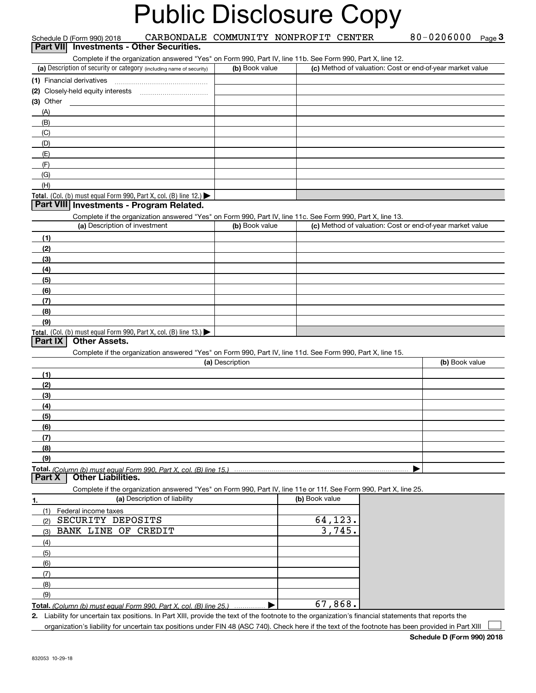|                 | Schedule D (Form 990) 2018               | CARBONDALE COMMUNITY NONPROFIT CENTER                                                                             |                 |                |                   |                                                           | 80-0206000 Page 3 |  |
|-----------------|------------------------------------------|-------------------------------------------------------------------------------------------------------------------|-----------------|----------------|-------------------|-----------------------------------------------------------|-------------------|--|
| <b>Part VII</b> |                                          | <b>Investments - Other Securities.</b>                                                                            |                 |                |                   |                                                           |                   |  |
|                 |                                          | Complete if the organization answered "Yes" on Form 990, Part IV, line 11b. See Form 990, Part X, line 12.        |                 |                |                   |                                                           |                   |  |
|                 |                                          | (a) Description of security or category (including name of security)                                              | (b) Book value  |                |                   | (c) Method of valuation: Cost or end-of-year market value |                   |  |
|                 | (1) Financial derivatives                |                                                                                                                   |                 |                |                   |                                                           |                   |  |
|                 | (2) Closely-held equity interests        |                                                                                                                   |                 |                |                   |                                                           |                   |  |
| (3) Other       |                                          |                                                                                                                   |                 |                |                   |                                                           |                   |  |
| (A)<br>(B)      |                                          |                                                                                                                   |                 |                |                   |                                                           |                   |  |
| (C)             |                                          |                                                                                                                   |                 |                |                   |                                                           |                   |  |
| (D)             |                                          |                                                                                                                   |                 |                |                   |                                                           |                   |  |
| (E)             |                                          |                                                                                                                   |                 |                |                   |                                                           |                   |  |
| (F)             |                                          |                                                                                                                   |                 |                |                   |                                                           |                   |  |
| (G)             |                                          |                                                                                                                   |                 |                |                   |                                                           |                   |  |
| (H)             |                                          |                                                                                                                   |                 |                |                   |                                                           |                   |  |
|                 |                                          | Total. (Col. (b) must equal Form 990, Part X, col. (B) line 12.)                                                  |                 |                |                   |                                                           |                   |  |
|                 |                                          | Part VIII Investments - Program Related.                                                                          |                 |                |                   |                                                           |                   |  |
|                 |                                          | Complete if the organization answered "Yes" on Form 990, Part IV, line 11c. See Form 990, Part X, line 13.        |                 |                |                   |                                                           |                   |  |
|                 | (a) Description of investment            |                                                                                                                   | (b) Book value  |                |                   | (c) Method of valuation: Cost or end-of-year market value |                   |  |
| (1)             |                                          |                                                                                                                   |                 |                |                   |                                                           |                   |  |
| (2)             |                                          |                                                                                                                   |                 |                |                   |                                                           |                   |  |
| (3)             |                                          |                                                                                                                   |                 |                |                   |                                                           |                   |  |
| (4)<br>(5)      |                                          |                                                                                                                   |                 |                |                   |                                                           |                   |  |
| (6)             |                                          |                                                                                                                   |                 |                |                   |                                                           |                   |  |
| (7)             |                                          |                                                                                                                   |                 |                |                   |                                                           |                   |  |
| (8)             |                                          |                                                                                                                   |                 |                |                   |                                                           |                   |  |
| (9)             |                                          |                                                                                                                   |                 |                |                   |                                                           |                   |  |
|                 |                                          | Total. (Col. (b) must equal Form 990, Part X, col. (B) line 13.)                                                  |                 |                |                   |                                                           |                   |  |
| Part IX         | <b>Other Assets.</b>                     |                                                                                                                   |                 |                |                   |                                                           |                   |  |
|                 |                                          | Complete if the organization answered "Yes" on Form 990, Part IV, line 11d. See Form 990, Part X, line 15.        |                 |                |                   |                                                           |                   |  |
|                 |                                          |                                                                                                                   | (a) Description |                |                   |                                                           | (b) Book value    |  |
| (1)             |                                          |                                                                                                                   |                 |                |                   |                                                           |                   |  |
| (2)             |                                          |                                                                                                                   |                 |                |                   |                                                           |                   |  |
| (3)<br>(4)      |                                          |                                                                                                                   |                 |                |                   |                                                           |                   |  |
| (5)             |                                          |                                                                                                                   |                 |                |                   |                                                           |                   |  |
| (6)             |                                          |                                                                                                                   |                 |                |                   |                                                           |                   |  |
| (7)             |                                          |                                                                                                                   |                 |                |                   |                                                           |                   |  |
| (8)             |                                          |                                                                                                                   |                 |                |                   |                                                           |                   |  |
| (9)             |                                          |                                                                                                                   |                 |                |                   |                                                           |                   |  |
|                 |                                          | Total. (Column (b) must equal Form 990. Part X, col. (B) line 15.)                                                |                 |                |                   |                                                           |                   |  |
| Part X          | <b>Other Liabilities.</b>                |                                                                                                                   |                 |                |                   |                                                           |                   |  |
|                 |                                          | Complete if the organization answered "Yes" on Form 990, Part IV, line 11e or 11f. See Form 990, Part X, line 25. |                 |                |                   |                                                           |                   |  |
| 1.              |                                          | (a) Description of liability                                                                                      |                 | (b) Book value |                   |                                                           |                   |  |
| (1)             | Federal income taxes                     |                                                                                                                   |                 |                |                   |                                                           |                   |  |
| (2)             | SECURITY DEPOSITS<br>BANK LINE OF CREDIT |                                                                                                                   |                 |                | 64,123.<br>3,745. |                                                           |                   |  |
| (3)<br>(4)      |                                          |                                                                                                                   |                 |                |                   |                                                           |                   |  |
| (5)             |                                          |                                                                                                                   |                 |                |                   |                                                           |                   |  |
| (6)             |                                          |                                                                                                                   |                 |                |                   |                                                           |                   |  |
| (7)             |                                          |                                                                                                                   |                 |                |                   |                                                           |                   |  |
| (8)             |                                          |                                                                                                                   |                 |                |                   |                                                           |                   |  |
| (9)             |                                          |                                                                                                                   |                 |                |                   |                                                           |                   |  |
|                 |                                          | Total. (Column (b) must equal Form 990, Part X, col. (B) line 25.)                                                |                 |                | 67,868.           |                                                           |                   |  |

**Total.**  *(Column (b) must equal Form 990, Part X, col. (B) line 25.)* |

**2.** Liability for uncertain tax positions. In Part XIII, provide the text of the footnote to the organization's financial statements that reports the organization's liability for uncertain tax positions under FIN 48 (ASC 740). Check here if the text of the footnote has been provided in Part XIII  $\mathcal{L}^{\text{max}}$ 

**Schedule D (Form 990) 2018**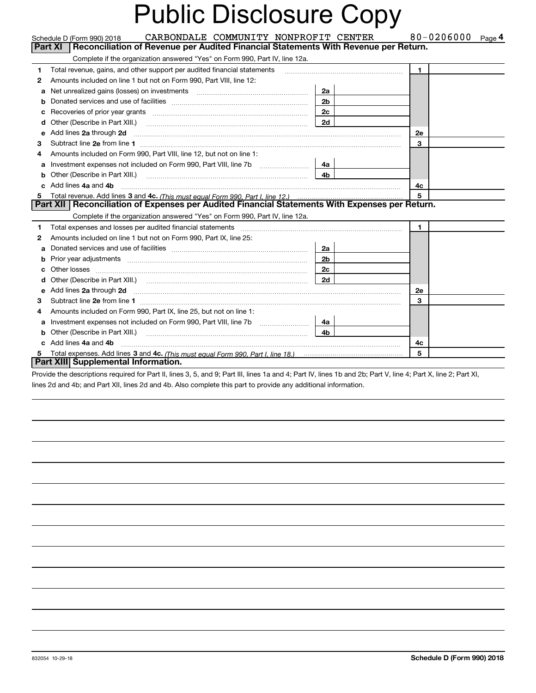|   | CARBONDALE COMMUNITY NONPROFIT CENTER<br>Schedule D (Form 990) 2018                                                                                                                                                                 |                | 80-0206000<br>Page 4 |
|---|-------------------------------------------------------------------------------------------------------------------------------------------------------------------------------------------------------------------------------------|----------------|----------------------|
|   | Reconciliation of Revenue per Audited Financial Statements With Revenue per Return.<br><b>Part XI</b>                                                                                                                               |                |                      |
|   | Complete if the organization answered "Yes" on Form 990, Part IV, line 12a.                                                                                                                                                         |                |                      |
| 1 | Total revenue, gains, and other support per audited financial statements                                                                                                                                                            |                | $\blacksquare$       |
| 2 | Amounts included on line 1 but not on Form 990, Part VIII, line 12:                                                                                                                                                                 |                |                      |
| a |                                                                                                                                                                                                                                     | 2a             |                      |
| b |                                                                                                                                                                                                                                     | 2 <sub>b</sub> |                      |
| c | Recoveries of prior year grants [11] matter contracts and prior year grants [11] matter contracts and prior year grants and all the contracts and all the contracts and all the contracts and all the contracts of prior year.      | 2 <sub>c</sub> |                      |
| d | Other (Describe in Part XIII.)                                                                                                                                                                                                      | 2d             |                      |
| е | Add lines 2a through 2d                                                                                                                                                                                                             |                | <b>2e</b>            |
| З |                                                                                                                                                                                                                                     |                | 3                    |
|   | Amounts included on Form 990, Part VIII, line 12, but not on line 1:                                                                                                                                                                |                |                      |
| a | Investment expenses not included on Form 990, Part VIII, line 7b                                                                                                                                                                    | 4a             |                      |
| b | Other (Describe in Part XIII.) <b>Construction Contract Construction</b> Chern Construction Chern Chern Chern Chern Chern Chern Chern Chern Chern Chern Chern Chern Chern Chern Chern Chern Chern Chern Chern Chern Chern Chern Che | 4 <sub>b</sub> |                      |
|   | Add lines 4a and 4b                                                                                                                                                                                                                 |                | 4с                   |
|   | Total revenue. Add lines 3 and 4c. (This must equal Form 990, Part I, line 12.)                                                                                                                                                     |                | 5                    |
|   | Part XII   Reconciliation of Expenses per Audited Financial Statements With Expenses per Return.                                                                                                                                    |                |                      |
|   | Complete if the organization answered "Yes" on Form 990, Part IV, line 12a.                                                                                                                                                         |                |                      |
| 1 |                                                                                                                                                                                                                                     |                | 1.                   |
| 2 | Amounts included on line 1 but not on Form 990, Part IX, line 25:                                                                                                                                                                   |                |                      |
|   |                                                                                                                                                                                                                                     | 2a             |                      |
| b | Prior year adjustments <i>www.www.www.www.www.www.www.www.www.</i> ww.                                                                                                                                                              | 2 <sub>b</sub> |                      |
|   | Other losses <b>with a construction of the construction of the construction of the construction</b>                                                                                                                                 | 2 <sub>c</sub> |                      |
| d |                                                                                                                                                                                                                                     | 2d             |                      |
| е | Add lines 2a through 2d <b>must be a constructed as the constant of the State of Add</b> lines 2a through 2d                                                                                                                        |                | 2e                   |
| з |                                                                                                                                                                                                                                     |                | 3                    |
| 4 | Amounts included on Form 990, Part IX, line 25, but not on line 1:                                                                                                                                                                  |                |                      |
| a | Investment expenses not included on Form 990, Part VIII, line 7b [100] [100] [100] [100] [100] [100] [100] [10                                                                                                                      | 4a             |                      |
|   |                                                                                                                                                                                                                                     | 4 <sub>b</sub> |                      |
|   | Add lines 4a and 4b                                                                                                                                                                                                                 |                | 4c                   |
| 5 |                                                                                                                                                                                                                                     |                | 5                    |
|   | Part XIII Supplemental Information.                                                                                                                                                                                                 |                |                      |
|   | Provide the descriptions required for Part II, lines 3, 5, and 9; Part III, lines 1a and 4; Part IV, lines 1b and 2b; Part V, line 4; Part X, line 2; Part XI,                                                                      |                |                      |

lines 2d and 4b; and Part XII, lines 2d and 4b. Also complete this part to provide any additional information.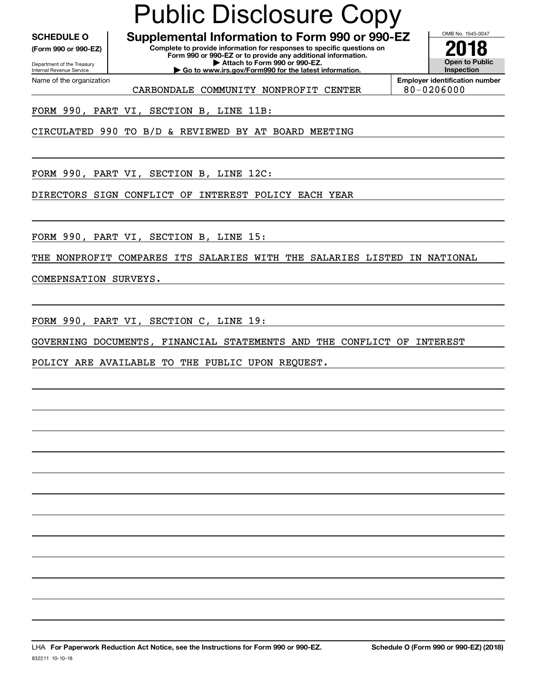Internal Revenue Service

Department of the Treasury **(Form 990 or 990-EZ)**

Name of the organization

#### **SCHEDULE O Supplemental Information to Form 990 or 990-EZ** Public Disclosure Copy

**| Go to www.irs.gov/Form990 for the latest information.**

**Complete to provide information for responses to specific questions on Form 990 or 990-EZ or to provide any additional information. | Attach to Form 990 or 990-EZ.**

**Open to Public Inspection2018**

OMB No. 1545-0047

CARBONDALE COMMUNITY NONPROFIT CENTER | 80-0206000

**Employer identification number**

FORM 990, PART VI, SECTION B, LINE 11B:

CIRCULATED 990 TO B/D & REVIEWED BY AT BOARD MEETING

FORM 990, PART VI, SECTION B, LINE 12C:

DIRECTORS SIGN CONFLICT OF INTEREST POLICY EACH YEAR

FORM 990, PART VI, SECTION B, LINE 15:

THE NONPROFIT COMPARES ITS SALARIES WITH THE SALARIES LISTED IN NATIONAL

COMEPNSATION SURVEYS.

FORM 990, PART VI, SECTION C, LINE 19:

GOVERNING DOCUMENTS, FINANCIAL STATEMENTS AND THE CONFLICT OF INTEREST

POLICY ARE AVAILABLE TO THE PUBLIC UPON REQUEST.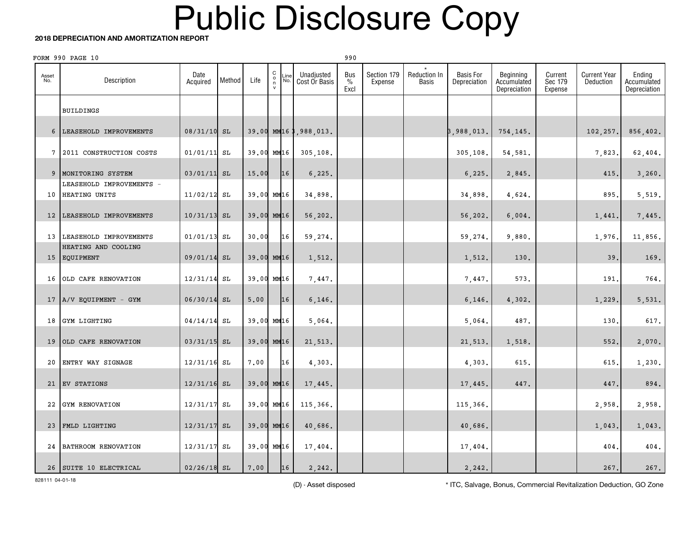#### **2018 DEPRECIATION AND AMORTIZATION REPORT**

|                 | FORM 990 PAGE 10                          |                  |        |            |                                                |             |                             | 990                 |                        |                       |                                  |                                          |                               |                                  |                                       |
|-----------------|-------------------------------------------|------------------|--------|------------|------------------------------------------------|-------------|-----------------------------|---------------------|------------------------|-----------------------|----------------------------------|------------------------------------------|-------------------------------|----------------------------------|---------------------------------------|
| Asset<br>No.    | Description                               | Date<br>Acquired | Method | Life       | $\begin{matrix} 0 \\ 0 \\ 1 \\ 0 \end{matrix}$ | Line<br>No. | Unadjusted<br>Cost Or Basis | Bus<br>$\%$<br>Excl | Section 179<br>Expense | Reduction In<br>Basis | <b>Basis For</b><br>Depreciation | Beginning<br>Accumulated<br>Depreciation | Current<br>Sec 179<br>Expense | <b>Current Year</b><br>Deduction | Ending<br>Accumulated<br>Depreciation |
|                 | <b>BUILDINGS</b>                          |                  |        |            |                                                |             |                             |                     |                        |                       |                                  |                                          |                               |                                  |                                       |
| $6\overline{6}$ | LEASEHOLD IMPROVEMENTS                    | 08/31/10 SL      |        |            |                                                |             | 39.00 MM16 3,988,013.       |                     |                        |                       | 3,988,013.                       | 754,145.                                 |                               | 102,257.                         | 856,402.                              |
| $7\phantom{.0}$ | 2011 CONSTRUCTION COSTS                   | $01/01/11$ SL    |        | 39.00 MM16 |                                                |             | 305, 108.                   |                     |                        |                       | 305,108.                         | 54,581.                                  |                               | 7,823                            | 62,404.                               |
| 9               | MONITORING SYSTEM                         | $03/01/11$ SL    |        | 15.00      |                                                | 16          | 6, 225.                     |                     |                        |                       | 6, 225.                          | 2,845.                                   |                               | 415                              | 3,260.                                |
| 10              | LEASEHOLD IMPROVEMENTS -<br>HEATING UNITS | 11/02/12         | SL     | 39.00 MM16 |                                                |             | 34,898.                     |                     |                        |                       | 34,898.                          | 4,624.                                   |                               | 895.                             | 5,519.                                |
| 12              | LEASEHOLD IMPROVEMENTS                    | $10/31/13$ SL    |        | 39.00 MM16 |                                                |             | 56,202.                     |                     |                        |                       | 56,202.                          | 6,004.                                   |                               | 1,441.                           | 7,445.                                |
|                 | 13 LEASEHOLD IMPROVEMENTS                 | $01/01/13$ SL    |        | 30.00      |                                                | 16          | 59,274.                     |                     |                        |                       | 59,274.                          | 9,880.                                   |                               | 1,976.                           | 11,856.                               |
|                 | HEATING AND COOLING<br>15 EQUIPMENT       | 09/01/14 SL      |        | 39.00 MM16 |                                                |             | 1,512.                      |                     |                        |                       | 1,512.                           | 130.                                     |                               | 39.                              | 169.                                  |
| 16              | OLD CAFE RENOVATION                       | 12/31/14         | SL     | 39.00 MM16 |                                                |             | 7,447.                      |                     |                        |                       | 7,447.                           | 573.                                     |                               | 191                              | 764.                                  |
|                 | 17 A/V EQUIPMENT - GYM                    | 06/30/14         | SL     | 5.00       |                                                | 16          | 6,146.                      |                     |                        |                       | 6,146.                           | 4,302.                                   |                               | 1,229.                           | 5,531.                                |
| 18              | GYM LIGHTING                              | $04/14/14$ SL    |        | 39.00 MM16 |                                                |             | 5,064.                      |                     |                        |                       | 5,064.                           | 487.                                     |                               | 130.                             | 617.                                  |
| 19              | OLD CAFE RENOVATION                       | $03/31/15$ SL    |        | 39.00 MM16 |                                                |             | 21,513.                     |                     |                        |                       | 21,513.                          | 1,518.                                   |                               | 552.                             | 2,070.                                |
| 20              | ENTRY WAY SIGNAGE                         | 12/31/16 SL      |        | 7.00       |                                                | 16          | 4,303.                      |                     |                        |                       | 4,303.                           | 615.                                     |                               | 615.                             | 1,230.                                |
| 21              | EV STATIONS                               | $12/31/16$ SL    |        | 39.00 MM16 |                                                |             | 17,445.                     |                     |                        |                       | 17,445.                          | 447.                                     |                               | 447.                             | 894.                                  |
| 22              | GYM RENOVATION                            | 12/31/17         | SL     | 39.00 MM16 |                                                |             | 115,366.                    |                     |                        |                       | 115,366.                         |                                          |                               | 2,958.                           | 2,958.                                |
| 23              | FMLD LIGHTING                             | 12/31/17         | SL     | 39.00 MM16 |                                                |             | 40,686.                     |                     |                        |                       | 40,686.                          |                                          |                               | 1,043.                           | 1,043.                                |
| 24              | <b>BATHROOM RENOVATION</b>                | 12/31/17 SL      |        | 39.00 MM16 |                                                |             | 17,404.                     |                     |                        |                       | 17,404.                          |                                          |                               | 404.                             | 404.                                  |
|                 | 26 SUITE 10 ELECTRICAL                    | $02/26/18$ SL    |        | 7,00       |                                                | 16          | 2, 242.                     |                     |                        |                       | 2,242.                           |                                          |                               | 267.                             | 267.                                  |

828111 04-01-18

(D) - Asset disposed \* ITC, Salvage, Bonus, Commercial Revitalization Deduction, GO Zone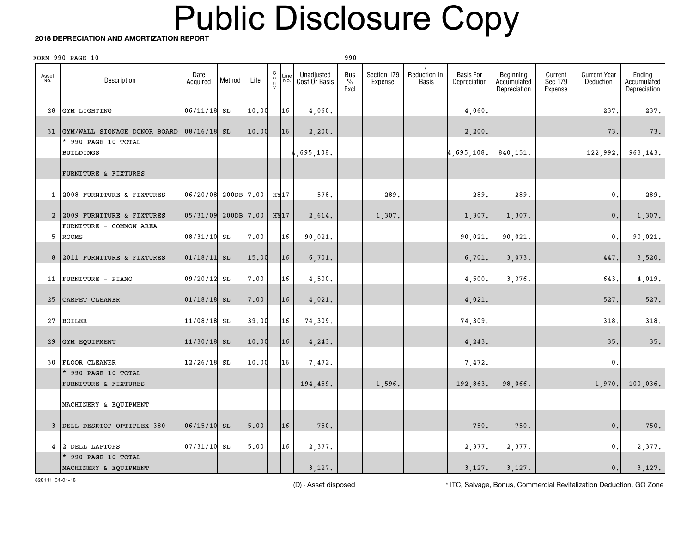#### **2018 DEPRECIATION AND AMORTIZATION REPORT**

| FORM 990 PAGE 10<br>990 |                                              |                  |            |       |                                                     |                                            |                              |                        |                              |                                  |                                          |                               |                                  |                                       |
|-------------------------|----------------------------------------------|------------------|------------|-------|-----------------------------------------------------|--------------------------------------------|------------------------------|------------------------|------------------------------|----------------------------------|------------------------------------------|-------------------------------|----------------------------------|---------------------------------------|
| Asset<br>No.            | Description                                  | Date<br>Acquired | Method     | Life  | $\begin{smallmatrix} 0 \\ 0 \\ n \end{smallmatrix}$ | Unadjusted<br>Line<br>No.<br>Cost Or Basis | Bus<br>$\frac{0}{0}$<br>Excl | Section 179<br>Expense | Reduction In<br><b>Basis</b> | <b>Basis For</b><br>Depreciation | Beginning<br>Accumulated<br>Depreciation | Current<br>Sec 179<br>Expense | <b>Current Year</b><br>Deduction | Ending<br>Accumulated<br>Depreciation |
| 28                      | GYM LIGHTING                                 | $06/11/18$ SL    |            | 10.00 |                                                     | 16<br>4,060.                               |                              |                        |                              | 4,060.                           |                                          |                               | 237.                             | 237.                                  |
| 31                      | GYM/WALL SIGNAGE DONOR BOARD                 | $08/16/18$ SL    |            | 10.00 |                                                     | 16<br>2,200.                               |                              |                        |                              | 2,200.                           |                                          |                               | 73.                              | 73.                                   |
|                         | * 990 PAGE 10 TOTAL<br><b>BUILDINGS</b>      |                  |            |       |                                                     | ,695,108.                                  |                              |                        |                              | 4,695,108.                       | 840,151.                                 |                               | 122,992.                         | 963, 143.                             |
|                         | FURNITURE & FIXTURES                         |                  |            |       |                                                     |                                            |                              |                        |                              |                                  |                                          |                               |                                  |                                       |
| $\mathbf{1}$            | 2008 FURNITURE & FIXTURES                    | 06/20/08         | 200DB 7.00 |       | HY17                                                | 578.                                       |                              | 289.                   |                              | 289.                             | 289.                                     |                               | 0.                               | 289.                                  |
| $\overline{a}$          | 2009 FURNITURE & FIXTURES                    | 05/31/09         | 200DB 7.00 |       | HY <sub>17</sub>                                    | 2,614.                                     |                              | 1,307.                 |                              | 1,307.                           | 1,307.                                   |                               | 0.                               | 1,307.                                |
| 5                       | FURNITURE - COMMON AREA<br><b>ROOMS</b>      | 08/31/10 SL      |            | 7.00  |                                                     | 16<br>90,021.                              |                              |                        |                              | 90,021.                          | 90,021.                                  |                               | $\mathbf{0}$ .                   | 90,021.                               |
| 8                       | 2011 FURNITURE & FIXTURES                    | $01/18/11$ SL    |            | 15.00 |                                                     | 16<br>6,701.                               |                              |                        |                              | 6,701.                           | 3,073.                                   |                               | 447.                             | 3,520.                                |
| 11                      | FURNITURE - PIANO                            | 09/20/12 SL      |            | 7.00  |                                                     | 16<br>4,500.                               |                              |                        |                              | 4,500.                           | 3,376.                                   |                               | 643.                             | 4,019.                                |
| 25                      | CARPET CLEANER                               | $01/18/18$ SL    |            | 7.00  |                                                     | 16<br>4,021.                               |                              |                        |                              | 4,021.                           |                                          |                               | 527.                             | 527.                                  |
| 27                      | <b>BOILER</b>                                | 11/08/18 SL      |            | 39.00 |                                                     | 16<br>74,309.                              |                              |                        |                              | 74,309.                          |                                          |                               | 318                              | 318.                                  |
| 29                      | GYM EQUIPMENT                                | $11/30/18$ SL    |            | 10.00 |                                                     | 16<br>4,243.                               |                              |                        |                              | 4,243.                           |                                          |                               | 35.                              | 35.                                   |
| 30                      | FLOOR CLEANER                                | $12/26/18$ SL    |            | 10.00 |                                                     | 16<br>7,472.                               |                              |                        |                              | 7,472.                           |                                          |                               | $\mathbf{0}$                     |                                       |
|                         | * 990 PAGE 10 TOTAL<br>FURNITURE & FIXTURES  |                  |            |       |                                                     | 194,459.                                   |                              | 1,596.                 |                              | 192,863.                         | 98,066.                                  |                               | 1,970.                           | 100,036.                              |
|                         | MACHINERY & EQUIPMENT                        |                  |            |       |                                                     |                                            |                              |                        |                              |                                  |                                          |                               |                                  |                                       |
| $\mathbf{3}$            | DELL DESKTOP OPTIPLEX 380                    | $06/15/10$ SL    |            | 5.00  |                                                     | 16                                         | 750.                         |                        |                              | 750.                             | 750.                                     |                               | $\mathbf 0$ .                    | $750$ .                               |
| 4                       | 2 DELL LAPTOPS                               | 07/31/10 SL      |            | 5,00  |                                                     | 16<br>2,377.                               |                              |                        |                              | 2,377.                           | 2,377.                                   |                               | 0.                               | 2,377.                                |
|                         | * 990 PAGE 10 TOTAL<br>MACHINERY & EQUIPMENT |                  |            |       |                                                     | 3,127.                                     |                              |                        |                              | 3,127.                           | 3,127.                                   |                               | 0.                               | 3,127.                                |

828111 04-01-18

(D) - Asset disposed \* ITC, Salvage, Bonus, Commercial Revitalization Deduction, GO Zone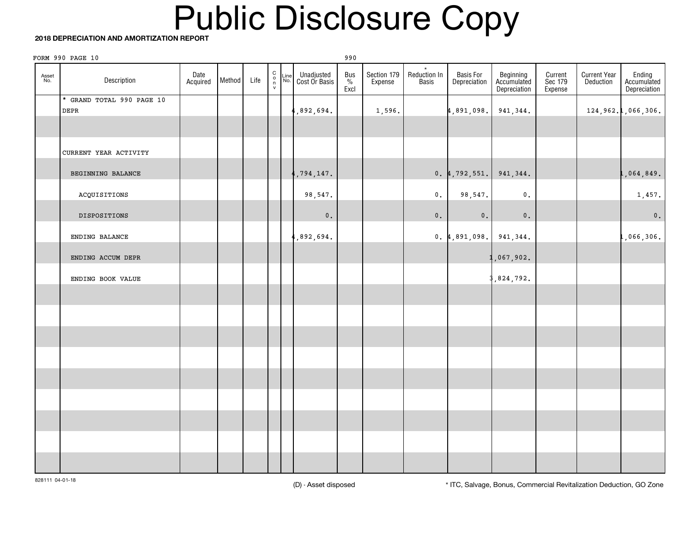#### **2018 DEPRECIATION AND AMORTIZATION REPORT**

|              | FORM 990 PAGE 10          |                  |        |      |                                              |             |                             | 990                    |                        |                       |                            |                                          |                               |                                  |                                       |
|--------------|---------------------------|------------------|--------|------|----------------------------------------------|-------------|-----------------------------|------------------------|------------------------|-----------------------|----------------------------|------------------------------------------|-------------------------------|----------------------------------|---------------------------------------|
| Asset<br>No. | Description               | Date<br>Acquired | Method | Life | $\begin{array}{c}\nC \\ O \\ V\n\end{array}$ | Line<br>No. | Unadjusted<br>Cost Or Basis | Bus<br>$\frac{\%}{\%}$ | Section 179<br>Expense | Reduction In<br>Basis | Basis For<br>Depreciation  | Beginning<br>Accumulated<br>Depreciation | Current<br>Sec 179<br>Expense | <b>Current Year</b><br>Deduction | Ending<br>Accumulated<br>Depreciation |
|              | * GRAND TOTAL 990 PAGE 10 |                  |        |      |                                              |             |                             |                        |                        |                       |                            |                                          |                               |                                  |                                       |
|              | DEPR                      |                  |        |      |                                              |             | ,892,694.                   |                        | 1,596.                 |                       | 4,891,098.                 | 941,344.                                 |                               |                                  | 124,962.1,066,306.                    |
|              |                           |                  |        |      |                                              |             |                             |                        |                        |                       |                            |                                          |                               |                                  |                                       |
|              | CURRENT YEAR ACTIVITY     |                  |        |      |                                              |             |                             |                        |                        |                       |                            |                                          |                               |                                  |                                       |
|              | BEGINNING BALANCE         |                  |        |      |                                              |             | ,794,147.                   |                        |                        |                       | $0.4, 792, 551.$ 941, 344. |                                          |                               |                                  | l,064,849 <b>.</b>                    |
|              | ACQUISITIONS              |                  |        |      |                                              |             | 98,547.                     |                        |                        | 0.                    | 98,547.                    | $\mathbf 0$ .                            |                               |                                  | 1,457.                                |
|              | DISPOSITIONS              |                  |        |      |                                              |             | $\mathfrak o$ .             |                        |                        | $\mathbf 0$ .         | $\mathbf 0$ .              | $\mathbf 0$ .                            |                               |                                  | $\mathbf{0}$ .                        |
|              | ENDING BALANCE            |                  |        |      |                                              |             | ,892,694.                   |                        |                        |                       | 0.4,891,098.941,344.       |                                          |                               |                                  | L,066,306 <mark>.</mark>              |
|              | ENDING ACCUM DEPR         |                  |        |      |                                              |             |                             |                        |                        |                       |                            | ,067,902.                                |                               |                                  |                                       |
|              | ENDING BOOK VALUE         |                  |        |      |                                              |             |                             |                        |                        |                       |                            | ,824,792.                                |                               |                                  |                                       |
|              |                           |                  |        |      |                                              |             |                             |                        |                        |                       |                            |                                          |                               |                                  |                                       |
|              |                           |                  |        |      |                                              |             |                             |                        |                        |                       |                            |                                          |                               |                                  |                                       |
|              |                           |                  |        |      |                                              |             |                             |                        |                        |                       |                            |                                          |                               |                                  |                                       |
|              |                           |                  |        |      |                                              |             |                             |                        |                        |                       |                            |                                          |                               |                                  |                                       |
|              |                           |                  |        |      |                                              |             |                             |                        |                        |                       |                            |                                          |                               |                                  |                                       |
|              |                           |                  |        |      |                                              |             |                             |                        |                        |                       |                            |                                          |                               |                                  |                                       |
|              |                           |                  |        |      |                                              |             |                             |                        |                        |                       |                            |                                          |                               |                                  |                                       |
|              |                           |                  |        |      |                                              |             |                             |                        |                        |                       |                            |                                          |                               |                                  |                                       |
|              |                           |                  |        |      |                                              |             |                             |                        |                        |                       |                            |                                          |                               |                                  |                                       |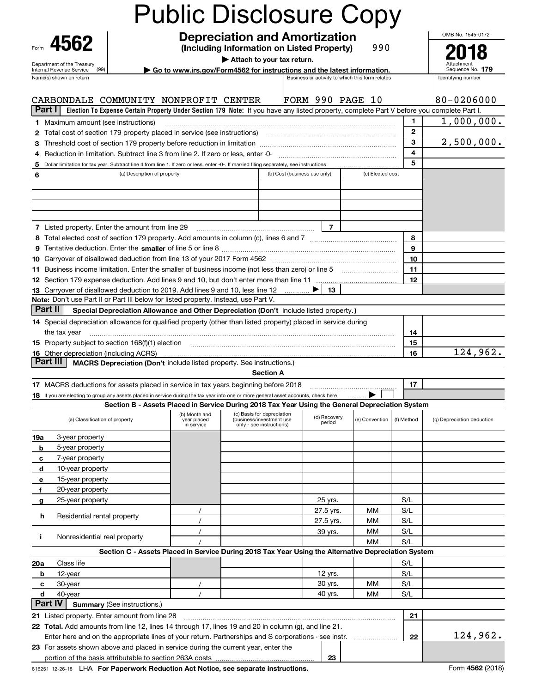| 4562                                                                                                                                                                                                                                                          |                                    |                                            |                                                                                                                                           |                              |                        |                                                 |                   | OMB No. 1545-0172          |
|---------------------------------------------------------------------------------------------------------------------------------------------------------------------------------------------------------------------------------------------------------------|------------------------------------|--------------------------------------------|-------------------------------------------------------------------------------------------------------------------------------------------|------------------------------|------------------------|-------------------------------------------------|-------------------|----------------------------|
| Form                                                                                                                                                                                                                                                          |                                    |                                            | <b>Depreciation and Amortization</b><br>(Including Information on Listed Property)                                                        |                              |                        | 990                                             |                   |                            |
|                                                                                                                                                                                                                                                               |                                    |                                            | Attach to your tax return.                                                                                                                |                              |                        |                                                 |                   |                            |
| Department of the Treasury<br>(99)<br>Internal Revenue Service                                                                                                                                                                                                |                                    |                                            | Go to www.irs.gov/Form4562 for instructions and the latest information.                                                                   |                              |                        |                                                 |                   | Sequence No. 179           |
| Name(s) shown on return                                                                                                                                                                                                                                       |                                    |                                            |                                                                                                                                           |                              |                        | Business or activity to which this form relates |                   | Identifying number         |
|                                                                                                                                                                                                                                                               |                                    |                                            |                                                                                                                                           |                              |                        |                                                 |                   |                            |
| CARBONDALE COMMUNITY NONPROFIT CENTER                                                                                                                                                                                                                         |                                    |                                            |                                                                                                                                           | FORM 990 PAGE 10             |                        |                                                 |                   | $80 - 0206000$             |
| Part I                                                                                                                                                                                                                                                        |                                    |                                            | Election To Expense Certain Property Under Section 179 Note: If you have any listed property, complete Part V before you complete Part I. |                              |                        |                                                 |                   |                            |
| <b>1</b> Maximum amount (see instructions)                                                                                                                                                                                                                    |                                    |                                            |                                                                                                                                           |                              |                        |                                                 | 1<br>$\mathbf{2}$ | 1,000,000.                 |
| Total cost of section 179 property placed in service (see instructions) manufactured cost of section 179 property placed in service (see instructions)<br>2                                                                                                   |                                    |                                            |                                                                                                                                           |                              |                        |                                                 | 3                 | 2,500,000.                 |
| 3                                                                                                                                                                                                                                                             |                                    |                                            |                                                                                                                                           |                              |                        |                                                 | 4                 |                            |
| Reduction in limitation. Subtract line 3 from line 2. If zero or less, enter -0-<br>4<br>Dollar limitation for tax year. Subtract line 4 from line 1. If zero or less, enter -0-. If married filing separately, see instructions<br>5                         |                                    |                                            |                                                                                                                                           |                              |                        |                                                 | 5                 |                            |
| 6                                                                                                                                                                                                                                                             | (a) Description of property        |                                            |                                                                                                                                           | (b) Cost (business use only) |                        | (c) Elected cost                                |                   |                            |
|                                                                                                                                                                                                                                                               |                                    |                                            |                                                                                                                                           |                              |                        |                                                 |                   |                            |
|                                                                                                                                                                                                                                                               |                                    |                                            |                                                                                                                                           |                              |                        |                                                 |                   |                            |
|                                                                                                                                                                                                                                                               |                                    |                                            |                                                                                                                                           |                              |                        |                                                 |                   |                            |
| 7 Listed property. Enter the amount from line 29                                                                                                                                                                                                              |                                    |                                            |                                                                                                                                           |                              | $\overline{7}$         |                                                 |                   |                            |
| Total elected cost of section 179 property. Add amounts in column (c), lines 6 and 7 manus manus manus manus<br>8                                                                                                                                             |                                    |                                            |                                                                                                                                           |                              |                        |                                                 | 8                 |                            |
| 9                                                                                                                                                                                                                                                             |                                    |                                            |                                                                                                                                           |                              |                        |                                                 | 9                 |                            |
| 10                                                                                                                                                                                                                                                            |                                    |                                            |                                                                                                                                           |                              |                        |                                                 | 10                |                            |
| Business income limitation. Enter the smaller of business income (not less than zero) or line 5<br>11.                                                                                                                                                        |                                    |                                            |                                                                                                                                           |                              |                        |                                                 | 11                |                            |
|                                                                                                                                                                                                                                                               |                                    |                                            |                                                                                                                                           |                              |                        |                                                 | 12                |                            |
| 13 Carryover of disallowed deduction to 2019. Add lines 9 and 10, less line 12<br>Note: Don't use Part II or Part III below for listed property. Instead, use Part V.                                                                                         |                                    |                                            |                                                                                                                                           |                              | - 13                   |                                                 |                   |                            |
| Part II                                                                                                                                                                                                                                                       |                                    |                                            | Special Depreciation Allowance and Other Depreciation (Don't include listed property.)                                                    |                              |                        |                                                 |                   |                            |
| 14 Special depreciation allowance for qualified property (other than listed property) placed in service during                                                                                                                                                |                                    |                                            |                                                                                                                                           |                              |                        |                                                 |                   |                            |
| the tax year                                                                                                                                                                                                                                                  |                                    |                                            |                                                                                                                                           |                              |                        |                                                 | 14                |                            |
| 15 Property subject to section 168(f)(1) election material content content content of the content of the content of the content of the content of the content of the content of the content of the content of the content of t                                |                                    |                                            |                                                                                                                                           |                              |                        |                                                 | 15                |                            |
| <b>16</b> Other depreciation (including ACRS)                                                                                                                                                                                                                 |                                    |                                            |                                                                                                                                           |                              |                        |                                                 | 16                | 124,962.                   |
|                                                                                                                                                                                                                                                               |                                    |                                            |                                                                                                                                           |                              |                        |                                                 |                   |                            |
|                                                                                                                                                                                                                                                               |                                    |                                            |                                                                                                                                           |                              |                        |                                                 |                   |                            |
|                                                                                                                                                                                                                                                               |                                    |                                            | <b>MACRS Depreciation (Don't include listed property. See instructions.)</b><br><b>Section A</b>                                          |                              |                        |                                                 |                   |                            |
|                                                                                                                                                                                                                                                               |                                    |                                            |                                                                                                                                           |                              |                        |                                                 | 17                |                            |
|                                                                                                                                                                                                                                                               |                                    |                                            |                                                                                                                                           |                              |                        |                                                 |                   |                            |
|                                                                                                                                                                                                                                                               |                                    |                                            | Section B - Assets Placed in Service During 2018 Tax Year Using the General Depreciation System                                           |                              |                        |                                                 |                   |                            |
| (a) Classification of property                                                                                                                                                                                                                                |                                    | (b) Month and<br>year placed<br>in service | (c) Basis for depreciation<br>(business/investment use<br>only - see instructions)                                                        |                              | (d) Recovery<br>period | (e) Convention                                  | (f) Method        | (g) Depreciation deduction |
|                                                                                                                                                                                                                                                               |                                    |                                            |                                                                                                                                           |                              |                        |                                                 |                   |                            |
| 3-year property                                                                                                                                                                                                                                               |                                    |                                            |                                                                                                                                           |                              |                        |                                                 |                   |                            |
| 5-year property<br>b                                                                                                                                                                                                                                          |                                    |                                            |                                                                                                                                           |                              |                        |                                                 |                   |                            |
| 7-year property<br>с<br>10-year property<br>d                                                                                                                                                                                                                 |                                    |                                            |                                                                                                                                           |                              |                        |                                                 |                   |                            |
| 15-year property<br>е                                                                                                                                                                                                                                         |                                    |                                            |                                                                                                                                           |                              |                        |                                                 |                   |                            |
| 20-year property<br>f                                                                                                                                                                                                                                         |                                    |                                            |                                                                                                                                           |                              |                        |                                                 |                   |                            |
| 25-year property                                                                                                                                                                                                                                              |                                    |                                            |                                                                                                                                           |                              | 25 yrs.                |                                                 | S/L               |                            |
| g                                                                                                                                                                                                                                                             |                                    |                                            |                                                                                                                                           |                              | 27.5 yrs.              | MМ                                              | S/L               |                            |
| Residential rental property<br>h                                                                                                                                                                                                                              |                                    |                                            |                                                                                                                                           |                              | 27.5 yrs.              | MМ                                              | S/L               |                            |
| Part III<br>17 MACRS deductions for assets placed in service in tax years beginning before 2018<br>18 If you are electing to group any assets placed in service during the tax year into one or more general asset accounts, check here<br>19a                |                                    |                                            |                                                                                                                                           |                              |                        | MМ                                              | S/L               |                            |
| Nonresidential real property<br>j.                                                                                                                                                                                                                            |                                    |                                            |                                                                                                                                           |                              | 39 yrs.                | MM                                              | S/L               |                            |
|                                                                                                                                                                                                                                                               |                                    |                                            | Section C - Assets Placed in Service During 2018 Tax Year Using the Alternative Depreciation System                                       |                              |                        |                                                 |                   |                            |
| Class life<br>20a                                                                                                                                                                                                                                             |                                    |                                            |                                                                                                                                           |                              |                        |                                                 | S/L               |                            |
| 12-year<br>b                                                                                                                                                                                                                                                  |                                    |                                            |                                                                                                                                           |                              | 12 yrs.                |                                                 | S/L               |                            |
| 30-year<br>c                                                                                                                                                                                                                                                  |                                    |                                            |                                                                                                                                           |                              | 30 yrs.                | МM                                              | S/L               |                            |
| d<br>40-year                                                                                                                                                                                                                                                  |                                    |                                            |                                                                                                                                           |                              | 40 yrs.                | МM                                              | S/L               |                            |
| Part IV                                                                                                                                                                                                                                                       | <b>Summary (See instructions.)</b> |                                            |                                                                                                                                           |                              |                        |                                                 |                   |                            |
|                                                                                                                                                                                                                                                               |                                    |                                            |                                                                                                                                           |                              |                        |                                                 | 21                |                            |
| 21 Listed property. Enter amount from line 28<br>22 Total. Add amounts from line 12, lines 14 through 17, lines 19 and 20 in column (g), and line 21.<br>Enter here and on the appropriate lines of your return. Partnerships and S corporations - see instr. |                                    |                                            |                                                                                                                                           |                              |                        |                                                 | 22                | 124,962.                   |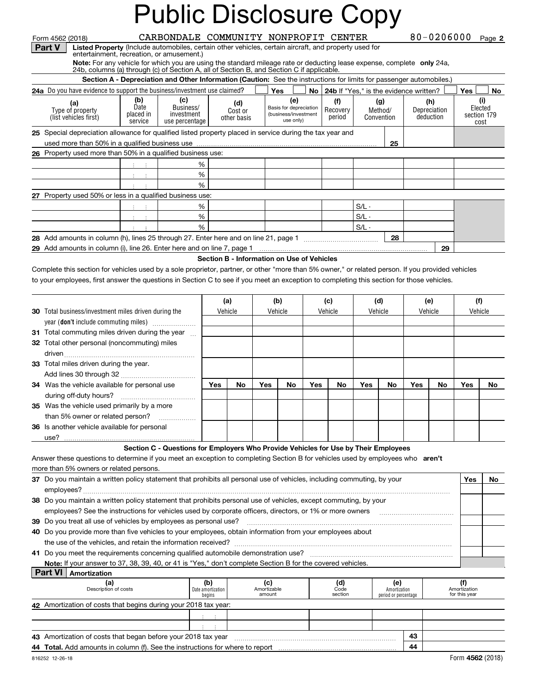| Form 4562 (2018) |                                                                                                                                                   | CARBONDALE COMMUNITY NONPROFIT CENTER |  |  | 80-0206000 Page 2 |  |
|------------------|---------------------------------------------------------------------------------------------------------------------------------------------------|---------------------------------------|--|--|-------------------|--|
|                  | $\mathbf{D}$ ort $\mathbf{V}$   Lietual $\mathbf{D}$ repeats (looked outampbiles, cortain other vehicles, cortain given ft, and property used for |                                       |  |  |                   |  |

**Listed Property** (Include automobiles, certain other vehicles, certain aircraft, and property used for entertainment, recreation, or amusement.)

**Note:** For any vehicle for which you are using the standard mileage rate or deducting lease expense, complete **only** 24a,<br>24b, columns (a) through (c) of Section A, all of Section B, and Section C if applicable.

| <b>Section A - Depreciation and Other Information (Caution:</b> See the instructions for limits for passenger automobiles.)           |                                     |                                                  |                               |                                                                    |  |                           |                              |    |                                  |    |             |                 |    |
|---------------------------------------------------------------------------------------------------------------------------------------|-------------------------------------|--------------------------------------------------|-------------------------------|--------------------------------------------------------------------|--|---------------------------|------------------------------|----|----------------------------------|----|-------------|-----------------|----|
| 24a Do you have evidence to support the business/investment use claimed?<br>No   24b If "Yes," is the evidence written?<br>Yes<br>Yes |                                     |                                                  |                               |                                                                    |  |                           |                              |    |                                  |    |             |                 | No |
| (a)<br>Type of property<br>(list vehicles first)                                                                                      | (b)<br>Date<br>placed in<br>service | (C)<br>Business/<br>investment<br>use percentage | (d)<br>Cost or<br>other basis | (e)<br>Basis for depreciation<br>(business/investment<br>use only) |  | (f)<br>Recovery<br>period | (g)<br>Method/<br>Convention |    | (h)<br>Depreciation<br>deduction |    | section 179 | Elected<br>cost |    |
| 25 Special depreciation allowance for qualified listed property placed in service during the tax year and                             |                                     |                                                  |                               |                                                                    |  |                           |                              |    |                                  |    |             |                 |    |
| 25                                                                                                                                    |                                     |                                                  |                               |                                                                    |  |                           |                              |    |                                  |    |             |                 |    |
| 26 Property used more than 50% in a qualified business use:                                                                           |                                     |                                                  |                               |                                                                    |  |                           |                              |    |                                  |    |             |                 |    |
|                                                                                                                                       | %                                   |                                                  |                               |                                                                    |  |                           |                              |    |                                  |    |             |                 |    |
|                                                                                                                                       |                                     | %                                                |                               |                                                                    |  |                           |                              |    |                                  |    |             |                 |    |
|                                                                                                                                       |                                     | %                                                |                               |                                                                    |  |                           |                              |    |                                  |    |             |                 |    |
| 27 Property used 50% or less in a qualified business use:                                                                             |                                     |                                                  |                               |                                                                    |  |                           |                              |    |                                  |    |             |                 |    |
|                                                                                                                                       |                                     | %                                                |                               |                                                                    |  |                           | $S/L -$                      |    |                                  |    |             |                 |    |
|                                                                                                                                       |                                     | %                                                |                               |                                                                    |  |                           | $S/L -$                      |    |                                  |    |             |                 |    |
|                                                                                                                                       |                                     | %                                                |                               |                                                                    |  |                           | $S/L -$                      |    |                                  |    |             |                 |    |
| 28 Add amounts in column (h), lines 25 through 27. Enter here and on line 21, page 1                                                  |                                     |                                                  |                               |                                                                    |  |                           |                              | 28 |                                  |    |             |                 |    |
| 29 Add amounts in column (i), line 26. Enter here and on line 7, page 1                                                               |                                     |                                                  |                               |                                                                    |  |                           |                              |    |                                  | 29 |             |                 |    |

#### **Section B - Information on Use of Vehicles**

Complete this section for vehicles used by a sole proprietor, partner, or other "more than 5% owner," or related person. If you provided vehicles to your employees, first answer the questions in Section C to see if you meet an exception to completing this section for those vehicles.

| <b>30</b> Total business/investment miles driven during the | (a)<br>Vehicle |    | (b)<br>Vehicle |    | (c)<br>Vehicle |    | (d)<br>Vehicle |    | (e) | Vehicle | (f)<br>Vehicle |    |
|-------------------------------------------------------------|----------------|----|----------------|----|----------------|----|----------------|----|-----|---------|----------------|----|
| year (don't include commuting miles)                        |                |    |                |    |                |    |                |    |     |         |                |    |
| 31 Total commuting miles driven during the year             |                |    |                |    |                |    |                |    |     |         |                |    |
| 32 Total other personal (noncommuting) miles                |                |    |                |    |                |    |                |    |     |         |                |    |
| driven                                                      |                |    |                |    |                |    |                |    |     |         |                |    |
| <b>33</b> Total miles driven during the year.               |                |    |                |    |                |    |                |    |     |         |                |    |
| Add lines 30 through 32                                     |                |    |                |    |                |    |                |    |     |         |                |    |
| 34 Was the vehicle available for personal use               | Yes            | No | Yes            | No | Yes.           | No | Yes.           | No | Yes | No.     | Yes            | No |
|                                                             |                |    |                |    |                |    |                |    |     |         |                |    |
| 35 Was the vehicle used primarily by a more                 |                |    |                |    |                |    |                |    |     |         |                |    |
| than 5% owner or related person?                            |                |    |                |    |                |    |                |    |     |         |                |    |
| 36 Is another vehicle available for personal                |                |    |                |    |                |    |                |    |     |         |                |    |
| use?                                                        |                |    |                |    |                |    |                |    |     |         |                |    |

#### **Section C - Questions for Employers Who Provide Vehicles for Use by Their Employees**

Answer these questions to determine if you meet an exception to completing Section B for vehicles used by employees who **aren't** more than 5% owners or related persons.

| 37 Do you maintain a written policy statement that prohibits all personal use of vehicles, including commuting, by your<br>Yes |                                                                                                                  |  |  |  |     |  |  |  |  |  |  |
|--------------------------------------------------------------------------------------------------------------------------------|------------------------------------------------------------------------------------------------------------------|--|--|--|-----|--|--|--|--|--|--|
|                                                                                                                                | employees?                                                                                                       |  |  |  |     |  |  |  |  |  |  |
|                                                                                                                                | 38 Do you maintain a written policy statement that prohibits personal use of vehicles, except commuting, by your |  |  |  |     |  |  |  |  |  |  |
|                                                                                                                                | employees? See the instructions for vehicles used by corporate officers, directors, or 1% or more owners         |  |  |  |     |  |  |  |  |  |  |
| 39 Do you treat all use of vehicles by employees as personal use?                                                              |                                                                                                                  |  |  |  |     |  |  |  |  |  |  |
| 40 Do you provide more than five vehicles to your employees, obtain information from your employees about                      |                                                                                                                  |  |  |  |     |  |  |  |  |  |  |
|                                                                                                                                | the use of the vehicles, and retain the information received?                                                    |  |  |  |     |  |  |  |  |  |  |
|                                                                                                                                | 41 Do you meet the requirements concerning qualified automobile demonstration use?                               |  |  |  |     |  |  |  |  |  |  |
| Note: If your answer to 37, 38, 39, 40, or 41 is "Yes," don't complete Section B for the covered vehicles.                     |                                                                                                                  |  |  |  |     |  |  |  |  |  |  |
| Amortization                                                                                                                   |                                                                                                                  |  |  |  |     |  |  |  |  |  |  |
|                                                                                                                                | (a)                                                                                                              |  |  |  | le) |  |  |  |  |  |  |

| Description of costs                                                          | Date amortization 1<br>begins | Amortizable<br>amount | Code<br>section | Amortization<br>period or percentage |    | Amortization<br>for this year |  |  |  |  |  |
|-------------------------------------------------------------------------------|-------------------------------|-----------------------|-----------------|--------------------------------------|----|-------------------------------|--|--|--|--|--|
| 42 Amortization of costs that begins during your 2018 tax year:               |                               |                       |                 |                                      |    |                               |  |  |  |  |  |
|                                                                               |                               |                       |                 |                                      |    |                               |  |  |  |  |  |
|                                                                               |                               |                       |                 |                                      |    |                               |  |  |  |  |  |
| 43 Amortization of costs that began before your 2018 tax year                 |                               |                       |                 |                                      | 43 |                               |  |  |  |  |  |
| 44 Total. Add amounts in column (f). See the instructions for where to report |                               |                       |                 |                                      | 44 |                               |  |  |  |  |  |
| Form 4562 (2018)<br>816252 12-26-18                                           |                               |                       |                 |                                      |    |                               |  |  |  |  |  |

**Part V**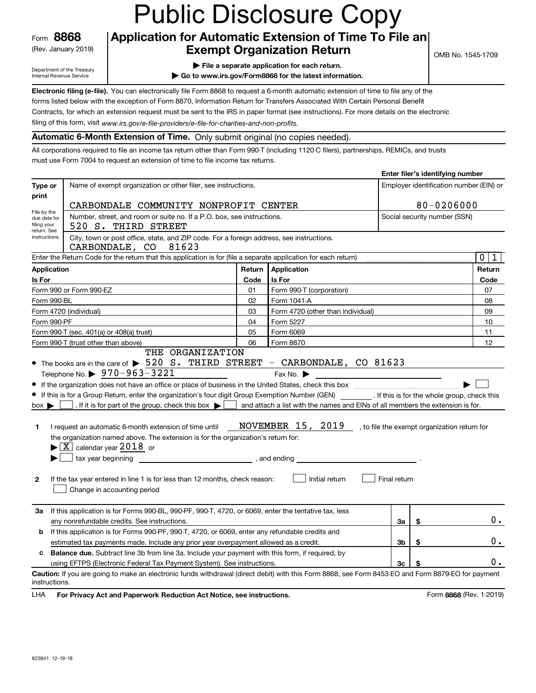Form**8868**(Rev. January 2019)

#### **Application for Automatic Extension of Time To File an Exempt Organization Return**

OMB No. 1545-1709

**Enter filer's identifying number**

Department of the Treasury Internal Revenue Service

**| File a separate application for each return. | Go to www.irs.gov/Form8868 for the latest information.**

**Electronic filing (e-file).**  You can electronically file Form 8868 to request a 6-month automatic extension of time to file any of the forms listed below with the exception of Form 8870, Information Return for Transfers Associated With Certain Personal Benefit Contracts, for which an extension request must be sent to the IRS in paper format (see instructions). For more details on the electronic

filing of this form, visit www.irs.gov/e-file-providers/e-file-for-charities-and-non-profits.

#### **Automatic 6-Month Extension of Time.** Only submit original (no copies needed).

All corporations required to file an income tax return other than Form 990-T (including 1120-C filers), partnerships, REMICs, and trusts must use Form 7004 to request an extension of time to file income tax returns.

|                                                                            | Type or<br>Name of exempt organization or other filer, see instructions.<br>Employer identification number (EIN) or<br>print                                                                                                                                                                                                                                                                                                                                                                                                                                                                                                                                                                                                                                                                                       |        |                                                                                                                                                                                                                                                                                                                                                                                                                                                                                                                                                                              |              |                              |                            |  |  |  |  |
|----------------------------------------------------------------------------|--------------------------------------------------------------------------------------------------------------------------------------------------------------------------------------------------------------------------------------------------------------------------------------------------------------------------------------------------------------------------------------------------------------------------------------------------------------------------------------------------------------------------------------------------------------------------------------------------------------------------------------------------------------------------------------------------------------------------------------------------------------------------------------------------------------------|--------|------------------------------------------------------------------------------------------------------------------------------------------------------------------------------------------------------------------------------------------------------------------------------------------------------------------------------------------------------------------------------------------------------------------------------------------------------------------------------------------------------------------------------------------------------------------------------|--------------|------------------------------|----------------------------|--|--|--|--|
|                                                                            | CARBONDALE COMMUNITY NONPROFIT CENTER                                                                                                                                                                                                                                                                                                                                                                                                                                                                                                                                                                                                                                                                                                                                                                              |        |                                                                                                                                                                                                                                                                                                                                                                                                                                                                                                                                                                              |              | 80-0206000                   |                            |  |  |  |  |
| File by the<br>due date for<br>filing your                                 | Number, street, and room or suite no. If a P.O. box, see instructions.<br>520 S. THIRD STREET                                                                                                                                                                                                                                                                                                                                                                                                                                                                                                                                                                                                                                                                                                                      |        |                                                                                                                                                                                                                                                                                                                                                                                                                                                                                                                                                                              |              | Social security number (SSN) |                            |  |  |  |  |
| return. See<br>instructions.                                               | City, town or post office, state, and ZIP code. For a foreign address, see instructions.<br>CARBONDALE, CO 81623                                                                                                                                                                                                                                                                                                                                                                                                                                                                                                                                                                                                                                                                                                   |        |                                                                                                                                                                                                                                                                                                                                                                                                                                                                                                                                                                              |              |                              |                            |  |  |  |  |
|                                                                            | Enter the Return Code for the return that this application is for (file a separate application for each return)                                                                                                                                                                                                                                                                                                                                                                                                                                                                                                                                                                                                                                                                                                    |        |                                                                                                                                                                                                                                                                                                                                                                                                                                                                                                                                                                              |              |                              | $\mathbf 0$<br>$\mathbf 1$ |  |  |  |  |
| <b>Application</b>                                                         |                                                                                                                                                                                                                                                                                                                                                                                                                                                                                                                                                                                                                                                                                                                                                                                                                    | Return | Application                                                                                                                                                                                                                                                                                                                                                                                                                                                                                                                                                                  |              |                              | Return                     |  |  |  |  |
| Is For                                                                     |                                                                                                                                                                                                                                                                                                                                                                                                                                                                                                                                                                                                                                                                                                                                                                                                                    | Code   | Is For                                                                                                                                                                                                                                                                                                                                                                                                                                                                                                                                                                       |              |                              | Code                       |  |  |  |  |
|                                                                            | Form 990 or Form 990-EZ                                                                                                                                                                                                                                                                                                                                                                                                                                                                                                                                                                                                                                                                                                                                                                                            | 01     | Form 990-T (corporation)                                                                                                                                                                                                                                                                                                                                                                                                                                                                                                                                                     |              |                              | 07                         |  |  |  |  |
| Form 990-BL                                                                |                                                                                                                                                                                                                                                                                                                                                                                                                                                                                                                                                                                                                                                                                                                                                                                                                    | 02     | Form 1041-A                                                                                                                                                                                                                                                                                                                                                                                                                                                                                                                                                                  |              |                              | 08                         |  |  |  |  |
|                                                                            | Form 4720 (individual)                                                                                                                                                                                                                                                                                                                                                                                                                                                                                                                                                                                                                                                                                                                                                                                             | 03     | Form 4720 (other than individual)                                                                                                                                                                                                                                                                                                                                                                                                                                                                                                                                            |              |                              | 09                         |  |  |  |  |
| Form 990-PF<br>04<br>Form 5227                                             |                                                                                                                                                                                                                                                                                                                                                                                                                                                                                                                                                                                                                                                                                                                                                                                                                    |        |                                                                                                                                                                                                                                                                                                                                                                                                                                                                                                                                                                              |              |                              |                            |  |  |  |  |
| Form 990-T (sec. 401(a) or 408(a) trust)<br>05<br>Form 6069                |                                                                                                                                                                                                                                                                                                                                                                                                                                                                                                                                                                                                                                                                                                                                                                                                                    |        |                                                                                                                                                                                                                                                                                                                                                                                                                                                                                                                                                                              |              |                              |                            |  |  |  |  |
| Form 990-T (trust other than above)<br>06<br>Form 8870<br>THE ORGANIZATION |                                                                                                                                                                                                                                                                                                                                                                                                                                                                                                                                                                                                                                                                                                                                                                                                                    |        |                                                                                                                                                                                                                                                                                                                                                                                                                                                                                                                                                                              |              |                              |                            |  |  |  |  |
| $box \blacktriangleright$<br>1<br>$\mathbf{2}$                             | • The books are in the care of $\triangleright$ 520 S. THIRD STREET - CARBONDALE, CO 81623<br>Telephone No. $\triangleright$ 970-963-3221<br>If this is for a Group Return, enter the organization's four digit Group Exemption Number (GEN) _________. If this is for the whole group, check this<br>. If it is for part of the group, check this box $\blacktriangleright$ and attach a list with the names and EINs of all members the extension is for.<br>I request an automatic 6-month extension of time until<br>the organization named above. The extension is for the organization's return for:<br>$\blacktriangleright$ $\boxed{\text{X}}$ calendar year $2018$ or<br>tax year beginning<br>If the tax year entered in line 1 is for less than 12 months, check reason:<br>Change in accounting period |        | Fax No. $\blacktriangleright$<br><b>NOVEMBER</b> $15$ , $20\underline{19}$ , to file the exempt organization return for<br>$\frac{1}{\sqrt{1-\frac{1}{2}}}\frac{1}{\sqrt{1-\frac{1}{2}}}\frac{1}{\sqrt{1-\frac{1}{2}}}\frac{1}{\sqrt{1-\frac{1}{2}}}\frac{1}{\sqrt{1-\frac{1}{2}}}\frac{1}{\sqrt{1-\frac{1}{2}}}\frac{1}{\sqrt{1-\frac{1}{2}}}\frac{1}{\sqrt{1-\frac{1}{2}}}\frac{1}{\sqrt{1-\frac{1}{2}}}\frac{1}{\sqrt{1-\frac{1}{2}}}\frac{1}{\sqrt{1-\frac{1}{2}}}\frac{1}{\sqrt{1-\frac{1}{2}}}\frac{1}{\sqrt{1-\frac{1}{2}}}\frac{1}{\sqrt{1-\frac{$<br>Initial return | Final return |                              |                            |  |  |  |  |
| За                                                                         | If this application is for Forms 990-BL, 990-PF, 990-T, 4720, or 6069, enter the tentative tax, less                                                                                                                                                                                                                                                                                                                                                                                                                                                                                                                                                                                                                                                                                                               |        |                                                                                                                                                                                                                                                                                                                                                                                                                                                                                                                                                                              |              |                              |                            |  |  |  |  |
|                                                                            | any nonrefundable credits. See instructions.                                                                                                                                                                                                                                                                                                                                                                                                                                                                                                                                                                                                                                                                                                                                                                       |        |                                                                                                                                                                                                                                                                                                                                                                                                                                                                                                                                                                              | За           | \$                           | $0$ .                      |  |  |  |  |
| b                                                                          | If this application is for Forms 990-PF, 990-T, 4720, or 6069, enter any refundable credits and                                                                                                                                                                                                                                                                                                                                                                                                                                                                                                                                                                                                                                                                                                                    |        |                                                                                                                                                                                                                                                                                                                                                                                                                                                                                                                                                                              |              |                              |                            |  |  |  |  |
|                                                                            | estimated tax payments made. Include any prior year overpayment allowed as a credit.                                                                                                                                                                                                                                                                                                                                                                                                                                                                                                                                                                                                                                                                                                                               |        |                                                                                                                                                                                                                                                                                                                                                                                                                                                                                                                                                                              | 3b           | \$                           | 0.                         |  |  |  |  |
| c                                                                          | Balance due. Subtract line 3b from line 3a. Include your payment with this form, if required, by                                                                                                                                                                                                                                                                                                                                                                                                                                                                                                                                                                                                                                                                                                                   |        |                                                                                                                                                                                                                                                                                                                                                                                                                                                                                                                                                                              |              |                              |                            |  |  |  |  |
|                                                                            | using EFTPS (Electronic Federal Tax Payment System). See instructions.                                                                                                                                                                                                                                                                                                                                                                                                                                                                                                                                                                                                                                                                                                                                             |        |                                                                                                                                                                                                                                                                                                                                                                                                                                                                                                                                                                              | 3c           |                              | $0$ .                      |  |  |  |  |
| instructions.                                                              | Caution: If you are going to make an electronic funds withdrawal (direct debit) with this Form 8868, see Form 8453-EO and Form 8879-EO for payment                                                                                                                                                                                                                                                                                                                                                                                                                                                                                                                                                                                                                                                                 |        |                                                                                                                                                                                                                                                                                                                                                                                                                                                                                                                                                                              |              |                              |                            |  |  |  |  |

**HA** For Privacy Act and Paperwork Reduction Act Notice, see instructions. **But a struction of the Community Community** Form 8868 (Rev. 1-2019) LHA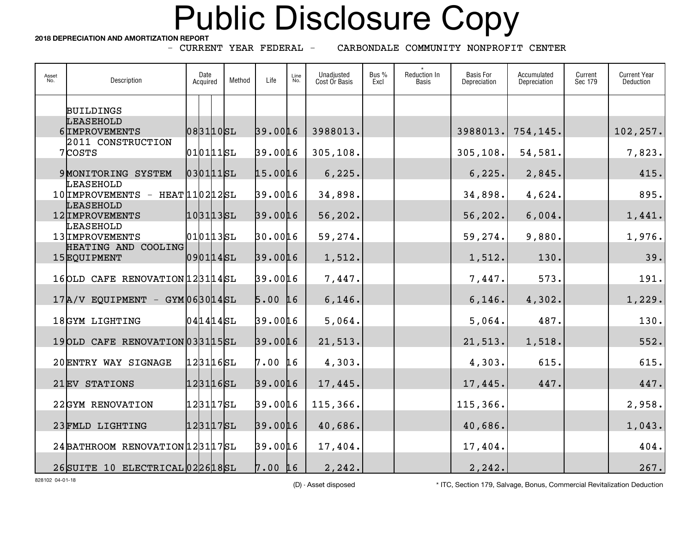**2018 DEPRECIATION AND AMORTIZATION REPORT**

- CURRENT YEAR FEDERAL -

CARBONDALE COMMUNITY NONPROFIT CENTER

| Asset<br>No. | Description                                       | Date<br>Acquired | Method | Life         | Line<br>No. | Unadjusted<br>Cost Or Basis | Bus %<br>Excl | Reduction In<br><b>Basis</b> | <b>Basis For</b><br>Depreciation | Accumulated<br>Depreciation | Current<br>Sec 179 | <b>Current Year</b><br>Deduction |
|--------------|---------------------------------------------------|------------------|--------|--------------|-------------|-----------------------------|---------------|------------------------------|----------------------------------|-----------------------------|--------------------|----------------------------------|
|              | <b>BUILDINGS</b>                                  |                  |        |              |             |                             |               |                              |                                  |                             |                    |                                  |
|              | <b>LEASEHOLD</b><br>6 IMPROVEMENTS                | 0831105L         |        | 39.0016      |             | 3988013.                    |               |                              | 3988013.                         | 754,145.                    |                    | 102,257.                         |
|              | 2011 CONSTRUCTION<br>7COSTS                       | 0101115L         |        | 39.0016      |             | 305,108.                    |               |                              | 305, 108.                        | 54,581.                     |                    | 7,823.                           |
|              | 9 MONITORING SYSTEM                               | 0301115L         |        | 15.0016      |             | 6, 225.                     |               |                              | 6, 225.                          | 2,845.                      |                    | 415.                             |
|              | LEASEHOLD<br>$10$ IMPROVEMENTS - HEAT $110212$ SL |                  |        | 39.0016      |             | 34,898.                     |               |                              | 34,898.                          | 4,624.                      |                    | 895.                             |
|              | <b>LEASEHOLD</b><br>12 IMPROVEMENTS               | 1031135L         |        | 39.0016      |             | 56,202.                     |               |                              | 56, 202.                         | 6,004.                      |                    | 1,441.                           |
|              | LEASEHOLD<br>13 IMPROVEMENTS                      | $010113$ SL      |        | 30.0016      |             | 59,274.                     |               |                              | 59, 274.                         | 9,880.                      |                    | 1,976.                           |
|              | HEATING AND COOLING<br>15EQUIPMENT                | 0901145L         |        | 39.0016      |             | 1,512.                      |               |                              | 1,512.                           | 130.                        |                    | 39.                              |
|              | 16OLD CAFE RENOVATION 123114SL                    |                  |        | 39.0016      |             | 7,447.                      |               |                              | 7,447.                           | 573.                        |                    | 191.                             |
|              | $17A/V$ EQUIPMENT - GYM 063014SL                  |                  |        | $5.00$ 16    |             | 6, 146.                     |               |                              | 6, 146.                          | 4,302.                      |                    | 1,229.                           |
|              | 18GYM LIGHTING                                    | $041414$ SL      |        | 39.0016      |             | 5,064.                      |               |                              | 5,064.                           | 487.                        |                    | 130.                             |
|              | 19 OLD CAFE RENOVATION 0331 15 SL                 |                  |        | 39.0016      |             | 21,513.                     |               |                              | 21, 513.                         | 1,518.                      |                    | 552.                             |
|              | 20 ENTRY WAY SIGNAGE                              | 1231165L         |        | 7.00 16      |             | 4,303.                      |               |                              | 4,303.                           | 615.                        |                    | 615.                             |
|              | 21EV STATIONS                                     | 1231165L         |        | 39.0016      |             | 17,445.                     |               |                              | 17,445.                          | 447.                        |                    | 447.                             |
|              | 22GYM RENOVATION                                  | 1231175L         |        | 39.0016      |             | 115,366.                    |               |                              | 115,366.                         |                             |                    | 2,958.                           |
|              | 23 FMLD LIGHTING                                  | 1231175L         |        | 39.0016      |             | 40,686.                     |               |                              | 40,686.                          |                             |                    | 1,043.                           |
|              | 24 BATHROOM RENOVATION 1 2311 7SL                 |                  |        | 39.0016      |             | 17,404.                     |               |                              | 17,404.                          |                             |                    | 404.                             |
|              | 26SUITE 10 ELECTRICAL 022618SL                    |                  |        | $7.00 \; 16$ |             | 2,242.                      |               |                              | 2,242.                           |                             |                    | 267.                             |

828102 04-01-18

(D) - Asset disposed \* ITC, Section 179, Salvage, Bonus, Commercial Revitalization Deduction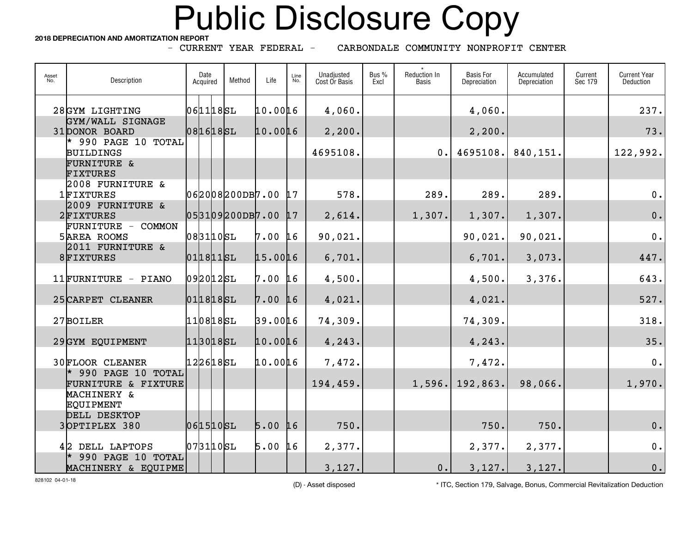**2018 DEPRECIATION AND AMORTIZATION REPORT**

- CURRENT YEAR FEDERAL -

CARBONDALE COMMUNITY NONPROFIT CENTER

| Asset<br>No. | Description                                  | Date<br>Acquired       | Method             | Life      | Line<br>No. | Unadjusted<br>Cost Or Basis | Bus %<br>Excl | Reduction In<br><b>Basis</b> | <b>Basis For</b><br>Depreciation | Accumulated<br>Depreciation | Current<br>Sec 179 | <b>Current Year</b><br>Deduction |
|--------------|----------------------------------------------|------------------------|--------------------|-----------|-------------|-----------------------------|---------------|------------------------------|----------------------------------|-----------------------------|--------------------|----------------------------------|
|              | 28GYM LIGHTING                               | 0611185L               |                    | 10.0016   |             | 4,060.                      |               |                              | 4,060.                           |                             |                    | 237.                             |
|              | GYM/WALL SIGNAGE<br>31 DONOR BOARD           | 0816185L               |                    | 10.0016   |             | 2,200.                      |               |                              | 2, 200.                          |                             |                    | 73.                              |
|              | 990 PAGE 10 TOTAL<br><b>BUILDINGS</b>        |                        |                    |           |             | 4695108.                    |               | 0.                           | 4695108.                         | 840,151.                    |                    | 122,992.                         |
|              | <b>FURNITURE &amp;</b><br><b>FIXTURES</b>    |                        |                    |           |             |                             |               |                              |                                  |                             |                    |                                  |
|              | 2008 FURNITURE &<br>1FIXTURES                |                        | 062008200DB7.00    |           | 17          | 578.                        |               | 289.                         | 289.                             | 289.                        |                    | $0$ .                            |
|              | 2009 FURNITURE &<br>2FIXTURES                |                        | 053109200DB7.00 17 |           |             | 2,614.                      |               | 1,307.                       | 1,307.                           | 1,307.                      |                    | 0.                               |
|              | FURNITURE - COMMON<br><b>5 AREA ROOMS</b>    | $083110$ SL            |                    | $7.00$ 16 |             | 90,021.                     |               |                              | 90,021.                          | 90,021.                     |                    | $0$ .                            |
|              | 2011 FURNITURE &<br>8FIXTURES                | 0118115L               |                    | 15.0016   |             | 6,701.                      |               |                              | 6,701.                           | 3,073.                      |                    | 447.                             |
|              | 11FURNITURE - PIANO                          | $092012$ SL            |                    | 7.00 16   |             | 4,500.                      |               |                              | 4,500.                           | 3,376.                      |                    | 643.                             |
|              | 25 CARPET CLEANER                            | 0118185L               |                    | 7.00      | $\sqrt{16}$ | 4,021.                      |               |                              | 4,021.                           |                             |                    | 527.                             |
|              | 27BOILER                                     | $110818$ SL            |                    | 39.0016   |             | 74,309.                     |               |                              | 74,309.                          |                             |                    | 318.                             |
|              | 29GYM EQUIPMENT                              | $113018$ SL            |                    | 10.0016   |             | 4,243.                      |               |                              | 4,243.                           |                             |                    | 35.                              |
|              | <b>30FLOOR CLEANER</b>                       | $122618$ SL            |                    | 10.0016   |             | 7,472.                      |               |                              | 7,472.                           |                             |                    | 0.                               |
|              | $*$ 990 PAGE 10 TOTAL<br>FURNITURE & FIXTURE |                        |                    |           |             | 194,459.                    |               |                              | $1,596.$ 192,863.                | 98,066.                     |                    | 1,970.                           |
|              | MACHINERY &<br><b>EQUIPMENT</b>              |                        |                    |           |             |                             |               |                              |                                  |                             |                    |                                  |
|              | DELL DESKTOP<br>3OPTIPLEX 380                | 0615105L               |                    | $5.00$ 16 |             | 750.                        |               |                              | 750.                             | 750.                        |                    | 0.                               |
|              | 42 DELL LAPTOPS                              | $073110$ <sub>SL</sub> |                    | $5.00$ 16 |             | 2,377.                      |               |                              | 2,377.                           | 2,377.                      |                    | $0$ .                            |
|              | 990 PAGE 10 TOTAL<br>MACHINERY & EQUIPME     |                        |                    |           |             | 3,127.                      |               | 0.                           | 3,127.                           | 3,127.                      |                    | $0$ .                            |

828102 04-01-18

(D) - Asset disposed \* ITC, Section 179, Salvage, Bonus, Commercial Revitalization Deduction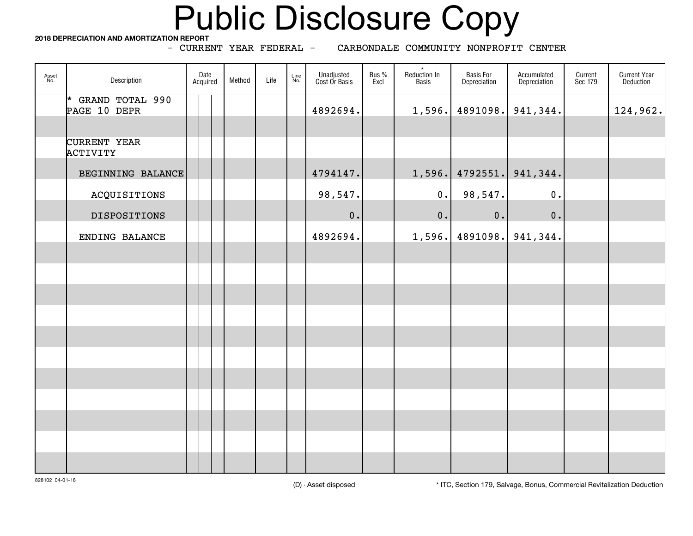**2018 DEPRECIATION AND AMORTIZATION REPORT**

- CURRENT YEAR FEDERAL -

CARBONDALE COMMUNITY NONPROFIT CENTER

| Asset<br>No. | Description                       | Date<br>Acquired | Method | Life | Line<br>No. | Unadjusted<br>Cost Or Basis | Bus %<br>Excl | $\star$<br>Reduction In<br>Basis | <b>Basis For</b><br><b>Depreciation</b> | Accumulated<br>Depreciation | Current<br>Sec 179 | <b>Current Year</b><br>Deduction |
|--------------|-----------------------------------|------------------|--------|------|-------------|-----------------------------|---------------|----------------------------------|-----------------------------------------|-----------------------------|--------------------|----------------------------------|
|              | * GRAND TOTAL 990<br>PAGE 10 DEPR |                  |        |      |             | 4892694.                    |               | 1,596.                           |                                         | 4891098. 941, 344.          |                    | 124,962.                         |
|              |                                   |                  |        |      |             |                             |               |                                  |                                         |                             |                    |                                  |
|              | CURRENT YEAR<br><b>ACTIVITY</b>   |                  |        |      |             |                             |               |                                  |                                         |                             |                    |                                  |
|              | BEGINNING BALANCE                 |                  |        |      |             | 4794147.                    |               | 1,596.                           | 4792551.                                | 941,344.                    |                    |                                  |
|              | ACQUISITIONS                      |                  |        |      |             | 98,547.                     |               | $0$ .                            | 98,547.                                 | 0.                          |                    |                                  |
|              | DISPOSITIONS                      |                  |        |      |             | 0.                          |               | 0.                               | $0$ .                                   | 0.                          |                    |                                  |
|              | ENDING BALANCE                    |                  |        |      |             | 4892694.                    |               | 1,596.                           |                                         | 4891098. 941, 344.          |                    |                                  |
|              |                                   |                  |        |      |             |                             |               |                                  |                                         |                             |                    |                                  |
|              |                                   |                  |        |      |             |                             |               |                                  |                                         |                             |                    |                                  |
|              |                                   |                  |        |      |             |                             |               |                                  |                                         |                             |                    |                                  |
|              |                                   |                  |        |      |             |                             |               |                                  |                                         |                             |                    |                                  |
|              |                                   |                  |        |      |             |                             |               |                                  |                                         |                             |                    |                                  |
|              |                                   |                  |        |      |             |                             |               |                                  |                                         |                             |                    |                                  |
|              |                                   |                  |        |      |             |                             |               |                                  |                                         |                             |                    |                                  |
|              |                                   |                  |        |      |             |                             |               |                                  |                                         |                             |                    |                                  |
|              |                                   |                  |        |      |             |                             |               |                                  |                                         |                             |                    |                                  |
|              |                                   |                  |        |      |             |                             |               |                                  |                                         |                             |                    |                                  |
|              |                                   |                  |        |      |             |                             |               |                                  |                                         |                             |                    |                                  |

(D) - Asset disposed \* ITC, Section 179, Salvage, Bonus, Commercial Revitalization Deduction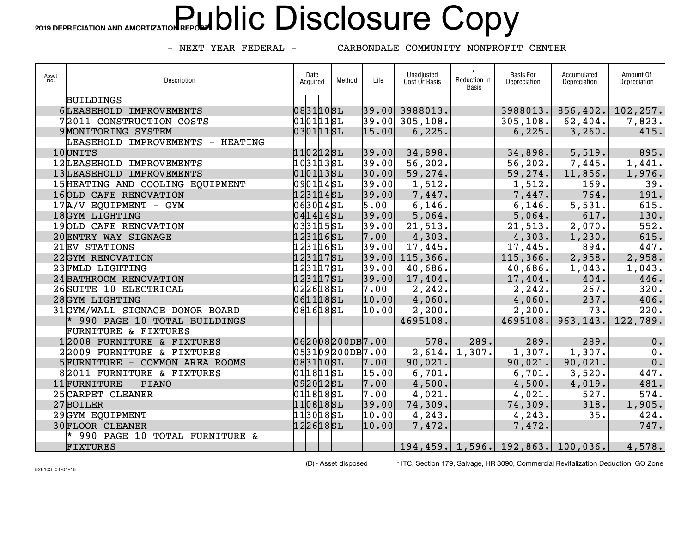## 2019 DEPRECIATION AND AMORTIZATION REP**ORJ**  $\text{blic}$  **Disclosure Copy**

- NEXT YEAR FEDERAL -

CARBONDALE COMMUNITY NONPROFIT CENTER

| Asset<br>No. | Description                      | Date<br>Acquired | Method | Life  | Unadjusted<br>Cost Or Basis | Reduction In<br>Basis | <b>Basis For</b><br>Depreciation | Accumulated<br>Depreciation           | Amount Of<br>Depreciation |
|--------------|----------------------------------|------------------|--------|-------|-----------------------------|-----------------------|----------------------------------|---------------------------------------|---------------------------|
|              | <b>BUILDINGS</b>                 |                  |        |       |                             |                       |                                  |                                       |                           |
|              | 6LEASEHOLD IMPROVEMENTS          | 083110SL         |        |       | 39.00 3988013.              |                       | 3988013.                         |                                       | $856, 402.$ 102, 257.     |
|              | 72011 CONSTRUCTION COSTS         | 0101115L         |        |       | $39.00$ 305,108.            |                       | 305, 108.                        | 62,404.                               | 7,823.                    |
|              | 9 MONITORING SYSTEM              | 030111SL         |        | 15.00 | 6, 225.                     |                       | 6, 225.                          | 3,260.                                | 415.                      |
|              | LEASEHOLD IMPROVEMENTS - HEATING |                  |        |       |                             |                       |                                  |                                       |                           |
|              | 10UNITS                          | 110212SL         |        | 39.00 | 34,898.                     |                       | 34,898.                          | 5,519.                                | 895.                      |
|              | 12LEASEHOLD IMPROVEMENTS         | 103113sL         |        | 39.00 | 56, 202.                    |                       | 56, 202.                         | 7,445.                                | 1,441.                    |
|              | 13LEASEHOLD IMPROVEMENTS         | 0101135L         |        | 30.00 | 59,274.                     |                       | 59, 274.                         | 11,856.                               | 1,976.                    |
|              | 15 HEATING AND COOLING EQUIPMENT | 0901145L         |        | 39.00 | 1,512.                      |                       | 1,512.                           | 169.                                  | 39.                       |
|              | 16 OLD CAFE RENOVATION           | 1231145L         |        | 39.00 | 7,447.                      |                       | 7,447.                           | 764.                                  | 191.                      |
|              | 17A/V EQUIPMENT - GYM            | 0630145L         |        | 5.00  | 6, 146.                     |                       | 6,146.                           | 5,531.                                | 615.                      |
|              | 18GYM LIGHTING                   | 0414145L         |        | 39.00 | 5,064.                      |                       | 5,064.                           | 617.                                  | 130.                      |
|              | 19OLD CAFE RENOVATION            | 0331155L         |        | 39.00 | 21,513.                     |                       | 21, 513.                         | 2,070.                                | 552.                      |
|              | 20 ENTRY WAY SIGNAGE             | 123116SL         |        | 7.00  | 4,303.                      |                       | 4,303.                           | 1, 230.                               | 615.                      |
|              | 21EV STATIONS                    | 123116SL         |        | 39.00 | 17,445.                     |                       | 17,445.                          | 894.                                  | 447.                      |
|              | 22GYM RENOVATION                 | 123117SL         |        |       | 39.00 115,366.              |                       | 115, 366.                        | 2,958.                                | 2,958.                    |
|              | 23 FMLD LIGHTING                 | 123117SL         |        | 39.00 | 40,686.                     |                       | 40,686.                          | 1,043.                                | 1,043.                    |
|              | 24 BATHROOM RENOVATION           | 123117SL         |        | 39.00 | 17,404.                     |                       | 17,404.                          | 404.                                  | 446.                      |
|              | 26 SUITE 10 ELECTRICAL           | 0226185L         |        | 7.00  | 2, 242.                     |                       | 2, 242.                          | 267.                                  | 320.                      |
|              | 28GYM LIGHTING                   | 0611185L         |        | 10.00 | 4,060.                      |                       | 4,060.                           | 237.                                  | 406.                      |
|              | 31GYM/WALL SIGNAGE DONOR BOARD   | 0816185L         |        | 10.00 | 2,200.                      |                       | 2,200.                           | 73.                                   | 220.                      |
|              | * 990 PAGE 10 TOTAL BUILDINGS    |                  |        |       | 4695108.                    |                       | 4695108.                         | 963, 143.                             | 122,789.                  |
|              | <b>FURNITURE &amp; FIXTURES</b>  |                  |        |       |                             |                       |                                  |                                       |                           |
|              | 12008 FURNITURE & FIXTURES       | 062008200DB7.00  |        |       | 578.                        | 289.                  | 289.                             | 289.                                  | 0.                        |
|              | 22009 FURNITURE & FIXTURES       | 053109200DB7.00  |        |       | 2,614.                      | 1,307.                | 1,307.                           | 1,307.                                | 0.                        |
|              | 5 FURNITURE - COMMON AREA ROOMS  | 0831105L         |        | 7.00  | 90,021.                     |                       | 90,021.                          | 90,021.                               | 0.                        |
|              | 82011 FURNITURE & FIXTURES       | 0118115L         |        | 15.00 | 6,701.                      |                       | 6,701.                           | 3,520.                                | 447.                      |
|              | 11 FURNITURE - PIANO             | 092012SL         |        | 7.00  | 4,500.                      |                       | 4,500.                           | 4,019.                                | 481.                      |
|              | 25 CARPET CLEANER                | 0118185L         |        | 7.00  | 4,021.                      |                       | 4,021.                           | 527.                                  | 574.                      |
|              | 27BOILER                         | 1108185L         |        | 39.00 | 74,309.                     |                       | 74,309.                          | 318.                                  | 1,905.                    |
|              | 29GYM EQUIPMENT                  | 113018SL         |        | 10.00 | 4,243.                      |                       | 4, 243.                          | 35.                                   | 424.                      |
|              | <b>30FLOOR CLEANER</b>           | 122618SL         |        | 10.00 | 7,472.                      |                       | 7,472.                           |                                       | 747.                      |
|              | * 990 PAGE 10 TOTAL FURNITURE &  |                  |        |       |                             |                       |                                  |                                       |                           |
|              | FIXTURES                         |                  |        |       |                             |                       |                                  | 194, 459. 1, 596. 192, 863. 100, 036. | 4,578.                    |

828103 04-01-18

(D) - Asset disposed \* ITC, Section 179, Salvage, HR 3090, Commercial Revitalization Deduction, GO Zone